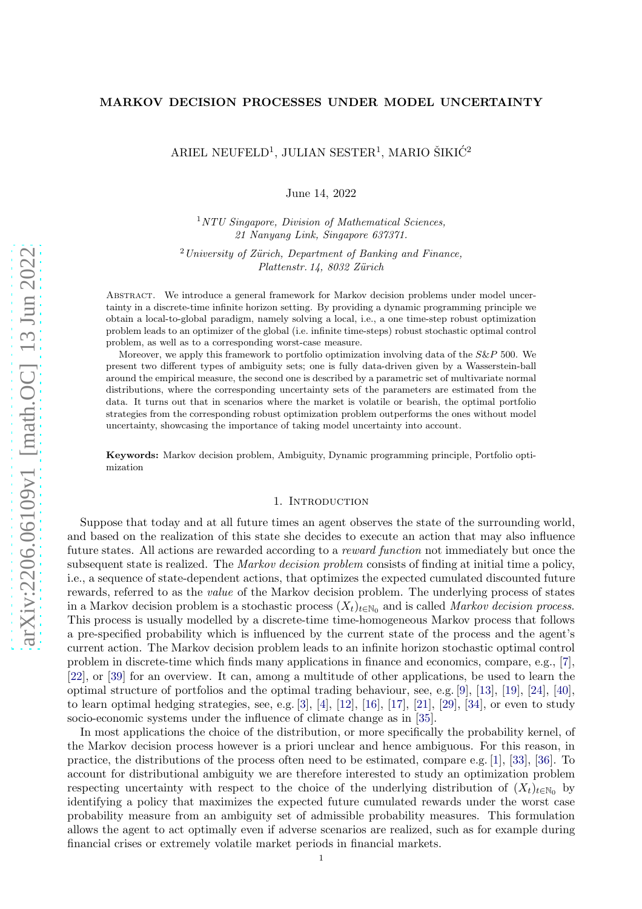## MARKOV DECISION PROCESSES UNDER MODEL UNCERTAINTY

ARIEL NEUFELD<sup>1</sup>, JULIAN SESTER<sup>1</sup>, MARIO ŠIKIĆ<sup>2</sup>

June 14, 2022

 $1NTU$  Singapore, Division of Mathematical Sciences, 21 Nanyang Link, Singapore 637371.

 $2$ University of Zürich, Department of Banking and Finance, Plattenstr. 14, 8032 Zürich

Abstract. We introduce a general framework for Markov decision problems under model uncertainty in a discrete-time infinite horizon setting. By providing a dynamic programming principle we obtain a local-to-global paradigm, namely solving a local, i.e., a one time-step robust optimization problem leads to an optimizer of the global (i.e. infinite time-steps) robust stochastic optimal control problem, as well as to a corresponding worst-case measure.

Moreover, we apply this framework to portfolio optimization involving data of the  $S\&P$  500. We present two different types of ambiguity sets; one is fully data-driven given by a Wasserstein-ball around the empirical measure, the second one is described by a parametric set of multivariate normal distributions, where the corresponding uncertainty sets of the parameters are estimated from the data. It turns out that in scenarios where the market is volatile or bearish, the optimal portfolio strategies from the corresponding robust optimization problem outperforms the ones without model uncertainty, showcasing the importance of taking model uncertainty into account.

Keywords: Markov decision problem, Ambiguity, Dynamic programming principle, Portfolio optimization

# 1. INTRODUCTION

Suppose that today and at all future times an agent observes the state of the surrounding world, and based on the realization of this state she decides to execute an action that may also influence future states. All actions are rewarded according to a reward function not immediately but once the subsequent state is realized. The Markov decision problem consists of finding at initial time a policy, i.e., a sequence of state-dependent actions, that optimizes the expected cumulated discounted future rewards, referred to as the value of the Markov decision problem. The underlying process of states in a Markov decision problem is a stochastic process  $(X_t)_{t \in \mathbb{N}_0}$  and is called *Markov decision process*. This process is usually modelled by a discrete-time time-homogeneous Markov process that follows a pre-specified probability which is influenced by the current state of the process and the agent's current action. The Markov decision problem leads to an infinite horizon stochastic optimal control problem in discrete-time which finds many applications in finance and economics, compare, e.g., [\[7\]](#page-27-0), [\[22\]](#page-27-1), or [\[39\]](#page-27-2) for an overview. It can, among a multitude of other applications, be used to learn the optimal structure of portfolios and the optimal trading behaviour, see, e.g. [\[9\]](#page-27-3), [\[13\]](#page-27-4), [\[19\]](#page-27-5), [\[24\]](#page-27-6), [\[40\]](#page-27-7), to learn optimal hedging strategies, see, e.g. [\[3\]](#page-26-0), [\[4\]](#page-26-1), [\[12\]](#page-27-8), [\[16\]](#page-27-9), [\[17\]](#page-27-10), [\[21\]](#page-27-11), [\[29\]](#page-27-12), [\[34\]](#page-27-13), or even to study socio-economic systems under the influence of climate change as in [\[35\]](#page-27-14).

In most applications the choice of the distribution, or more specifically the probability kernel, of the Markov decision process however is a priori unclear and hence ambiguous. For this reason, in practice, the distributions of the process often need to be estimated, compare e.g. [\[1\]](#page-26-2), [\[33\]](#page-27-15), [\[36\]](#page-27-16). To account for distributional ambiguity we are therefore interested to study an optimization problem respecting uncertainty with respect to the choice of the underlying distribution of  $(X_t)_{t\in\mathbb{N}_0}$  by identifying a policy that maximizes the expected future cumulated rewards under the worst case probability measure from an ambiguity set of admissible probability measures. This formulation allows the agent to act optimally even if adverse scenarios are realized, such as for example during financial crises or extremely volatile market periods in financial markets.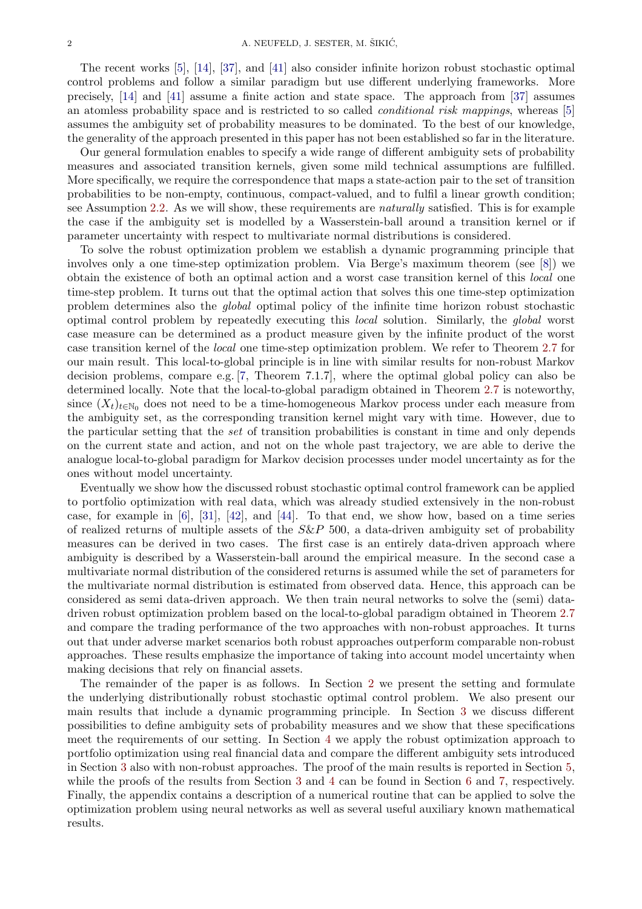The recent works [\[5\]](#page-26-3), [\[14\]](#page-27-17), [\[37\]](#page-27-18), and [\[41\]](#page-27-19) also consider infinite horizon robust stochastic optimal control problems and follow a similar paradigm but use different underlying frameworks. More precisely, [\[14\]](#page-27-17) and [\[41\]](#page-27-19) assume a finite action and state space. The approach from [\[37\]](#page-27-18) assumes an atomless probability space and is restricted to so called conditional risk mappings, whereas [\[5\]](#page-26-3) assumes the ambiguity set of probability measures to be dominated. To the best of our knowledge, the generality of the approach presented in this paper has not been established so far in the literature.

Our general formulation enables to specify a wide range of different ambiguity sets of probability measures and associated transition kernels, given some mild technical assumptions are fulfilled. More specifically, we require the correspondence that maps a state-action pair to the set of transition probabilities to be non-empty, continuous, compact-valued, and to fulfil a linear growth condition; see Assumption [2.2.](#page-2-0) As we will show, these requirements are naturally satisfied. This is for example the case if the ambiguity set is modelled by a Wasserstein-ball around a transition kernel or if parameter uncertainty with respect to multivariate normal distributions is considered.

To solve the robust optimization problem we establish a dynamic programming principle that involves only a one time-step optimization problem. Via Berge's maximum theorem (see [\[8\]](#page-27-20)) we obtain the existence of both an optimal action and a worst case transition kernel of this local one time-step problem. It turns out that the optimal action that solves this one time-step optimization problem determines also the global optimal policy of the infinite time horizon robust stochastic optimal control problem by repeatedly executing this local solution. Similarly, the global worst case measure can be determined as a product measure given by the infinite product of the worst case transition kernel of the local one time-step optimization problem. We refer to Theorem [2.7](#page-4-0) for our main result. This local-to-global principle is in line with similar results for non-robust Markov decision problems, compare e.g. [\[7,](#page-27-0) Theorem 7.1.7], where the optimal global policy can also be determined locally. Note that the local-to-global paradigm obtained in Theorem [2.7](#page-4-0) is noteworthy, since  $(X_t)_{t\in\mathbb{N}_0}$  does not need to be a time-homogeneous Markov process under each measure from the ambiguity set, as the corresponding transition kernel might vary with time. However, due to the particular setting that the set of transition probabilities is constant in time and only depends on the current state and action, and not on the whole past trajectory, we are able to derive the analogue local-to-global paradigm for Markov decision processes under model uncertainty as for the ones without model uncertainty.

Eventually we show how the discussed robust stochastic optimal control framework can be applied to portfolio optimization with real data, which was already studied extensively in the non-robust case, for example in [\[6\]](#page-26-4), [\[31\]](#page-27-21), [\[42\]](#page-27-22), and [\[44\]](#page-28-0). To that end, we show how, based on a time series of realized returns of multiple assets of the  $S\&P$  500, a data-driven ambiguity set of probability measures can be derived in two cases. The first case is an entirely data-driven approach where ambiguity is described by a Wasserstein-ball around the empirical measure. In the second case a multivariate normal distribution of the considered returns is assumed while the set of parameters for the multivariate normal distribution is estimated from observed data. Hence, this approach can be considered as semi data-driven approach. We then train neural networks to solve the (semi) datadriven robust optimization problem based on the local-to-global paradigm obtained in Theorem [2.7](#page-4-0) and compare the trading performance of the two approaches with non-robust approaches. It turns out that under adverse market scenarios both robust approaches outperform comparable non-robust approaches. These results emphasize the importance of taking into account model uncertainty when making decisions that rely on financial assets.

The remainder of the paper is as follows. In Section [2](#page-2-1) we present the setting and formulate the underlying distributionally robust stochastic optimal control problem. We also present our main results that include a dynamic programming principle. In Section [3](#page-5-0) we discuss different possibilities to define ambiguity sets of probability measures and we show that these specifications meet the requirements of our setting. In Section [4](#page-6-0) we apply the robust optimization approach to portfolio optimization using real financial data and compare the different ambiguity sets introduced in Section [3](#page-5-0) also with non-robust approaches. The proof of the main results is reported in Section [5,](#page-12-0) while the proofs of the results from Section [3](#page-5-0) and [4](#page-6-0) can be found in Section [6](#page-17-0) and [7,](#page-20-0) respectively. Finally, the appendix contains a description of a numerical routine that can be applied to solve the optimization problem using neural networks as well as several useful auxiliary known mathematical results.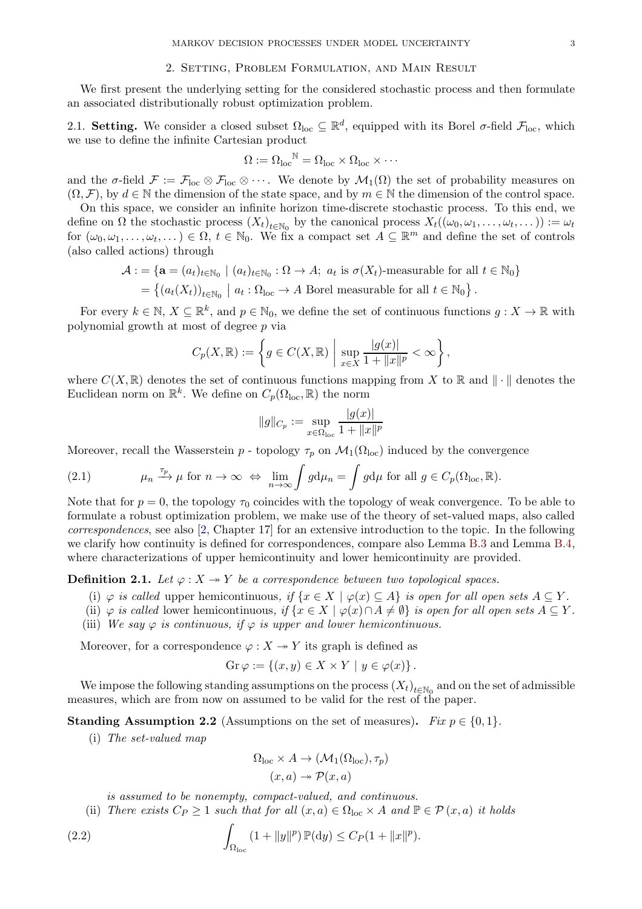### 2. Setting, Problem Formulation, and Main Result

<span id="page-2-1"></span>We first present the underlying setting for the considered stochastic process and then formulate an associated distributionally robust optimization problem.

2.1. Setting. We consider a closed subset  $\Omega_{\text{loc}} \subseteq \mathbb{R}^d$ , equipped with its Borel  $\sigma$ -field  $\mathcal{F}_{\text{loc}}$ , which we use to define the infinite Cartesian product

$$
\Omega := \Omega_{\text{loc}}{}^{\mathbb{N}} = \Omega_{\text{loc}} \times \Omega_{\text{loc}} \times \cdots
$$

and the  $\sigma$ -field  $\mathcal{F} := \mathcal{F}_{loc} \otimes \mathcal{F}_{loc} \otimes \cdots$ . We denote by  $\mathcal{M}_1(\Omega)$  the set of probability measures on  $(\Omega, \mathcal{F})$ , by  $d \in \mathbb{N}$  the dimension of the state space, and by  $m \in \mathbb{N}$  the dimension of the control space.

On this space, we consider an infinite horizon time-discrete stochastic process. To this end, we define on  $\Omega$  the stochastic process  $(X_t)_{t \in \mathbb{N}_0}$  by the canonical process  $X_t((\omega_0, \omega_1, \ldots, \omega_t, \ldots)) := \omega_t$ for  $(\omega_0, \omega_1, \ldots, \omega_t, \ldots) \in \Omega$ ,  $t \in \mathbb{N}_0$ . We fix a compact set  $A \subseteq \mathbb{R}^m$  and define the set of controls (also called actions) through

$$
\mathcal{A} := \{ \mathbf{a} = (a_t)_{t \in \mathbb{N}_0} \mid (a_t)_{t \in \mathbb{N}_0} : \Omega \to A; \ a_t \text{ is } \sigma(X_t) \text{-measurable for all } t \in \mathbb{N}_0 \}
$$
  
=  $\{ (a_t(X_t))_{t \in \mathbb{N}_0} \mid a_t : \Omega_{\text{loc}} \to A \text{ Borel measurable for all } t \in \mathbb{N}_0 \}.$ 

For every  $k \in \mathbb{N}, X \subseteq \mathbb{R}^k$ , and  $p \in \mathbb{N}_0$ , we define the set of continuous functions  $g: X \to \mathbb{R}$  with polynomial growth at most of degree p via

$$
C_p(X, \mathbb{R}) := \left\{ g \in C(X, \mathbb{R}) \mid \sup_{x \in X} \frac{|g(x)|}{1 + \|x\|^p} < \infty \right\},\
$$

where  $C(X,\mathbb{R})$  denotes the set of continuous functions mapping from X to R and  $\|\cdot\|$  denotes the Euclidean norm on  $\mathbb{R}^k$ . We define on  $C_p(\Omega_{\text{loc}}, \mathbb{R})$  the norm

$$
||g||_{C_p} := \sup_{x \in \Omega_{\text{loc}}} \frac{|g(x)|}{1 + ||x||^p}
$$

Moreover, recall the Wasserstein p - topology  $\tau_p$  on  $\mathcal{M}_1(\Omega_{\text{loc}})$  induced by the convergence

(2.1) 
$$
\mu_n \xrightarrow{\tau_p} \mu \text{ for } n \to \infty \Leftrightarrow \lim_{n \to \infty} \int g d\mu_n = \int g d\mu \text{ for all } g \in C_p(\Omega_{\text{loc}}, \mathbb{R}).
$$

Note that for  $p = 0$ , the topology  $\tau_0$  coincides with the topology of weak convergence. To be able to formulate a robust optimization problem, we make use of the theory of set-valued maps, also called correspondences, see also [\[2,](#page-26-5) Chapter 17] for an extensive introduction to the topic. In the following we clarify how continuity is defined for correspondences, compare also Lemma [B.3](#page-26-6) and Lemma [B.4,](#page-26-7) where characterizations of upper hemicontinuity and lower hemicontinuity are provided.

**Definition 2.1.** Let  $\varphi: X \to Y$  be a correspondence between two topological spaces.

- (i)  $\varphi$  is called upper hemicontinuous, if  $\{x \in X \mid \varphi(x) \subseteq A\}$  is open for all open sets  $A \subseteq Y$ .
- (ii)  $\varphi$  is called lower hemicontinuous, if  $\{x \in X \mid \varphi(x) \cap A \neq \emptyset\}$  is open for all open sets  $A \subseteq Y$ .
- (iii) We say  $\varphi$  is continuous, if  $\varphi$  is upper and lower hemicontinuous.

Moreover, for a correspondence  $\varphi: X \to Y$  its graph is defined as

$$
\mathrm{Gr}\,\varphi:=\{(x,y)\in X\times Y\mid y\in\varphi(x)\}\,.
$$

We impose the following standing assumptions on the process  $(X_t)_{t \in \mathbb{N}_0}$  and on the set of admissible measures, which are from now on assumed to be valid for the rest of the paper.

<span id="page-2-0"></span>**Standing Assumption 2.2** (Assumptions on the set of measures). Fix  $p \in \{0, 1\}$ .

(i) The set-valued map

<span id="page-2-2"></span>
$$
\Omega_{\text{loc}} \times A \to (\mathcal{M}_1(\Omega_{\text{loc}}), \tau_p)
$$
  

$$
(x, a) \to \mathcal{P}(x, a)
$$

is assumed to be nonempty, compact-valued, and continuous.

(ii) There exists  $C_P \geq 1$  such that for all  $(x, a) \in \Omega_{\text{loc}} \times A$  and  $\mathbb{P} \in \mathcal{P}(x, a)$  it holds

(2.2) 
$$
\int_{\Omega_{\text{loc}}} (1 + ||y||^p) \, \mathbb{P}(\text{d}y) \le C_P (1 + ||x||^p).
$$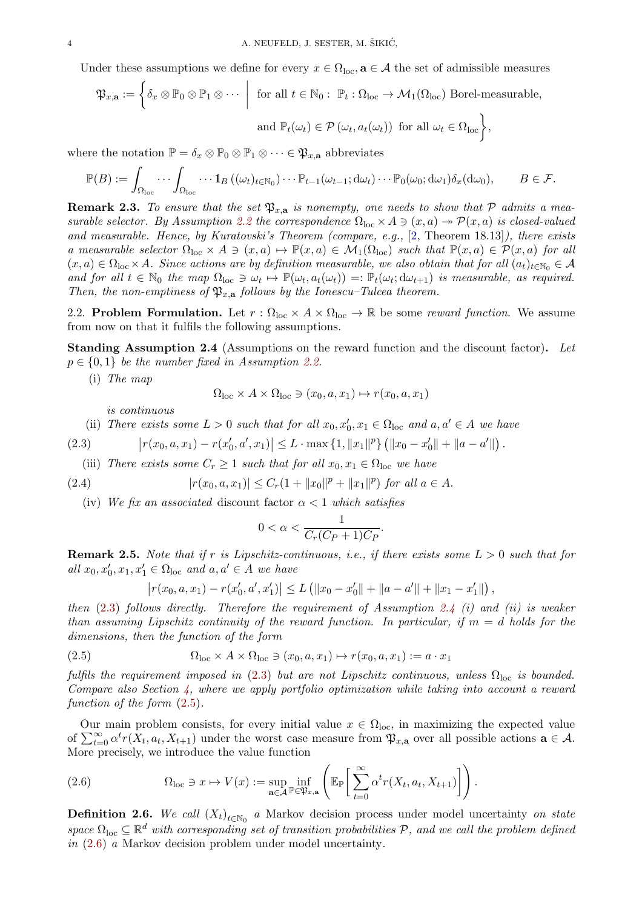Under these assumptions we define for every  $x \in \Omega_{loc}$ ,  $\mathbf{a} \in \mathcal{A}$  the set of admissible measures

$$
\mathfrak{P}_{x,\mathbf{a}} := \left\{ \delta_x \otimes \mathbb{P}_0 \otimes \mathbb{P}_1 \otimes \cdots \middle| \text{ for all } t \in \mathbb{N}_0 : \mathbb{P}_t : \Omega_{\text{loc}} \to \mathcal{M}_1(\Omega_{\text{loc}}) \text{ Borel-measurable,} \right\}
$$
  
and  $\mathbb{P}_t(\omega_t) \in \mathcal{P}(\omega_t, a_t(\omega_t))$  for all  $\omega_t \in \Omega_{\text{loc}} \right\}$ ,

where the notation  $\mathbb{P} = \delta_x \otimes \mathbb{P}_0 \otimes \mathbb{P}_1 \otimes \cdots \in \mathfrak{P}_{x,\mathbf{a}}$  abbreviates

$$
\mathbb{P}(B) := \int_{\Omega_{\text{loc}}} \cdots \int_{\Omega_{\text{loc}}} \cdots 1_B \left( (\omega_t)_{t \in \mathbb{N}_0} \right) \cdots \mathbb{P}_{t-1} (\omega_{t-1}; \mathrm{d}\omega_t) \cdots \mathbb{P}_0(\omega_0; \mathrm{d}\omega_1) \delta_x(\mathrm{d}\omega_0), \qquad B \in \mathcal{F}.
$$

**Remark 2.3.** To ensure that the set  $\mathfrak{P}_{x,\mathbf{a}}$  is nonempty, one needs to show that P admits a mea-surable selector. By Assumption [2.2](#page-2-0) the correspondence  $\Omega_{\text{loc}} \times A \ni (x, a) \rightarrow \mathcal{P}(x, a)$  is closed-valued and measurable. Hence, by Kuratovski's Theorem (compare, e.g., [\[2,](#page-26-5) Theorem 18.13]), there exists a measurable selector  $\Omega_{\text{loc}} \times A \ni (x, a) \mapsto \mathbb{P}(x, a) \in \mathcal{M}_1(\Omega_{\text{loc}})$  such that  $\mathbb{P}(x, a) \in \mathcal{P}(x, a)$  for all  $(x, a) \in \Omega_{\text{loc}} \times A$ . Since actions are by definition measurable, we also obtain that for all  $(a_t)_{t \in \mathbb{N}_0} \in A$ and for all  $t \in \mathbb{N}_0$  the map  $\Omega_{\text{loc}} \ni \omega_t \mapsto \mathbb{P}(\omega_t, a_t(\omega_t)) =: \mathbb{P}_t(\omega_t; d\omega_{t+1})$  is measurable, as required. Then, the non-emptiness of  $\mathfrak{P}_{x,\mathbf{a}}$  follows by the Ionescu–Tulcea theorem.

2.2. Problem Formulation. Let  $r : \Omega_{loc} \times A \times \Omega_{loc} \to \mathbb{R}$  be some *reward function*. We assume from now on that it fulfils the following assumptions.

<span id="page-3-1"></span>Standing Assumption 2.4 (Assumptions on the reward function and the discount factor). Let  $p \in \{0,1\}$  be the number fixed in Assumption [2.2.](#page-2-0)

(i) The map

$$
\Omega_{\text{loc}} \times A \times \Omega_{\text{loc}} \ni (x_0, a, x_1) \mapsto r(x_0, a, x_1)
$$

<span id="page-3-0"></span>is continuous

(ii) There exists some 
$$
L > 0
$$
 such that for all  $x_0, x'_0, x_1 \in \Omega_{loc}$  and  $a, a' \in A$  we have

(2.3) 
$$
\left|r(x_0, a, x_1) - r(x'_0, a', x_1)\right| \leq L \cdot \max\left\{1, \|x_1\|^p\right\} \left(\|x_0 - x'_0\| + \|a - a'\|\right).
$$

(iii) There exists some  $C_r \geq 1$  such that for all  $x_0, x_1 \in \Omega_{loc}$  we have

(2.4) 
$$
|r(x_0, a, x_1)| \leq C_r (1 + ||x_0||^p + ||x_1||^p) \text{ for all } a \in A.
$$

(iv) We fix an associated discount factor  $\alpha < 1$  which satisfies

$$
0 < \alpha < \frac{1}{C_r(C_P + 1)C_P}.
$$

**Remark 2.5.** Note that if r is Lipschitz-continuous, i.e., if there exists some  $L > 0$  such that for all  $x_0, x'_0, x_1, x'_1 \in \Omega_{\text{loc}}$  and  $a, a' \in A$  we have

<span id="page-3-2"></span>
$$
\left|r(x_0,a,x_1)-r(x_0',a',x_1')\right|\leq L\left(\|x_0-x_0'\|+\|a-a'\|+\|x_1-x_1'\|\right),
$$

then  $(2.3)$  follows directly. Therefore the requirement of Assumption [2.4](#page-3-1) (i) and (ii) is weaker than assuming Lipschitz continuity of the reward function. In particular, if  $m = d$  holds for the dimensions, then the function of the form

(2.5) 
$$
\Omega_{\text{loc}} \times A \times \Omega_{\text{loc}} \ni (x_0, a, x_1) \mapsto r(x_0, a, x_1) := a \cdot x_1
$$

fulfils the requirement imposed in  $(2.3)$  but are not Lipschitz continuous, unless  $\Omega_{\text{loc}}$  is bounded. Compare also Section [4,](#page-6-0) where we apply portfolio optimization while taking into account a reward function of the form  $(2.5)$ .

Our main problem consists, for every initial value  $x \in \Omega_{loc}$ , in maximizing the expected value of  $\sum_{t=0}^{\infty} \alpha^t r(X_t, a_t, X_{t+1})$  under the worst case measure from  $\mathfrak{P}_{x, \mathbf{a}}$  over all possible actions  $\mathbf{a} \in \mathcal{A}$ . More precisely, we introduce the value function

<span id="page-3-3"></span>(2.6) 
$$
\Omega_{\text{loc}} \ni x \mapsto V(x) := \sup_{\mathbf{a} \in \mathcal{A}} \inf_{\mathbb{P} \in \mathfrak{P}_{x,\mathbf{a}}} \left( \mathbb{E}_{\mathbb{P}} \bigg[ \sum_{t=0}^{\infty} \alpha^t r(X_t, a_t, X_{t+1}) \bigg] \right).
$$

**Definition 2.6.** We call  $(X_t)_{t\in\mathbb{N}_0}$  a Markov decision process under model uncertainty on state space  $\Omega_{\text{loc}} \subseteq \mathbb{R}^d$  with corresponding set of transition probabilities  $P$ , and we call the problem defined in  $(2.6)$  a Markov decision problem under model uncertainty.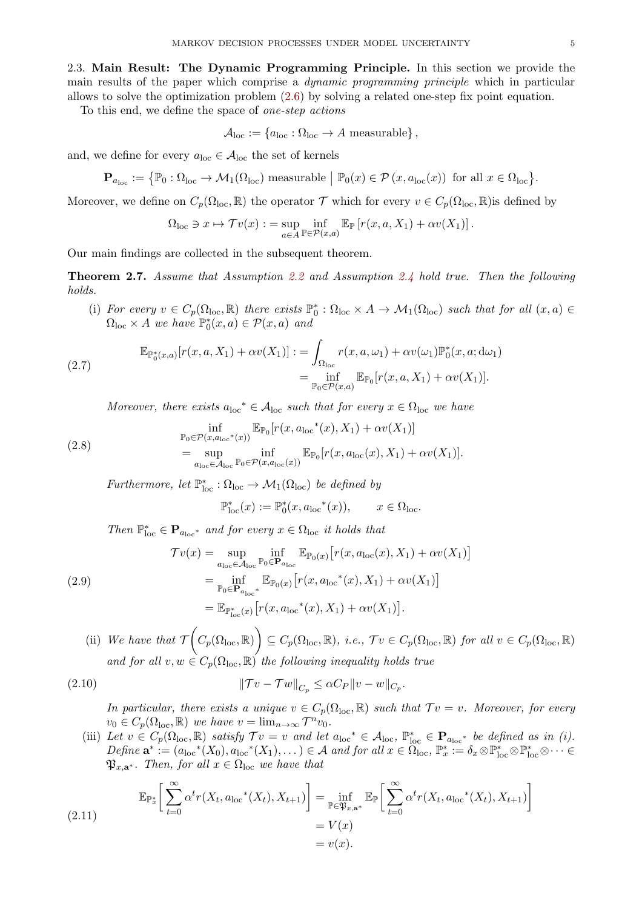2.3. Main Result: The Dynamic Programming Principle. In this section we provide the main results of the paper which comprise a dynamic programming principle which in particular allows to solve the optimization problem [\(2.6\)](#page-3-3) by solving a related one-step fix point equation.

To this end, we define the space of one-step actions

$$
A_{\rm loc} := \{a_{\rm loc} : \Omega_{\rm loc} \to A \text{ measurable}\},\,
$$

and, we define for every  $a_{\text{loc}} \in \mathcal{A}_{\text{loc}}$  the set of kernels

$$
\mathbf{P}_{a_{\text{loc}}} := \{ \mathbb{P}_0 : \Omega_{\text{loc}} \to \mathcal{M}_1(\Omega_{\text{loc}}) \text{ measurable } \mid \mathbb{P}_0(x) \in \mathcal{P} (x, a_{\text{loc}}(x)) \text{ for all } x \in \Omega_{\text{loc}} \}.
$$

Moreover, we define on  $C_p(\Omega_{\text{loc}}, \mathbb{R})$  the operator  $\mathcal T$  which for every  $v \in C_p(\Omega_{\text{loc}}, \mathbb{R})$  is defined by

$$
\Omega_{\text{loc}} \ni x \mapsto \mathcal{T}v(x) : = \sup_{a \in A} \inf_{\mathbb{P} \in \mathcal{P}(x,a)} \mathbb{E}_{\mathbb{P}} \left[ r(x,a,X_1) + \alpha v(X_1) \right].
$$

Our main findings are collected in the subsequent theorem.

<span id="page-4-0"></span>Theorem 2.7. Assume that Assumption [2.2](#page-2-0) and Assumption [2.4](#page-3-1) hold true. Then the following holds.

(i) For every  $v \in C_p(\Omega_{loc}, \mathbb{R})$  there exists  $\mathbb{P}_0^* : \Omega_{loc} \times A \to \mathcal{M}_1(\Omega_{loc})$  such that for all  $(x, a) \in$  $\Omega_{\text{loc}} \times A$  we have  $\mathbb{P}_0^*(x, a) \in \mathcal{P}(x, a)$  and

(2.7) 
$$
\mathbb{E}_{\mathbb{P}_0^*(x,a)}[r(x,a,X_1) + \alpha v(X_1)] := \int_{\Omega_{\text{loc}}} r(x,a,\omega_1) + \alpha v(\omega_1) \mathbb{P}_0^*(x,a;d\omega_1) \n= \inf_{\mathbb{P}_0 \in \mathcal{P}(x,a)} \mathbb{E}_{\mathbb{P}_0}[r(x,a,X_1) + \alpha v(X_1)].
$$

<span id="page-4-1"></span>Moreover, there exists  $a_{\text{loc}}^* \in A_{\text{loc}}$  such that for every  $x \in \Omega_{\text{loc}}$  we have

(2.8) 
$$
\inf_{\mathbb{P}_0 \in \mathcal{P}(x, a_{\text{loc}}^*(x))} \mathbb{E}_{\mathbb{P}_0}[r(x, a_{\text{loc}}^*(x), X_1) + \alpha v(X_1)]
$$

$$
= \sup_{a_{\text{loc}} \in \mathcal{A}_{\text{loc}}} \inf_{\mathbb{P}_0 \in \mathcal{P}(x, a_{\text{loc}}(x))} \mathbb{E}_{\mathbb{P}_0}[r(x, a_{\text{loc}}(x), X_1) + \alpha v(X_1)].
$$

Furthermore, let  $\mathbb{P}_{\text{loc}}^* : \Omega_{\text{loc}} \to \mathcal{M}_1(\Omega_{\text{loc}})$  be defined by

<span id="page-4-2"></span>
$$
\mathbb{P}_{\text{loc}}^*(x) := \mathbb{P}_0^*(x, a_{\text{loc}}^*(x)), \qquad x \in \Omega_{\text{loc}}.
$$

<span id="page-4-3"></span>Then  $\mathbb{P}_{\text{loc}}^* \in \mathbf{P}_{a_{\text{loc}}^*}$  and for every  $x \in \Omega_{\text{loc}}$  it holds that

(2.9) 
$$
\mathcal{T}v(x) = \sup_{a_{\text{loc}} \in \mathcal{A}_{\text{loc}}} \inf_{\mathbb{P}_0 \in \mathbf{P}_{a_{\text{loc}}}} \mathbb{E}_{\mathbb{P}_0(x)} [r(x, a_{\text{loc}}(x), X_1) + \alpha v(X_1)]
$$

$$
= \inf_{\mathbb{P}_0 \in \mathbf{P}_{a_{\text{loc}}}} \mathbb{E}_{\mathbb{P}_0(x)} [r(x, a_{\text{loc}}^*(x), X_1) + \alpha v(X_1)]
$$

$$
= \mathbb{E}_{\mathbb{P}_{\text{loc}}^*(x)} [r(x, a_{\text{loc}}^*(x), X_1) + \alpha v(X_1)].
$$

(ii) We have that  $\tau$  $\sqrt{2}$  $C_p(\Omega_{\mathrm{loc}},\mathbb{R})$  $\setminus$  $\subseteq C_p(\Omega_{\text{loc}}, \mathbb{R}), \ i.e., \ \mathcal{T}v \in C_p(\Omega_{\text{loc}}, \mathbb{R}) \ \text{for all} \ v \in C_p(\Omega_{\text{loc}}, \mathbb{R})$ and for all  $v, w \in C_p(\Omega_{\text{loc}}, \mathbb{R})$  the following inequality holds true

(2.10) 
$$
\|\mathcal{T}v - \mathcal{T}w\|_{C_p} \leq \alpha C_P \|v - w\|_{C_p}.
$$

<span id="page-4-4"></span>In particular, there exists a unique  $v \in C_p(\Omega_{\text{loc}}, \mathbb{R})$  such that  $\mathcal{T} v = v$ . Moreover, for every  $v_0 \in C_p(\Omega_{\text{loc}}, \mathbb{R})$  we have  $v = \lim_{n \to \infty} \mathcal{T}^n v_0$ .

(iii) Let  $v \in C_p(\Omega_{\text{loc}}, \mathbb{R})$  satisfy  $\mathcal{T}v = v$  and let  $a_{\text{loc}}^* \in \mathcal{A}_{\text{loc}}$ ,  $\mathbb{P}_{\text{loc}}^* \in \mathbf{P}_{a_{\text{loc}}^*}$  be defined as in (i).  $Define \mathbf{a}^* := (a_{\text{loc}}^*(X_0), a_{\text{loc}}^*(X_1), \dots) \in \mathcal{A} \text{ and for all } x \in \Omega_{\text{loc}}, \mathbb{P}_x^* := \delta_x \otimes \mathbb{P}_{\text{loc}}^* \otimes \mathbb{P}_{\text{loc}}^* \otimes \cdots \in \mathcal{A}$  $\mathfrak{P}_{x,\mathbf{a}^*}$ . Then, for all  $x \in \Omega_{\text{loc}}$  we have that

<span id="page-4-5"></span>(2.11) 
$$
\mathbb{E}_{\mathbb{P}_{x}^{*}} \bigg[ \sum_{t=0}^{\infty} \alpha^{t} r(X_{t}, a_{\text{loc}}^{*}(X_{t}), X_{t+1}) \bigg] = \inf_{\mathbb{P} \in \mathfrak{P}_{x, \mathbf{a}^{*}}} \mathbb{E}_{\mathbb{P}} \bigg[ \sum_{t=0}^{\infty} \alpha^{t} r(X_{t}, a_{\text{loc}}^{*}(X_{t}), X_{t+1}) \bigg] = V(x) = v(x).
$$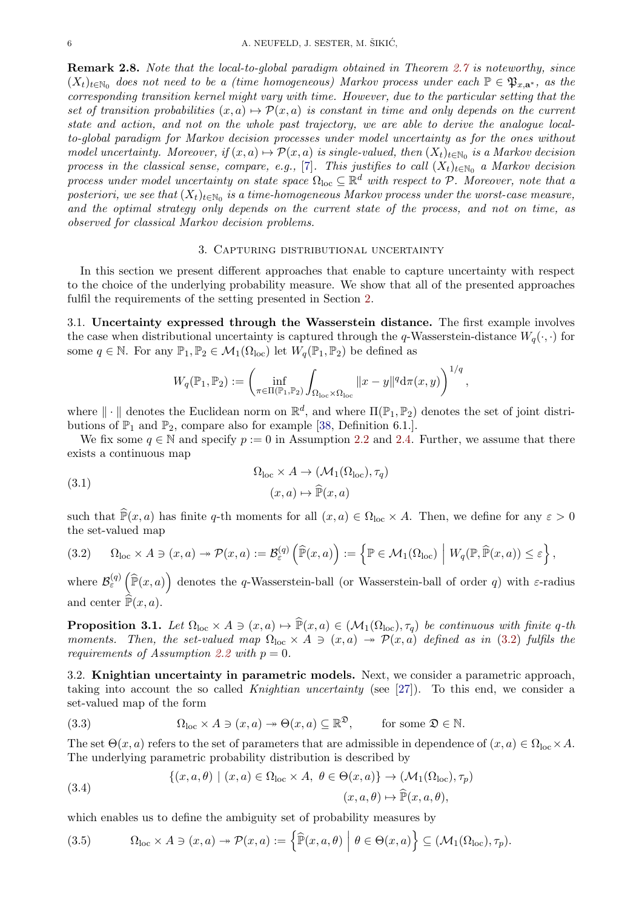Remark 2.8. Note that the local-to-global paradigm obtained in Theorem [2.7](#page-4-0) is noteworthy, since  $(X_t)_{t\in\mathbb{N}_0}$  does not need to be a (time homogeneous) Markov process under each  $\mathbb{P}\in\mathfrak{P}_{x,\mathbf{a}^*}$ , as the corresponding transition kernel might vary with time. However, due to the particular setting that the set of transition probabilities  $(x, a) \mapsto \mathcal{P}(x, a)$  is constant in time and only depends on the current state and action, and not on the whole past trajectory, we are able to derive the analogue localto-global paradigm for Markov decision processes under model uncertainty as for the ones without model uncertainty. Moreover, if  $(x, a) \mapsto \mathcal{P}(x, a)$  is single-valued, then  $(X_t)_{t \in \mathbb{N}_0}$  is a Markov decision process in the classical sense, compare, e.g., [\[7\]](#page-27-0). This justifies to call  $(X_t)_{t\in\mathbb{N}_0}$  a Markov decision process under model uncertainty on state space  $\Omega_{\text{loc}} \subseteq \mathbb{R}^d$  with respect to P. Moreover, note that a posteriori, we see that  $(X_t)_{t\in\mathbb{N}_0}$  is a time-homogeneous Markov process under the worst-case measure, and the optimal strategy only depends on the current state of the process, and not on time, as observed for classical Markov decision problems.

### 3. Capturing distributional uncertainty

<span id="page-5-0"></span>In this section we present different approaches that enable to capture uncertainty with respect to the choice of the underlying probability measure. We show that all of the presented approaches fulfil the requirements of the setting presented in Section [2.](#page-2-1)

<span id="page-5-5"></span>3.1. Uncertainty expressed through the Wasserstein distance. The first example involves the case when distributional uncertainty is captured through the q-Wasserstein-distance  $W_q(\cdot, \cdot)$  for some  $q \in \mathbb{N}$ . For any  $\mathbb{P}_1, \mathbb{P}_2 \in \mathcal{M}_1(\Omega_{loc})$  let  $W_q(\mathbb{P}_1, \mathbb{P}_2)$  be defined as

$$
W_q(\mathbb{P}_1, \mathbb{P}_2) := \left( \inf_{\pi \in \Pi(\mathbb{P}_1, \mathbb{P}_2)} \int_{\Omega_{\text{loc}} \times \Omega_{\text{loc}}} ||x - y||^q \text{d} \pi(x, y) \right)^{1/q},
$$

where  $\|\cdot\|$  denotes the Euclidean norm on  $\mathbb{R}^d$ , and where  $\Pi(\mathbb{P}_1, \mathbb{P}_2)$  denotes the set of joint distributions of  $\mathbb{P}_1$  and  $\mathbb{P}_2$ , compare also for example [\[38,](#page-27-23) Definition 6.1.].

We fix some  $q \in \mathbb{N}$  and specify  $p := 0$  in Assumption [2.2](#page-2-0) and [2.4.](#page-3-1) Further, we assume that there exists a continuous map

(3.1) 
$$
\Omega_{\text{loc}} \times A \to (\mathcal{M}_1(\Omega_{\text{loc}}), \tau_q) (x, a) \mapsto \widehat{\mathbb{P}}(x, a)
$$

such that  $\hat{\mathbb{P}}(x, a)$  has finite q-th moments for all  $(x, a) \in \Omega_{\text{loc}} \times A$ . Then, we define for any  $\varepsilon > 0$ the set-valued map

<span id="page-5-1"></span>
$$
(3.2) \qquad \Omega_{\text{loc}} \times A \ni (x, a) \twoheadrightarrow \mathcal{P}(x, a) := \mathcal{B}_{\varepsilon}^{(q)} \left( \widehat{\mathbb{P}}(x, a) \right) := \left\{ \mathbb{P} \in \mathcal{M}_1(\Omega_{\text{loc}}) \middle| W_q(\mathbb{P}, \widehat{\mathbb{P}}(x, a)) \le \varepsilon \right\},
$$

where  $\mathcal{B}_{\varepsilon}^{(q)}(\hat{\mathbb{P}}(x,a))$  denotes the q-Wasserstein-ball (or Wasserstein-ball of order q) with  $\varepsilon$ -radius and center  $\widehat{P}(x, a)$ .

<span id="page-5-6"></span>**Proposition 3.1.** Let  $\Omega_{\text{loc}} \times A \ni (x, a) \mapsto \hat{\mathbb{P}}(x, a) \in (\mathcal{M}_1(\Omega_{\text{loc}}), \tau_q)$  be continuous with finite q-th moments. Then, the set-valued map  $\Omega_{\text{loc}} \times A \ni (x, a) \rightarrow \mathcal{P}(x, a)$  defined as in [\(3.2\)](#page-5-1) fulfils the requirements of Assumption [2.2](#page-2-0) with  $p = 0$ .

<span id="page-5-7"></span>3.2. Knightian uncertainty in parametric models. Next, we consider a parametric approach, taking into account the so called Knightian uncertainty (see [\[27\]](#page-27-24)). To this end, we consider a set-valued map of the form

<span id="page-5-2"></span>(3.3) 
$$
\Omega_{\text{loc}} \times A \ni (x, a) \twoheadrightarrow \Theta(x, a) \subseteq \mathbb{R}^{\mathfrak{D}}, \quad \text{for some } \mathfrak{D} \in \mathbb{N}.
$$

The set  $\Theta(x, a)$  refers to the set of parameters that are admissible in dependence of  $(x, a) \in \Omega_{\text{loc}} \times A$ . The underlying parametric probability distribution is described by

<span id="page-5-3"></span>(3.4) 
$$
\{(x, a, \theta) \mid (x, a) \in \Omega_{\text{loc}} \times A, \ \theta \in \Theta(x, a)\} \to (\mathcal{M}_1(\Omega_{\text{loc}}), \tau_p) (x, a, \theta) \mapsto \widehat{\mathbb{P}}(x, a, \theta),
$$

which enables us to define the ambiguity set of probability measures by

<span id="page-5-4"></span>(3.5) 
$$
\Omega_{\text{loc}} \times A \ni (x, a) \twoheadrightarrow \mathcal{P}(x, a) := \left\{ \widehat{\mathbb{P}}(x, a, \theta) \middle| \theta \in \Theta(x, a) \right\} \subseteq (\mathcal{M}_1(\Omega_{\text{loc}}), \tau_p).
$$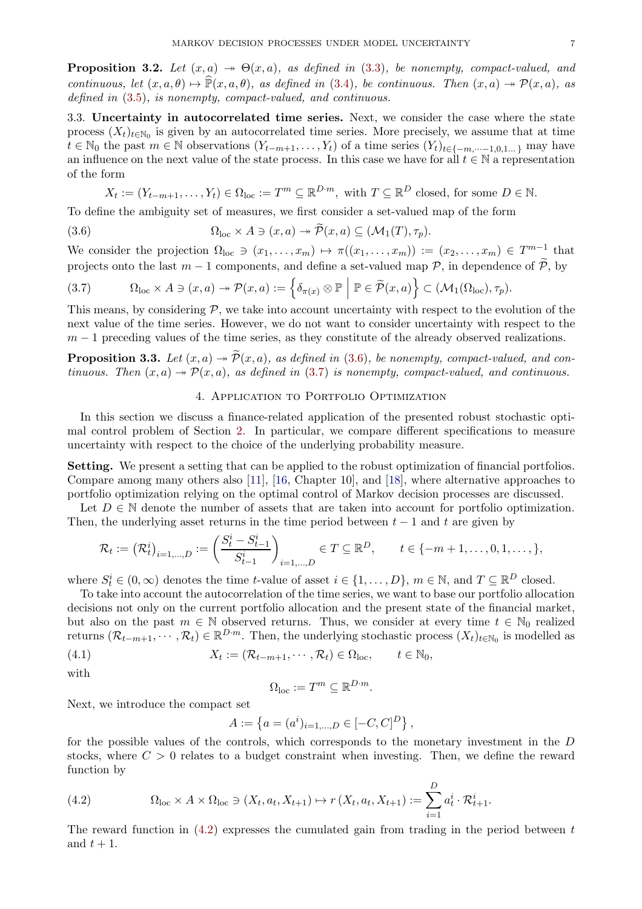<span id="page-6-6"></span>**Proposition 3.2.** Let  $(x, a) \rightarrow \Theta(x, a)$ , as defined in [\(3.3\)](#page-5-2), be nonempty, compact-valued, and continuous, let  $(x, a, \theta) \mapsto \hat{\mathbb{P}}(x, a, \theta)$ , as defined in [\(3.4\)](#page-5-3), be continuous. Then  $(x, a) \rightarrow \mathcal{P}(x, a)$ , as defined in  $(3.5)$ , is nonempty, compact-valued, and continuous.

<span id="page-6-5"></span>3.3. Uncertainty in autocorrelated time series. Next, we consider the case where the state process  $(X_t)_{t\in\mathbb{N}_0}$  is given by an autocorrelated time series. More precisely, we assume that at time  $t \in \mathbb{N}_0$  the past  $m \in \mathbb{N}$  observations  $(Y_{t-m+1}, \ldots, Y_t)$  of a time series  $(Y_t)_{t \in \{-m, \cdots, -1, 0, 1, \ldots\}}$  may have an influence on the next value of the state process. In this case we have for all  $t \in \mathbb{N}$  a representation of the form

<span id="page-6-1"></span>
$$
X_t := (Y_{t-m+1}, \ldots, Y_t) \in \Omega_{loc} := T^m \subseteq \mathbb{R}^{D \cdot m}
$$
, with  $T \subseteq \mathbb{R}^D$  closed, for some  $D \in \mathbb{N}$ .

To define the ambiguity set of measures, we first consider a set-valued map of the form

(3.6) 
$$
\Omega_{\text{loc}} \times A \ni (x, a) \twoheadrightarrow \widetilde{\mathcal{P}}(x, a) \subseteq (\mathcal{M}_1(T), \tau_p).
$$

We consider the projection  $\Omega_{\text{loc}} \ni (x_1, \ldots, x_m) \mapsto \pi((x_1, \ldots, x_m)) := (x_2, \ldots, x_m) \in T^{m-1}$  that projects onto the last  $m-1$  components, and define a set-valued map  $\mathcal{P}$ , in dependence of  $\tilde{\mathcal{P}}$ , by

<span id="page-6-2"></span>(3.7) 
$$
\Omega_{\text{loc}} \times A \ni (x, a) \to \mathcal{P}(x, a) := \left\{ \delta_{\pi(x)} \otimes \mathbb{P} \middle| \mathbb{P} \in \widetilde{\mathcal{P}}(x, a) \right\} \subset (\mathcal{M}_1(\Omega_{\text{loc}}), \tau_p).
$$

This means, by considering  $P$ , we take into account uncertainty with respect to the evolution of the next value of the time series. However, we do not want to consider uncertainty with respect to the  $m-1$  preceding values of the time series, as they constitute of the already observed realizations.

<span id="page-6-7"></span><span id="page-6-0"></span>**Proposition 3.3.** Let  $(x, a) \rightarrow \tilde{\mathcal{P}}(x, a)$ , as defined in [\(3.6\)](#page-6-1), be nonempty, compact-valued, and continuous. Then  $(x, a) \rightarrow \mathcal{P}(x, a)$ , as defined in [\(3.7\)](#page-6-2) is nonempty, compact-valued, and continuous.

## 4. Application to Portfolio Optimization

In this section we discuss a finance-related application of the presented robust stochastic optimal control problem of Section [2.](#page-2-1) In particular, we compare different specifications to measure uncertainty with respect to the choice of the underlying probability measure.

<span id="page-6-4"></span>Setting. We present a setting that can be applied to the robust optimization of financial portfolios. Compare among many others also [\[11\]](#page-27-25), [\[16,](#page-27-9) Chapter 10], and [\[18\]](#page-27-26), where alternative approaches to portfolio optimization relying on the optimal control of Markov decision processes are discussed.

Let  $D \in \mathbb{N}$  denote the number of assets that are taken into account for portfolio optimization. Then, the underlying asset returns in the time period between  $t - 1$  and t are given by

$$
\mathcal{R}_t := (\mathcal{R}_t^i)_{i=1,\dots,D} := \left( \frac{S_t^i - S_{t-1}^i}{S_{t-1}^i} \right)_{i=1,\dots,D} \in T \subseteq \mathbb{R}^D, \qquad t \in \{-m+1,\dots,0,1,\dots,\},
$$

where  $S_t^i \in (0, \infty)$  denotes the time t-value of asset  $i \in \{1, ..., D\}$ ,  $m \in \mathbb{N}$ , and  $T \subseteq \mathbb{R}^D$  closed.

To take into account the autocorrelation of the time series, we want to base our portfolio allocation decisions not only on the current portfolio allocation and the present state of the financial market, but also on the past  $m \in \mathbb{N}$  observed returns. Thus, we consider at every time  $t \in \mathbb{N}_0$  realized returns  $(\mathcal{R}_{t-m+1},\cdots,\mathcal{R}_t)\in\mathbb{R}^{D\cdot m}$ . Then, the underlying stochastic process  $(X_t)_{t\in\mathbb{N}_0}$  is modelled as

(4.1) 
$$
X_t := (\mathcal{R}_{t-m+1}, \cdots, \mathcal{R}_t) \in \Omega_{loc}, \qquad t \in \mathbb{N}_0,
$$

with

$$
\Omega_{\rm loc} := T^m \subseteq \mathbb{R}^{D \cdot m}.
$$

Next, we introduce the compact set

$$
A := \left\{ a = (a^i)_{i=1,\dots,D} \in [-C, C]^D \right\},\
$$

for the possible values of the controls, which corresponds to the monetary investment in the D stocks, where  $C > 0$  relates to a budget constraint when investing. Then, we define the reward function by

<span id="page-6-3"></span>(4.2) 
$$
\Omega_{\text{loc}} \times A \times \Omega_{\text{loc}} \ni (X_t, a_t, X_{t+1}) \mapsto r(X_t, a_t, X_{t+1}) := \sum_{i=1}^D a_t^i \cdot \mathcal{R}_{t+1}^i.
$$

The reward function in  $(4.2)$  expresses the cumulated gain from trading in the period between t and  $t + 1$ .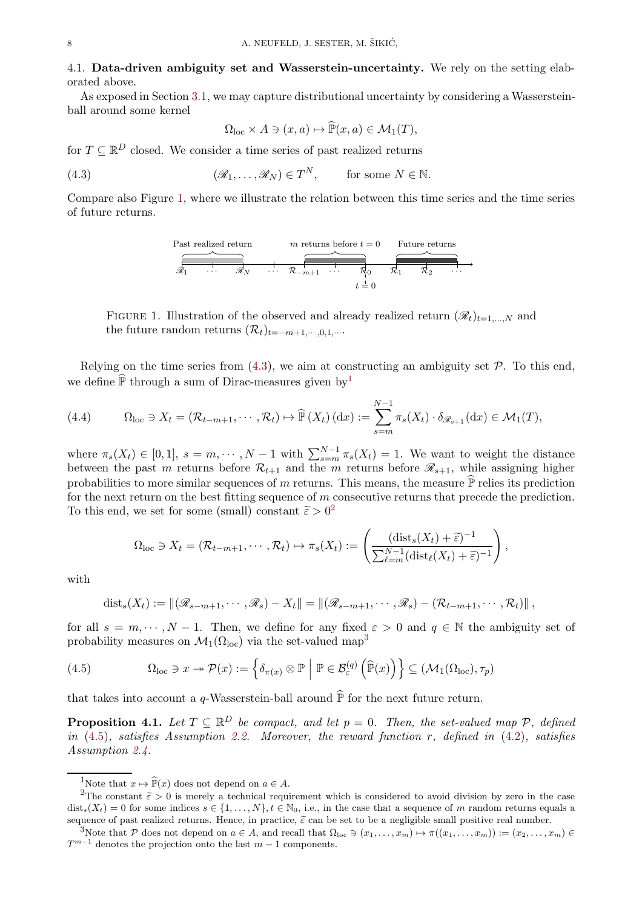<span id="page-7-6"></span>4.1. Data-driven ambiguity set and Wasserstein-uncertainty. We rely on the setting elaborated above.

As exposed in Section [3.1,](#page-5-5) we may capture distributional uncertainty by considering a Wassersteinball around some kernel

<span id="page-7-1"></span>
$$
\Omega_{\text{loc}} \times A \ni (x, a) \mapsto \widehat{\mathbb{P}}(x, a) \in \mathcal{M}_1(T),
$$

for  $T \subseteq \mathbb{R}^D$  closed. We consider a time series of past realized returns

(4.3) 
$$
(\mathcal{R}_1, ..., \mathcal{R}_N) \in T^N
$$
, for some  $N \in \mathbb{N}$ .

Compare also Figure [1,](#page-7-0) where we illustrate the relation between this time series and the time series of future returns.

Fast realized return

\n

| m returns before $t = 0$ | Future returns |                 |          |                      |          |                 |                 |                 |          |
|--------------------------|----------------|-----------------|----------|----------------------|----------|-----------------|-----------------|-----------------|----------|
| $\mathcal{R}_1$          | $\ldots$       | $\mathcal{R}_N$ | $\ldots$ | $\mathcal{R}_{-m+1}$ | $\ldots$ | $\mathcal{R}_0$ | $\mathcal{R}_1$ | $\mathcal{R}_2$ | $\ldots$ |
| $t = 0$                  |                |                 |          |                      |          |                 |                 |                 |          |

<span id="page-7-0"></span>FIGURE 1. Illustration of the observed and already realized return  $(\mathscr{R}_t)_{t=1,\ldots,N}$  and the future random returns  $(\mathcal{R}_t)_{t=-m+1,\cdots,0,1,\cdots}$ 

Relying on the time series from  $(4.3)$ , we aim at constructing an ambiguity set  $P$ . To this end, we define  $\hat{P}$  through a sum of Dirac-measures given by<sup>[1](#page-7-2)</sup>

(4.4) 
$$
\Omega_{\text{loc}} \ni X_t = (\mathcal{R}_{t-m+1}, \cdots, \mathcal{R}_t) \mapsto \widehat{\mathbb{P}}(X_t) \,(\mathrm{d}x) := \sum_{s=m}^{N-1} \pi_s(X_t) \cdot \delta_{\mathscr{R}_{s+1}}(\mathrm{d}x) \in \mathcal{M}_1(T),
$$

where  $\pi_s(X_t) \in [0,1], s = m, \dots, N-1$  with  $\sum_{s=m}^{N-1} \pi_s(X_t) = 1$ . We want to weight the distance between the past m returns before  $\mathcal{R}_{t+1}$  and the m returns before  $\mathscr{R}_{s+1}$ , while assigning higher probabilities to more similar sequences of m returns. This means, the measure  $\hat{P}$  relies its prediction for the next return on the best fitting sequence of m consecutive returns that precede the prediction. To this end, we set for some (small) constant  $\tilde{\varepsilon} > 0^2$  $\tilde{\varepsilon} > 0^2$ 

$$
\Omega_{\text{loc}} \ni X_t = (\mathcal{R}_{t-m+1}, \cdots, \mathcal{R}_t) \mapsto \pi_s(X_t) := \left(\frac{(\text{dist}_s(X_t) + \tilde{\varepsilon})^{-1}}{\sum_{\ell=m}^{N-1} (\text{dist}_\ell(X_t) + \tilde{\varepsilon})^{-1}}\right),
$$

with

<span id="page-7-5"></span>
$$
dist_s(X_t) := \left\| \left( \mathcal{R}_{s-m+1}, \cdots, \mathcal{R}_s \right) - X_t \right\| = \left\| \left( \mathcal{R}_{s-m+1}, \cdots, \mathcal{R}_s \right) - \left( \mathcal{R}_{t-m+1}, \cdots, \mathcal{R}_t \right) \right\|,
$$

for all  $s = m, \dots, N - 1$ . Then, we define for any fixed  $\varepsilon > 0$  and  $q \in \mathbb{N}$  the ambiguity set of probability measures on  $\mathcal{M}_1(\Omega_{\text{loc}})$  via the set-valued map<sup>[3](#page-7-4)</sup>

(4.5) 
$$
\Omega_{\text{loc}} \ni x \to \mathcal{P}(x) := \left\{ \delta_{\pi(x)} \otimes \mathbb{P} \middle| \mathbb{P} \in \mathcal{B}_{\varepsilon}^{(q)} \left( \widehat{\mathbb{P}}(x) \right) \right\} \subseteq (\mathcal{M}_1(\Omega_{\text{loc}}), \tau_p)
$$

that takes into account a q-Wasserstein-ball around  $\hat{P}$  for the next future return.

<span id="page-7-7"></span>**Proposition 4.1.** Let  $T \subseteq \mathbb{R}^D$  be compact, and let  $p = 0$ . Then, the set-valued map  $\mathcal{P}$ , defined in  $(4.5)$ , satisfies Assumption [2.2.](#page-2-0) Moreover, the reward function r, defined in  $(4.2)$ , satisfies Assumption [2.4.](#page-3-1)

<span id="page-7-2"></span><sup>&</sup>lt;sup>1</sup>Note that  $x \mapsto \widehat{\mathbb{P}}(x)$  does not depend on  $a \in A$ .

<span id="page-7-3"></span><sup>&</sup>lt;sup>2</sup>The constant  $\tilde{\varepsilon} > 0$  is merely a technical requirement which is considered to avoid division by zero in the case  $dist_s(X_t) = 0$  for some indices  $s \in \{1, \ldots, N\}, t \in \mathbb{N}_0$ , i.e., in the case that a sequence of m random returns equals a sequence of past realized returns. Hence, in practice,  $\tilde{\varepsilon}$  can be set to be a negligible small positive real number.

<span id="page-7-4"></span><sup>3</sup>Note that P does not depend on  $a \in A$ , and recall that  $\Omega_{\text{loc}} \ni (x_1, \ldots, x_m) \mapsto \pi((x_1, \ldots, x_m)) := (x_2, \ldots, x_m) \in$  $T^{m-1}$  denotes the projection onto the last  $m-1$  components.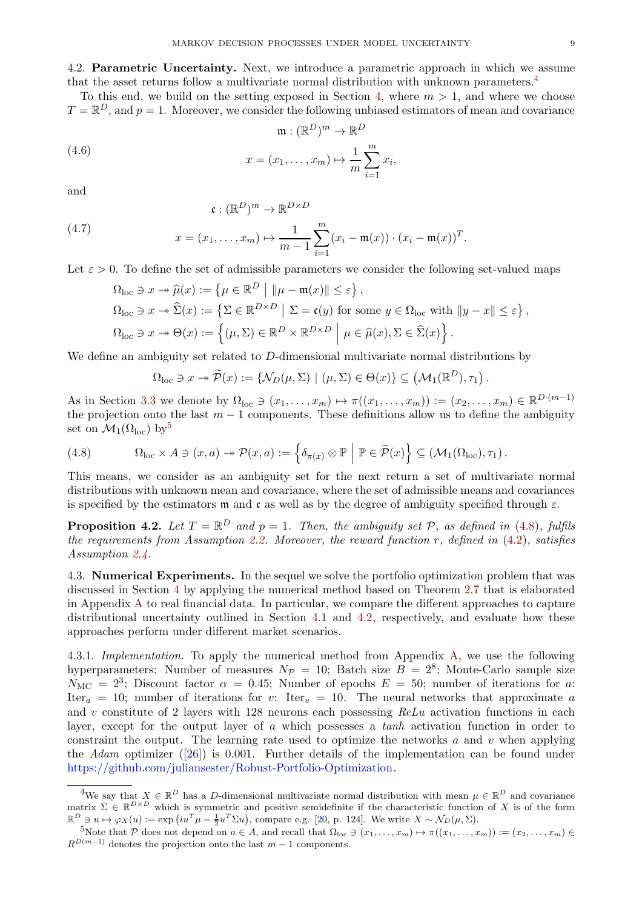<span id="page-8-3"></span>4.2. Parametric Uncertainty. Next, we introduce a parametric approach in which we assume that the asset returns follow a multivariate normal distribution with unknown parameters.[4](#page-8-0)

To this end, we build on the setting exposed in Section [4,](#page-6-4) where  $m > 1$ , and where we choose  $T = \mathbb{R}^D$ , and  $p = 1$ . Moreover, we consider the following unbiased estimators of mean and covariance

(4.6) 
$$
\mathfrak{m}: (\mathbb{R}^D)^m \to \mathbb{R}^D
$$

$$
x = (x_1, \dots, x_m) \mapsto \frac{1}{m} \sum_{i=1}^m x_i,
$$

and

$$
\mathfrak{c}: (\mathbb{R}^D)^m \to \mathbb{R}^{D \times D}
$$

(4.7) 
$$
x = (x_1, ..., x_m) \mapsto \frac{1}{m-1} \sum_{i=1}^m (x_i - \mathfrak{m}(x)) \cdot (x_i - \mathfrak{m}(x))^T.
$$

Let  $\varepsilon > 0$ . To define the set of admissible parameters we consider the following set-valued maps

$$
\Omega_{\text{loc}} \ni x \to \widehat{\mu}(x) := \left\{ \mu \in \mathbb{R}^D \mid \|\mu - \mathfrak{m}(x)\| \le \varepsilon \right\},
$$
  
\n
$$
\Omega_{\text{loc}} \ni x \to \widehat{\Sigma}(x) := \left\{ \Sigma \in \mathbb{R}^{D \times D} \mid \Sigma = \mathfrak{c}(y) \text{ for some } y \in \Omega_{\text{loc}} \text{ with } \|y - x\| \le \varepsilon \right\},
$$
  
\n
$$
\Omega_{\text{loc}} \ni x \to \Theta(x) := \left\{ (\mu, \Sigma) \in \mathbb{R}^D \times \mathbb{R}^{D \times D} \mid \mu \in \widehat{\mu}(x), \Sigma \in \widehat{\Sigma}(x) \right\}.
$$

We define an ambiguity set related to D-dimensional multivariate normal distributions by

$$
\Omega_{\text{loc}} \ni x \to \widetilde{\mathcal{P}}(x) := \{ \mathcal{N}_D(\mu, \Sigma) \mid (\mu, \Sigma) \in \Theta(x) \} \subseteq \left( \mathcal{M}_1(\mathbb{R}^D), \tau_1 \right).
$$

As in Section [3.3](#page-6-5) we denote by  $\Omega_{\text{loc}} \ni (x_1, \ldots, x_m) \mapsto \pi((x_1, \ldots, x_m)) := (x_2, \ldots, x_m) \in \mathbb{R}^{D \cdot (m-1)}$ the projection onto the last  $m-1$  components. These definitions allow us to define the ambiguity set on  $\mathcal{M}_1(\Omega_{\text{loc}})$  by<sup>[5](#page-8-1)</sup>

<span id="page-8-2"></span>(4.8) 
$$
\Omega_{\text{loc}} \times A \ni (x, a) \to \mathcal{P}(x, a) := \left\{ \delta_{\pi(x)} \otimes \mathbb{P} \middle| \mathbb{P} \in \widetilde{\mathcal{P}}(x) \right\} \subseteq (\mathcal{M}_1(\Omega_{\text{loc}}), \tau_1).
$$

This means, we consider as an ambiguity set for the next return a set of multivariate normal distributions with unknown mean and covariance, where the set of admissible means and covariances is specified by the estimators  $\mathfrak m$  and  $\mathfrak c$  as well as by the degree of ambiguity specified through  $\varepsilon$ .

<span id="page-8-4"></span>**Proposition 4.2.** Let  $T = \mathbb{R}^D$  and  $p = 1$ . Then, the ambiguity set  $P$ , as defined in [\(4.8\)](#page-8-2), fulfils the requirements from Assumption [2.2.](#page-2-0) Moreover, the reward function r, defined in  $(4.2)$ , satisfies Assumption [2.4.](#page-3-1)

4.3. Numerical Experiments. In the sequel we solve the portfolio optimization problem that was discussed in Section [4](#page-6-4) by applying the numerical method based on Theorem [2.7](#page-4-0) that is elaborated in Appendix [A](#page-24-0) to real financial data. In particular, we compare the different approaches to capture distributional uncertainty outlined in Section [4.1](#page-7-6) and [4.2,](#page-8-3) respectively, and evaluate how these approaches perform under different market scenarios.

4.3.1. Implementation. To apply the numerical method from Appendix [A,](#page-24-0) we use the following hyperparameters: Number of measures  $N_p = 10$ ; Batch size  $B = 2^8$ ; Monte-Carlo sample size  $N_{\text{MC}} = 2^3$ ; Discount factor  $\alpha = 0.45$ ; Number of epochs  $E = 50$ ; number of iterations for a: Iter<sub>a</sub> = 10; number of iterations for v: Iter<sub>v</sub> = 10. The neural networks that approximate a and v constitute of 2 layers with 128 neurons each possessing  $ReLu$  activation functions in each layer, except for the output layer of a which possesses a tanh activation function in order to constraint the output. The learning rate used to optimize the networks  $a$  and  $v$  when applying the Adam optimizer ([\[26\]](#page-27-27)) is 0.001. Further details of the implementation can be found under [https://github.com/juliansester/Robust-Portfolio-Optimization.](https://github.com/juliansester/Robust-Portfolio-Optimization)

<span id="page-8-0"></span><sup>&</sup>lt;sup>4</sup>We say that  $X \in \mathbb{R}^D$  has a D-dimensional multivariate normal distribution with mean  $\mu \in \mathbb{R}^D$  and covariance matrix  $\Sigma \in \mathbb{R}^{D \times D}$  which is symmetric and positive semidefinite if the characteristic function of X is of the form  $\mathbb{R}^D \ni u \mapsto \varphi_X(u) := \exp\left(iu^T\mu - \frac{1}{2}u^T\Sigma u\right),$  compare e.g. [\[20,](#page-27-28) p. 124]. We write  $X \sim \mathcal{N}_D(\mu, \Sigma)$ .

<span id="page-8-1"></span><sup>5</sup>Note that P does not depend on  $a \in A$ , and recall that  $\Omega_{\text{loc}} \ni (x_1, \ldots, x_m) \mapsto \pi((x_1, \ldots, x_m)) := (x_2, \ldots, x_m) \in$  $R^{D(m-1)}$  denotes the projection onto the last  $m-1$  components.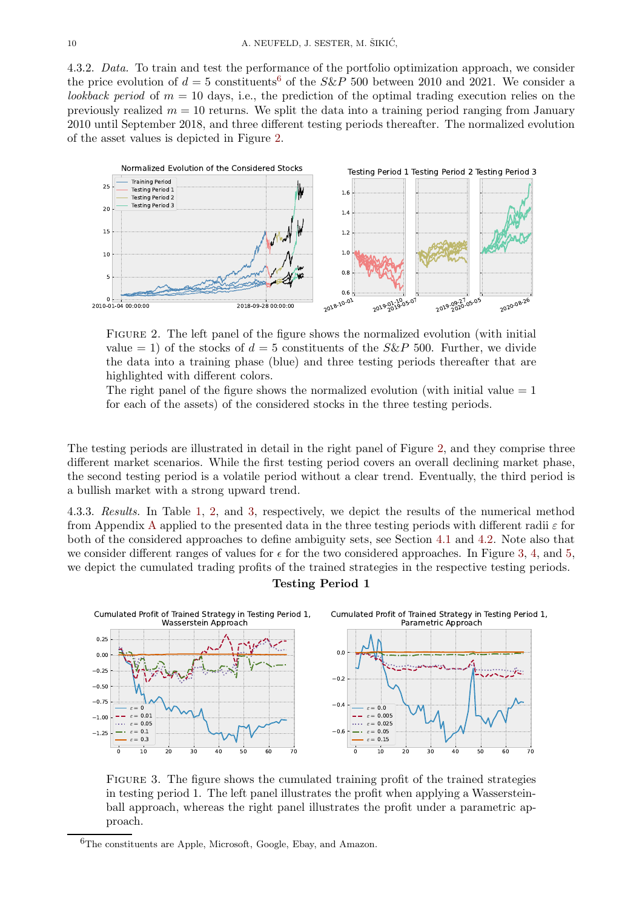4.3.2. Data. To train and test the performance of the portfolio optimization approach, we consider the price evolution of  $d=5$  constituents<sup>[6](#page-9-0)</sup> of the  $S\&P$  500 between 2010 and 2021. We consider a lookback period of  $m = 10$  days, i.e., the prediction of the optimal trading execution relies on the previously realized  $m = 10$  returns. We split the data into a training period ranging from January 2010 until September 2018, and three different testing periods thereafter. The normalized evolution of the asset values is depicted in Figure [2.](#page-9-1)



<span id="page-9-1"></span>Figure 2. The left panel of the figure shows the normalized evolution (with initial value = 1) of the stocks of  $d = 5$  constituents of the S&P 500. Further, we divide the data into a training phase (blue) and three testing periods thereafter that are highlighted with different colors.

The right panel of the figure shows the normalized evolution (with initial value  $= 1$ ) for each of the assets) of the considered stocks in the three testing periods.

The testing periods are illustrated in detail in the right panel of Figure [2,](#page-9-1) and they comprise three different market scenarios. While the first testing period covers an overall declining market phase, the second testing period is a volatile period without a clear trend. Eventually, the third period is a bullish market with a strong upward trend.

4.3.3. Results. In Table [1,](#page-10-0) [2,](#page-10-1) and [3,](#page-11-0) respectively, we depict the results of the numerical method from [A](#page-24-0)ppendix A applied to the presented data in the three testing periods with different radii  $\varepsilon$  for both of the considered approaches to define ambiguity sets, see Section [4.1](#page-7-6) and [4.2.](#page-8-3) Note also that we consider different ranges of values for  $\epsilon$  for the two considered approaches. In Figure [3,](#page-9-2) [4,](#page-10-2) and [5,](#page-11-1) we depict the cumulated trading profits of the trained strategies in the respective testing periods.



Testing Period 1



 $-0.6$ 

 $\cdots$ 

 $-0.4$ 

 $\varepsilon = 0.0$  $\varepsilon = 0.005$  $\varepsilon = 0.025$  $\varepsilon = 0.05$  $\varepsilon = 0.15$ 

0 10 20 30 40 50 60 7

0

 $\frac{1}{70}$ 

<span id="page-9-2"></span>0 10 20 30 40 50 60 7

 $-1.$ 25  $-1.00$  $-0.75$  $-0.50$  $-0.25$  $0.00$ 0.25

ε  $\varepsilon = 0.01$  $\varepsilon = 0.05$  $\varepsilon = 0.1$  $\varepsilon = 0.3$ 

<span id="page-9-0"></span><sup>6</sup>The constituents are Apple, Microsoft, Google, Ebay, and Amazon.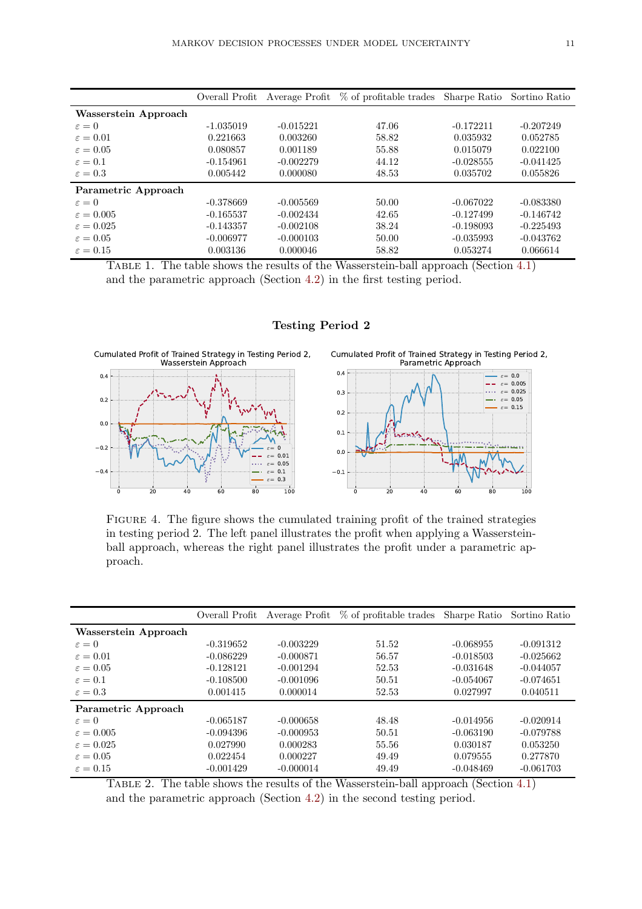|                       | Overall Profit |             | Average Profit % of profitable trades Sharpe Ratio Sortino Ratio |             |             |
|-----------------------|----------------|-------------|------------------------------------------------------------------|-------------|-------------|
| Wasserstein Approach  |                |             |                                                                  |             |             |
| $\varepsilon = 0$     | $-1.035019$    | $-0.015221$ | 47.06                                                            | $-0.172211$ | $-0.207249$ |
| $\varepsilon = 0.01$  | 0.221663       | 0.003260    | 58.82                                                            | 0.035932    | 0.052785    |
| $\varepsilon = 0.05$  | 0.080857       | 0.001189    | 55.88                                                            | 0.015079    | 0.022100    |
| $\varepsilon = 0.1$   | $-0.154961$    | $-0.002279$ | 44.12                                                            | $-0.028555$ | $-0.041425$ |
| $\varepsilon = 0.3$   | 0.005442       | 0.000080    | 48.53                                                            | 0.035702    | 0.055826    |
| Parametric Approach   |                |             |                                                                  |             |             |
| $\varepsilon = 0$     | $-0.378669$    | $-0.005569$ | 50.00                                                            | $-0.067022$ | $-0.083380$ |
| $\varepsilon = 0.005$ | $-0.165537$    | $-0.002434$ | 42.65                                                            | $-0.127499$ | $-0.146742$ |
| $\varepsilon = 0.025$ | $-0.143357$    | $-0.002108$ | 38.24                                                            | $-0.198093$ | $-0.225493$ |
| $\varepsilon = 0.05$  | $-0.006977$    | $-0.000103$ | 50.00                                                            | $-0.035993$ | $-0.043762$ |
| $\varepsilon = 0.15$  | 0.003136       | 0.000046    | 58.82                                                            | 0.053274    | 0.066614    |

<span id="page-10-0"></span>Table 1. The table shows the results of the Wasserstein-ball approach (Section [4.1\)](#page-7-6) and the parametric approach (Section [4.2\)](#page-8-3) in the first testing period.

# Testing Period 2



<span id="page-10-2"></span>Figure 4. The figure shows the cumulated training profit of the trained strategies in testing period 2. The left panel illustrates the profit when applying a Wassersteinball approach, whereas the right panel illustrates the profit under a parametric approach.

|                       | Overall Profit |             | Average Profit $\%$ of profitable trades | Sharpe Ratio | Sortino Ratio |
|-----------------------|----------------|-------------|------------------------------------------|--------------|---------------|
| Wasserstein Approach  |                |             |                                          |              |               |
| $\varepsilon = 0$     | $-0.319652$    | $-0.003229$ | 51.52                                    | $-0.068955$  | $-0.091312$   |
| $\varepsilon = 0.01$  | $-0.086229$    | $-0.000871$ | 56.57                                    | $-0.018503$  | $-0.025662$   |
| $\varepsilon = 0.05$  | $-0.128121$    | $-0.001294$ | 52.53                                    | $-0.031648$  | $-0.044057$   |
| $\varepsilon = 0.1$   | $-0.108500$    | $-0.001096$ | 50.51                                    | $-0.054067$  | $-0.074651$   |
| $\varepsilon = 0.3$   | 0.001415       | 0.000014    | 52.53                                    | 0.027997     | 0.040511      |
| Parametric Approach   |                |             |                                          |              |               |
| $\varepsilon = 0$     | $-0.065187$    | $-0.000658$ | 48.48                                    | $-0.014956$  | $-0.020914$   |
| $\varepsilon = 0.005$ | $-0.094396$    | $-0.000953$ | 50.51                                    | $-0.063190$  | $-0.079788$   |
| $\varepsilon = 0.025$ | 0.027990       | 0.000283    | 55.56                                    | 0.030187     | 0.053250      |
| $\varepsilon = 0.05$  | 0.022454       | 0.000227    | 49.49                                    | 0.079555     | 0.277870      |
| $\varepsilon = 0.15$  | $-0.001429$    | $-0.000014$ | 49.49                                    | $-0.048469$  | $-0.061703$   |

<span id="page-10-1"></span>TABLE 2. The table shows the results of the Wasserstein-ball approach (Section [4.1\)](#page-7-6) and the parametric approach (Section [4.2\)](#page-8-3) in the second testing period.

 $\frac{1}{0}$  00

 $\varepsilon = 0.0$  $\varepsilon = 0.005$  $\varepsilon = 0.025$  $\varepsilon = 0.05$  $\varepsilon = 0.15$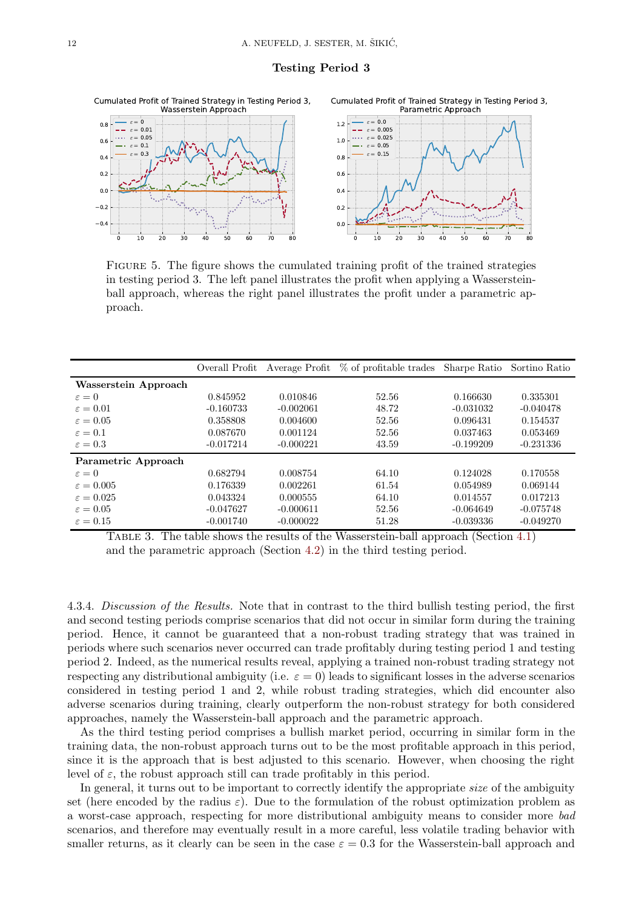## Testing Period 3



<span id="page-11-1"></span>Figure 5. The figure shows the cumulated training profit of the trained strategies in testing period 3. The left panel illustrates the profit when applying a Wassersteinball approach, whereas the right panel illustrates the profit under a parametric approach.

|                       | Overall Profit |             | Average Profit % of profitable trades Sharpe Ratio |             | Sortino Ratio |
|-----------------------|----------------|-------------|----------------------------------------------------|-------------|---------------|
| Wasserstein Approach  |                |             |                                                    |             |               |
| $\varepsilon = 0$     | 0.845952       | 0.010846    | 52.56                                              | 0.166630    | 0.335301      |
| $\varepsilon = 0.01$  | $-0.160733$    | $-0.002061$ | 48.72                                              | $-0.031032$ | $-0.040478$   |
| $\varepsilon = 0.05$  | 0.358808       | 0.004600    | 52.56                                              | 0.096431    | 0.154537      |
| $\varepsilon = 0.1$   | 0.087670       | 0.001124    | 52.56                                              | 0.037463    | 0.053469      |
| $\varepsilon = 0.3$   | $-0.017214$    | $-0.000221$ | 43.59                                              | $-0.199209$ | $-0.231336$   |
| Parametric Approach   |                |             |                                                    |             |               |
| $\varepsilon = 0$     | 0.682794       | 0.008754    | 64.10                                              | 0.124028    | 0.170558      |
| $\varepsilon = 0.005$ | 0.176339       | 0.002261    | 61.54                                              | 0.054989    | 0.069144      |
| $\varepsilon = 0.025$ | 0.043324       | 0.000555    | 64.10                                              | 0.014557    | 0.017213      |
| $\varepsilon = 0.05$  | $-0.047627$    | $-0.000611$ | 52.56                                              | $-0.064649$ | $-0.075748$   |
| $\varepsilon = 0.15$  | $-0.001740$    | $-0.000022$ | 51.28                                              | $-0.039336$ | $-0.049270$   |

<span id="page-11-0"></span>TABLE 3. The table shows the results of the Wasserstein-ball approach (Section [4.1\)](#page-7-6) and the parametric approach (Section [4.2\)](#page-8-3) in the third testing period.

4.3.4. Discussion of the Results. Note that in contrast to the third bullish testing period, the first and second testing periods comprise scenarios that did not occur in similar form during the training period. Hence, it cannot be guaranteed that a non-robust trading strategy that was trained in periods where such scenarios never occurred can trade profitably during testing period 1 and testing period 2. Indeed, as the numerical results reveal, applying a trained non-robust trading strategy not respecting any distributional ambiguity (i.e.  $\varepsilon = 0$ ) leads to significant losses in the adverse scenarios considered in testing period 1 and 2, while robust trading strategies, which did encounter also adverse scenarios during training, clearly outperform the non-robust strategy for both considered approaches, namely the Wasserstein-ball approach and the parametric approach.

As the third testing period comprises a bullish market period, occurring in similar form in the training data, the non-robust approach turns out to be the most profitable approach in this period, since it is the approach that is best adjusted to this scenario. However, when choosing the right level of  $\varepsilon$ , the robust approach still can trade profitably in this period.

In general, it turns out to be important to correctly identify the appropriate size of the ambiguity set (here encoded by the radius  $\varepsilon$ ). Due to the formulation of the robust optimization problem as a worst-case approach, respecting for more distributional ambiguity means to consider more bad scenarios, and therefore may eventually result in a more careful, less volatile trading behavior with smaller returns, as it clearly can be seen in the case  $\varepsilon = 0.3$  for the Wasserstein-ball approach and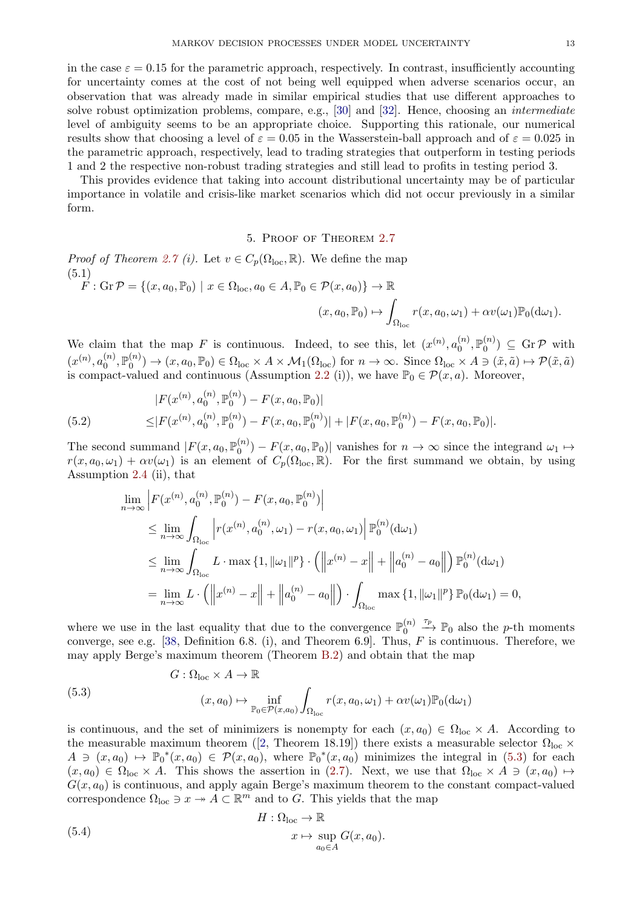in the case  $\varepsilon = 0.15$  for the parametric approach, respectively. In contrast, insufficiently accounting for uncertainty comes at the cost of not being well equipped when adverse scenarios occur, an observation that was already made in similar empirical studies that use different approaches to solve robust optimization problems, compare, e.g., [\[30\]](#page-27-29) and [\[32\]](#page-27-30). Hence, choosing an intermediate level of ambiguity seems to be an appropriate choice. Supporting this rationale, our numerical results show that choosing a level of  $\varepsilon = 0.05$  in the Wasserstein-ball approach and of  $\varepsilon = 0.025$  in the parametric approach, respectively, lead to trading strategies that outperform in testing periods 1 and 2 the respective non-robust trading strategies and still lead to profits in testing period 3.

This provides evidence that taking into account distributional uncertainty may be of particular importance in volatile and crisis-like market scenarios which did not occur previously in a similar form.

### 5. Proof of Theorem [2.7](#page-4-0)

<span id="page-12-0"></span>*Proof of Theorem [2.7](#page-4-0) (i).* Let  $v \in C_p(\Omega_{\text{loc}}, \mathbb{R})$ . We define the map (5.1)  $F:$  Gr  $\mathcal{P} = \{(x, a_0, \mathbb{P}_0) \mid x \in \Omega_{\text{loc}}, a_0 \in A, \mathbb{P}_0 \in \mathcal{P}(x, a_0)\} \to \mathbb{R}$  $(x, a_0, \mathbb{P}_0) \mapsto$ Z  $\Omega_{\text{loc}}$  $r(x, a_0, \omega_1) + \alpha v(\omega_1) \mathbb{P}_0(\mathrm{d}\omega_1).$ 

We claim that the map F is continuous. Indeed, to see this, let  $(x^{(n)}, a_0^{(n)})$  $_{0}^{\left( n\right) },\mathbb{P}_{0}^{\left( n\right) }$  $\binom{n}{0} \subseteq$  Gr $P$  with  $(x^{(n)}, a_0^{(n)})$  $_{0}^{\left( n\right) },\mathbb{P}_{0}^{\left( n\right) }$  $\mathcal{O}(n^{\{n\}}) \to (x, a_0, \mathbb{P}_0) \in \Omega_{loc} \times A \times \mathcal{M}_1(\Omega_{loc})$  for  $n \to \infty$ . Since  $\Omega_{loc} \times A \ni (\tilde{x}, \tilde{a}) \mapsto \mathcal{P}(\tilde{x}, \tilde{a})$ is compact-valued and continuous (Assumption [2.2](#page-2-0) (i)), we have  $\mathbb{P}_0 \in \mathcal{P}(x, a)$ . Moreover,

$$
|F(x^{(n)}, a_0^{(n)}, \mathbb{P}_0^{(n)}) - F(x, a_0, \mathbb{P}_0)|
$$
  
(5.2) 
$$
\leq |F(x^{(n)}, a_0^{(n)}, \mathbb{P}_0^{(n)}) - F(x, a_0, \mathbb{P}_0^{(n)})| + |F(x, a_0, \mathbb{P}_0^{(n)}) - F(x, a_0, \mathbb{P}_0)|.
$$

The second summand  $|F(x, a_0, \mathbb{P}_0^{(n)})|$  $\mathcal{O}_0^{(n)}$  –  $F(x, a_0, \mathbb{P}_0)$  vanishes for  $n \to \infty$  since the integrand  $\omega_1 \mapsto$  $r(x, a_0, \omega_1) + \alpha v(\omega_1)$  is an element of  $C_p(\Omega_{\text{loc}}, \mathbb{R})$ . For the first summand we obtain, by using Assumption [2.4](#page-3-1) (ii), that

$$
\lim_{n \to \infty} \left| F(x^{(n)}, a_0^{(n)}, \mathbb{P}_0^{(n)}) - F(x, a_0, \mathbb{P}_0^{(n)}) \right|
$$
\n
$$
\leq \lim_{n \to \infty} \int_{\Omega_{\text{loc}}} \left| r(x^{(n)}, a_0^{(n)}, \omega_1) - r(x, a_0, \omega_1) \right| \mathbb{P}_0^{(n)}(\text{d}\omega_1)
$$
\n
$$
\leq \lim_{n \to \infty} \int_{\Omega_{\text{loc}}} L \cdot \max \{1, \|\omega_1\|^p\} \cdot \left( \left\| x^{(n)} - x \right\| + \left\| a_0^{(n)} - a_0 \right\| \right) \mathbb{P}_0^{(n)}(\text{d}\omega_1)
$$
\n
$$
= \lim_{n \to \infty} L \cdot \left( \left\| x^{(n)} - x \right\| + \left\| a_0^{(n)} - a_0 \right\| \right) \cdot \int_{\Omega_{\text{loc}}} \max \{1, \|\omega_1\|^p\} \mathbb{P}_0(\text{d}\omega_1) = 0,
$$

where we use in the last equality that due to the convergence  $\mathbb{P}_0^{(n)}$  $\mathbf{0}$  $\stackrel{\tau_p}{\longrightarrow}$   $\mathbb{P}_0$  also the *p*-th moments converge, see e.g. [\[38,](#page-27-23) Definition 6.8. (i), and Theorem 6.9]. Thus, F is continuous. Therefore, we may apply Berge's maximum theorem (Theorem [B.2\)](#page-26-8) and obtain that the map

<span id="page-12-1"></span>(5.3) 
$$
G: \Omega_{\text{loc}} \times A \to \mathbb{R}
$$

$$
(x, a_0) \mapsto \inf_{\mathbb{P}_0 \in \mathcal{P}(x, a_0)} \int_{\Omega_{\text{loc}}} r(x, a_0, \omega_1) + \alpha v(\omega_1) \mathbb{P}_0(\text{d}\omega_1)
$$

is continuous, and the set of minimizers is nonempty for each  $(x, a_0) \in \Omega_{\text{loc}} \times A$ . According to the measurable maximum theorem ([\[2,](#page-26-5) Theorem 18.19]) there exists a measurable selector  $\Omega_{\text{loc}} \times$  $A \ni (x, a_0) \mapsto \mathbb{P}_0^*(x, a_0) \in \mathcal{P}(x, a_0)$ , where  $\mathbb{P}_0^*(x, a_0)$  minimizes the integral in [\(5.3\)](#page-12-1) for each  $(x, a_0) \in \Omega_{\text{loc}} \times A$ . This shows the assertion in [\(2.7\)](#page-4-1). Next, we use that  $\Omega_{\text{loc}} \times A \ni (x, a_0) \mapsto$  $G(x, a_0)$  is continuous, and apply again Berge's maximum theorem to the constant compact-valued correspondence  $\Omega_{\text{loc}} \ni x \to A \subset \mathbb{R}^m$  and to G. This yields that the map

<span id="page-12-2"></span>(5.4) 
$$
H: \Omega_{\text{loc}} \to \mathbb{R}
$$

$$
x \mapsto \sup_{a_0 \in A} G(x, a_0).
$$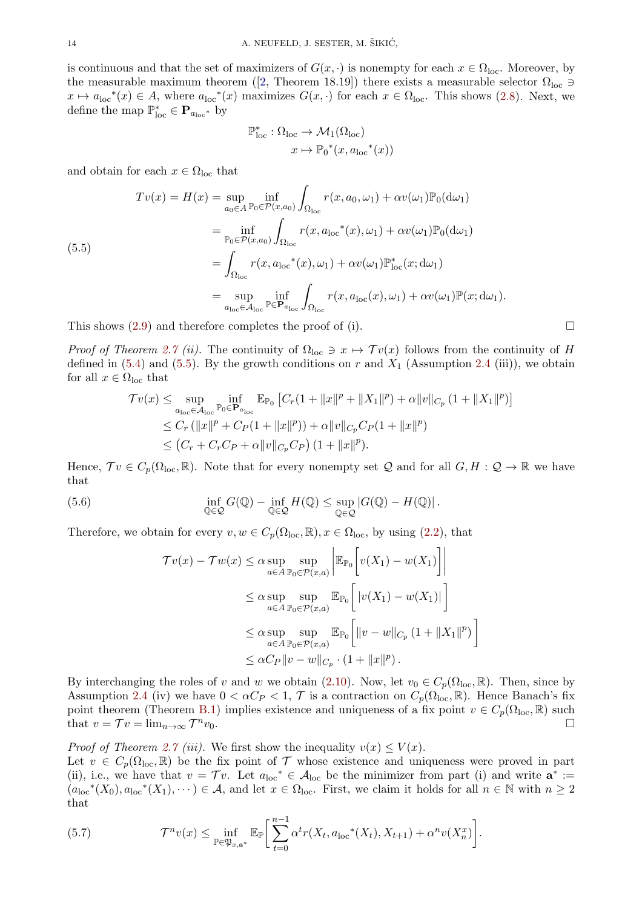is continuous and that the set of maximizers of  $G(x, \cdot)$  is nonempty for each  $x \in \Omega_{loc}$ . Moreover, by the measurable maximum theorem ([\[2,](#page-26-5) Theorem 18.19]) there exists a measurable selector  $\Omega_{\text{loc}} \ni$  $x \mapsto a_{\text{loc}}^*(x) \in A$ , where  $a_{\text{loc}}^*(x)$  maximizes  $G(x, \cdot)$  for each  $x \in \Omega_{\text{loc}}$ . This shows [\(2.8\)](#page-4-2). Next, we define the map  $\mathbb{P}_{\text{loc}}^* \in \mathbf{P}_{a_{\text{loc}}^*}$  by

$$
\mathbb{P}_{\text{loc}}^* : \Omega_{\text{loc}} \to \mathcal{M}_1(\Omega_{\text{loc}})
$$

$$
x \mapsto \mathbb{P}_0^*(x, a_{\text{loc}}^*(x))
$$

and obtain for each  $x \in \Omega_{loc}$  that

<span id="page-13-0"></span>
$$
Tv(x) = H(x) = \sup_{a_0 \in A} \inf_{\mathbb{P}_0 \in \mathcal{P}(x, a_0)} \int_{\Omega_{\text{loc}}} r(x, a_0, \omega_1) + \alpha v(\omega_1) \mathbb{P}_0(\text{d}\omega_1)
$$
  
\n
$$
= \inf_{\mathbb{P}_0 \in \mathcal{P}(x, a_0)} \int_{\Omega_{\text{loc}}} r(x, a_{\text{loc}}^*(x), \omega_1) + \alpha v(\omega_1) \mathbb{P}_0(\text{d}\omega_1)
$$
  
\n
$$
= \int_{\Omega_{\text{loc}}} r(x, a_{\text{loc}}^*(x), \omega_1) + \alpha v(\omega_1) \mathbb{P}_{\text{loc}}^*(x; \text{d}\omega_1)
$$
  
\n
$$
= \sup_{a_{\text{loc}} \in \mathcal{A}_{\text{loc}}} \inf_{\mathbb{P} \in \mathbf{P}_{a_{\text{loc}}}} \int_{\Omega_{\text{loc}}} r(x, a_{\text{loc}}(x), \omega_1) + \alpha v(\omega_1) \mathbb{P}(x; \text{d}\omega_1).
$$

This shows  $(2.9)$  and therefore completes the proof of (i).

*Proof of Theorem [2.7](#page-4-0) (ii).* The continuity of  $\Omega_{\text{loc}} \ni x \mapsto \mathcal{T}v(x)$  follows from the continuity of H defined in [\(5.4\)](#page-12-2) and [\(5.5\)](#page-13-0). By the growth conditions on r and  $X_1$  (Assumption [2.4](#page-3-1) (iii)), we obtain for all  $x \in \Omega_{\text{loc}}$  that

$$
\mathcal{T}v(x) \leq \sup_{a_{\text{loc}} \in \mathcal{A}_{\text{loc}}} \inf_{\mathbb{P}_0 \in \mathbf{P}_{a_{\text{loc}}}} \mathbb{E}_{\mathbb{P}_0} \left[ C_r (1 + \|x\|^p + \|X_1\|^p) + \alpha \|v\|_{C_p} (1 + \|X_1\|^p) \right]
$$
  
\n
$$
\leq C_r \left( \|x\|^p + C_P (1 + \|x\|^p) \right) + \alpha \|v\|_{C_p} C_P (1 + \|x\|^p)
$$
  
\n
$$
\leq \left( C_r + C_r C_P + \alpha \|v\|_{C_p} C_P \right) (1 + \|x\|^p).
$$

Hence,  $\mathcal{T} v \in C_p(\Omega_{\text{loc}}, \mathbb{R})$ . Note that for every nonempty set Q and for all  $G, H : \mathcal{Q} \to \mathbb{R}$  we have that

(5.6) 
$$
\inf_{\mathbb{Q}\in\mathcal{Q}} G(\mathbb{Q}) - \inf_{\mathbb{Q}\in\mathcal{Q}} H(\mathbb{Q}) \leq \sup_{\mathbb{Q}\in\mathcal{Q}} |G(\mathbb{Q}) - H(\mathbb{Q})|.
$$

Therefore, we obtain for every  $v, w \in C_p(\Omega_{\text{loc}}, \mathbb{R}), x \in \Omega_{\text{loc}}$ , by using  $(2.2)$ , that

$$
\mathcal{T}v(x) - \mathcal{T}w(x) \le \alpha \sup_{a \in A} \sup_{\mathbb{P}_0 \in \mathcal{P}(x,a)} \left| \mathbb{E}_{\mathbb{P}_0} \left[ v(X_1) - w(X_1) \right] \right|
$$
  
\n
$$
\le \alpha \sup_{a \in A} \sup_{\mathbb{P}_0 \in \mathcal{P}(x,a)} \mathbb{E}_{\mathbb{P}_0} \left[ |v(X_1) - w(X_1)| \right]
$$
  
\n
$$
\le \alpha \sup_{a \in A} \sup_{\mathbb{P}_0 \in \mathcal{P}(x,a)} \mathbb{E}_{\mathbb{P}_0} \left[ ||v - w||_{C_p} (1 + ||X_1||^p) \right]
$$
  
\n
$$
\le \alpha C_P ||v - w||_{C_p} \cdot (1 + ||x||^p).
$$

By interchanging the roles of v and w we obtain [\(2.10\)](#page-4-4). Now, let  $v_0 \in C_p(\Omega_{\text{loc}}, \mathbb{R})$ . Then, since by Assumption [2.4](#page-3-1) (iv) we have  $0 < \alpha C_P < 1$ , T is a contraction on  $C_p(\Omega_{\text{loc}}, \mathbb{R})$ . Hence Banach's fix point theorem (Theorem [B.1\)](#page-26-9) implies existence and uniqueness of a fix point  $v \in C_p(\Omega_{\text{loc}}, \mathbb{R})$  such that  $v = \mathcal{T}v = \lim_{n \to \infty} \mathcal{T}^n v_0$ . that  $v = \mathcal{T}v = \lim_{n \to \infty} \mathcal{T}^n$  $v_0$ .

*Proof of Theorem [2.7](#page-4-0) (iii).* We first show the inequality  $v(x) \leq V(x)$ .

Let  $v \in C_p(\Omega_{loc}, \mathbb{R})$  be the fix point of T whose existence and uniqueness were proved in part (ii), i.e., we have that  $v = Tv$ . Let  $a_{\text{loc}}^* \in A_{\text{loc}}$  be the minimizer from part (i) and write  $\mathbf{a}^* :=$  $(a_{\text{loc}}^{*}(X_0), a_{\text{loc}}^{*}(X_1), \dots) \in \mathcal{A}$ , and let  $x \in \Omega_{\text{loc}}$ . First, we claim it holds for all  $n \in \mathbb{N}$  with  $n \geq 2$ that

<span id="page-13-1"></span>(5.7) 
$$
\mathcal{T}^n v(x) \leq \inf_{\mathbb{P} \in \mathfrak{P}_{x,\mathbf{a}^*}} \mathbb{E}_{\mathbb{P}} \bigg[ \sum_{t=0}^{n-1} \alpha^t r(X_t, a_{\text{loc}}^*(X_t), X_{t+1}) + \alpha^n v(X_n^x) \bigg].
$$

1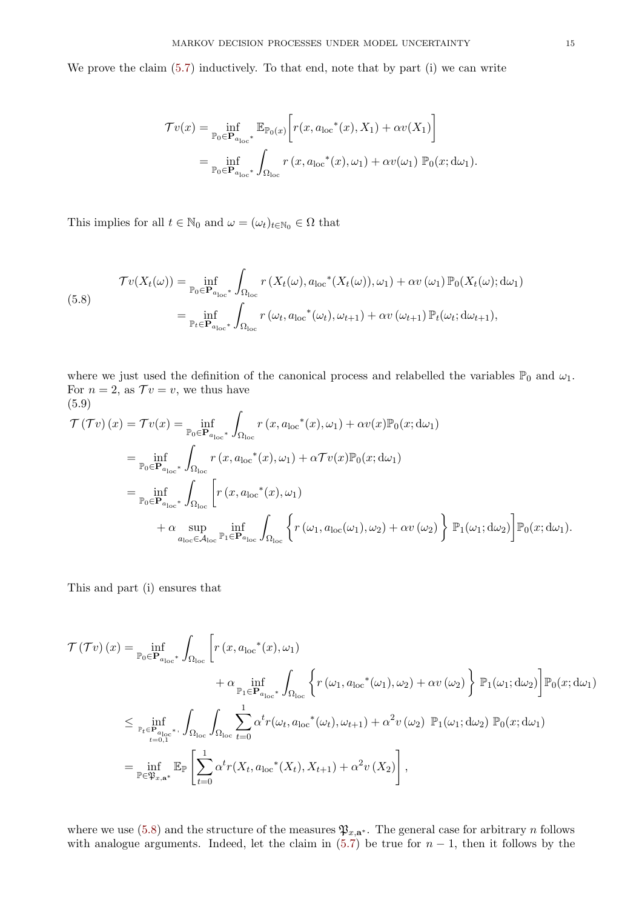We prove the claim [\(5.7\)](#page-13-1) inductively. To that end, note that by part (i) we can write

$$
\mathcal{T}v(x) = \inf_{\mathbb{P}_0 \in \mathbf{P}_{a_{\text{loc}}}^*} \mathbb{E}_{\mathbb{P}_0(x)} \bigg[ r(x, a_{\text{loc}}^*(x), X_1) + \alpha v(X_1) \bigg]
$$
  
= 
$$
\inf_{\mathbb{P}_0 \in \mathbf{P}_{a_{\text{loc}}}^*} \int_{\Omega_{\text{loc}}} r(x, a_{\text{loc}}^*(x), \omega_1) + \alpha v(\omega_1) \mathbb{P}_0(x; d\omega_1).
$$

This implies for all  $t\in\mathbb{N}_0$  and  $\omega=(\omega_t)_{t\in\mathbb{N}_0}\in\Omega$  that

<span id="page-14-0"></span>
$$
\mathcal{T}v(X_t(\omega)) = \inf_{\mathbb{P}_0 \in \mathbf{P}_{a_{\text{loc}}}^*} \int_{\Omega_{\text{loc}}} r(X_t(\omega), a_{\text{loc}}^*(X_t(\omega)), \omega_1) + \alpha v(\omega_1) \mathbb{P}_0(X_t(\omega); d\omega_1)
$$
  

$$
= \inf_{\mathbb{P}_t \in \mathbf{P}_{a_{\text{loc}}}^*} \int_{\Omega_{\text{loc}}} r(\omega_t, a_{\text{loc}}^*(\omega_t), \omega_{t+1}) + \alpha v(\omega_{t+1}) \mathbb{P}_t(\omega_t; d\omega_{t+1}),
$$

where we just used the definition of the canonical process and relabelled the variables  $\mathbb{P}_0$  and  $\omega_1$ . For  $n = 2$ , as  $Tv = v$ , we thus have (5.9)

<span id="page-14-1"></span>
$$
\mathcal{T}(\mathcal{T}v)(x) = \mathcal{T}v(x) = \inf_{\mathbb{P}_0 \in \mathbf{P}_{a_{\text{loc}}^*}} \int_{\Omega_{\text{loc}}} r(x, a_{\text{loc}}^*(x), \omega_1) + \alpha v(x) \mathbb{P}_0(x; d\omega_1)
$$
\n
$$
= \inf_{\mathbb{P}_0 \in \mathbf{P}_{a_{\text{loc}}^*}} \int_{\Omega_{\text{loc}}} r(x, a_{\text{loc}}^*(x), \omega_1) + \alpha \mathcal{T}v(x) \mathbb{P}_0(x; d\omega_1)
$$
\n
$$
= \inf_{\mathbb{P}_0 \in \mathbf{P}_{a_{\text{loc}}^*}} \int_{\Omega_{\text{loc}}} \left[ r(x, a_{\text{loc}}^*(x), \omega_1) + \alpha \mathcal{T}^*(x) \mathbb{P}_0(x; d\omega_1) + \alpha \sup_{a_{\text{loc}} \in \mathcal{A}_{\text{loc}}} \int_{\Omega_{\text{loc}}} \left\{ r(\omega_1, a_{\text{loc}}(\omega_1), \omega_2) + \alpha v(\omega_2) \right\} \mathbb{P}_1(\omega_1; d\omega_2) \right] \mathbb{P}_0(x; d\omega_1).
$$

This and part (i) ensures that

$$
\mathcal{T}(\mathcal{T}v)(x) = \inf_{\mathbb{P}_0 \in \mathbf{P}_{a_{\text{loc}}^*}} \int_{\Omega_{\text{loc}}} \left[ r(x, a_{\text{loc}}^*(x), \omega_1) \right.
$$
  
\n
$$
+ \alpha \inf_{\mathbb{P}_1 \in \mathbf{P}_{a_{\text{loc}}^*}} \int_{\Omega_{\text{loc}}} \left\{ r(\omega_1, a_{\text{loc}}^*(\omega_1), \omega_2) + \alpha v(\omega_2) \right\} \mathbb{P}_1(\omega_1; d\omega_2) \right] \mathbb{P}_0(x; d\omega_1)
$$
  
\n
$$
\leq \inf_{\mathbb{P}_t \in \mathbf{P}_{a_{\text{loc}}^*}} \int_{\Omega_{\text{loc}}} \int_{\Omega_{\text{loc}}} \sum_{t=0}^1 \alpha^t r(\omega_t, a_{\text{loc}}^*(\omega_t), \omega_{t+1}) + \alpha^2 v(\omega_2) \mathbb{P}_1(\omega_1; d\omega_2) \mathbb{P}_0(x; d\omega_1)
$$
  
\n
$$
= \inf_{\mathbb{P} \in \mathfrak{P}_{x, \mathbf{a}^*}} \mathbb{E}_{\mathbb{P}} \left[ \sum_{t=0}^1 \alpha^t r(X_t, a_{\text{loc}}^*(X_t), X_{t+1}) + \alpha^2 v(X_2) \right],
$$

where we use [\(5.8\)](#page-14-0) and the structure of the measures  $\mathfrak{P}_{x,\mathbf{a}^*}$ . The general case for arbitrary n follows with analogue arguments. Indeed, let the claim in  $(5.7)$  be true for  $n-1$ , then it follows by the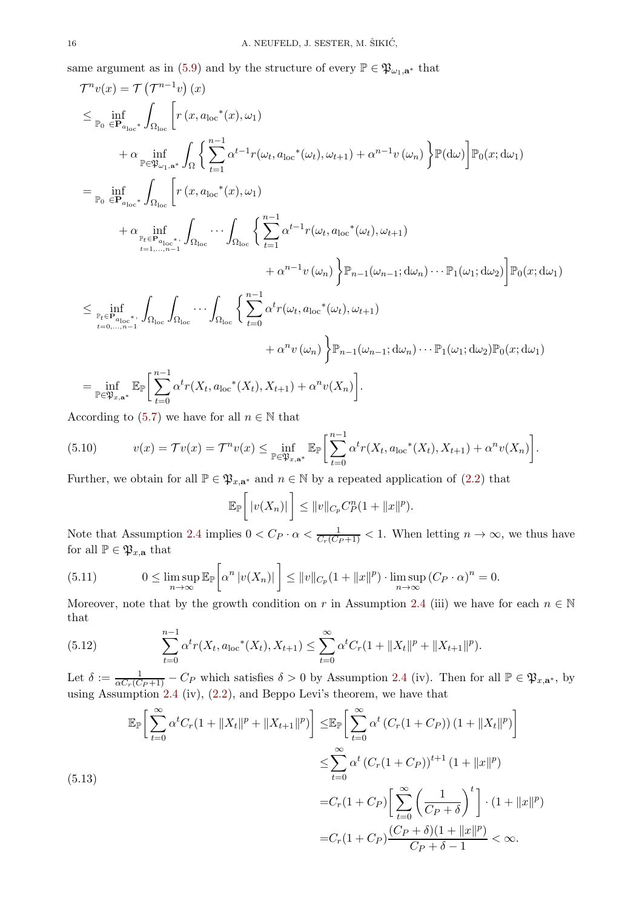same argument as in [\(5.9\)](#page-14-1) and by the structure of every  $\mathbb{P} \in \mathfrak{P}_{\omega_1, \mathbf{a}^*}$  that

$$
\begin{split}\n\mathcal{T}^{n}v(x) &= \mathcal{T}\left(\mathcal{T}^{n-1}v\right)(x) \\
&\leq \inf_{\mathbb{P}_{0}\in\mathbf{P}_{a_{\text{loc}}^{*}}}\int_{\Omega_{\text{loc}}}\left[r\left(x,a_{\text{loc}}^{*}(x),\omega_{1}\right)\right. \\
&\quad \left. + \alpha\inf_{\mathbb{P}\in\mathbb{P}_{\omega_{1},\mathbf{a}^{*}}}\int_{\Omega}\left\{\sum_{t=1}^{n-1}\alpha^{t-1}r(\omega_{t},a_{\text{loc}}^{*}(\omega_{t}),\omega_{t+1}) + \alpha^{n-1}v\left(\omega_{n}\right)\right\}\mathbb{P}(\text{d}\omega)\right]\mathbb{P}_{0}(x;\text{d}\omega_{1}) \\
&= \inf_{\mathbb{P}_{0}\in\mathbf{P}_{a_{\text{loc}}^{*}}}\int_{\Omega_{\text{loc}}}\left[r\left(x,a_{\text{loc}}^{*}(x),\omega_{1}\right)\right. \\
&\quad \left. + \alpha\inf_{\mathbb{P}_{t}\in\mathbf{P}_{a_{\text{loc}}^{*}}} \int_{\Omega_{\text{loc}}}\cdots\int_{\Omega_{\text{loc}}}\left\{\sum_{t=1}^{n-1}\alpha^{t-1}r(\omega_{t},a_{\text{loc}}^{*}(\omega_{t}),\omega_{t+1})\right. \\
&\quad \left. + \alpha^{n-1}v\left(\omega_{n}\right)\right\}\mathbb{P}_{n-1}(\omega_{n-1};\text{d}\omega_{n})\cdots\mathbb{P}_{1}(\omega_{1};\text{d}\omega_{2})\right]\mathbb{P}_{0}(x;\text{d}\omega_{1}) \\
&\leq \inf_{\mathbb{P}_{t}\in\mathbf{P}_{a_{\text{loc}}^{*}}}\int_{\Omega_{\text{loc}}}\int_{\Omega_{\text{loc}}}\cdots\int_{\Omega_{\text{loc}}}\left\{\sum_{t=0}^{n-1}\alpha^{t}r(\omega_{t},a_{\text{loc}}^{*}(\omega_{t}),\omega_{t+1})\right. \\
&\quad \left. + \alpha^{n}v\left(\omega_{n}\right)\right\}\mathbb{P}_{n-1}(\omega_{n-1};\text{d}\omega_{n})\cdots\mathbb{P}_{1}(\omega_{1};\text{d}\omega_{2})\mathbb{P}_{0}(x;\text{d}\omega_{1}) \\
&=
$$

According to [\(5.7\)](#page-13-1) we have for all  $n \in \mathbb{N}$  that

 $_{t=0}$ 

 $\mathbb{P}\in\mathfrak{P}_{x,\mathbf{a}^*}$ 

(5.10) 
$$
v(x) = \mathcal{T}v(x) = \mathcal{T}^n v(x) \le \inf_{\mathbb{P} \in \mathfrak{P}_{x,\mathbf{a}^*}} \mathbb{E}_{\mathbb{P}} \bigg[ \sum_{t=0}^{n-1} \alpha^t r(X_t, a_{\text{loc}}^*(X_t), X_{t+1}) + \alpha^n v(X_n) \bigg].
$$

Further, we obtain for all  $\mathbb{P} \in \mathfrak{P}_{x,\mathbf{a}^*}$  and  $n \in \mathbb{N}$  by a repeated application of  $(2.2)$  that

$$
\mathbb{E}_{\mathbb{P}}\bigg[|v(X_n)|\bigg] \leq ||v||_{C_p} C_P^n(1+||x||^p).
$$

Note that Assumption [2.4](#page-3-1) implies  $0 < C_P \cdot \alpha < \frac{1}{C_r(C_P+1)} < 1$ . When letting  $n \to \infty$ , we thus have for all  $\mathbb{P} \in \mathfrak{P}_{x,\mathbf{a}}$  that

<span id="page-15-1"></span>(5.11) 
$$
0 \leq \limsup_{n \to \infty} \mathbb{E}_{\mathbb{P}}\bigg[\alpha^n \, |v(X_n)|\bigg] \leq ||v||_{C_p}(1 + ||x||^p) \cdot \limsup_{n \to \infty} (C_P \cdot \alpha)^n = 0.
$$

Moreover, note that by the growth condition on r in Assumption [2.4](#page-3-1) (iii) we have for each  $n \in \mathbb{N}$ that

<span id="page-15-0"></span>(5.12) 
$$
\sum_{t=0}^{n-1} \alpha^t r(X_t, a_{\text{loc}}^*(X_t), X_{t+1}) \leq \sum_{t=0}^{\infty} \alpha^t C_r (1 + \|X_t\|^p + \|X_{t+1}\|^p).
$$

Let  $\delta := \frac{1}{\alpha C_r (C_P + 1)} - C_P$  which satisfies  $\delta > 0$  by Assumption [2.4](#page-3-1) (iv). Then for all  $\mathbb{P} \in \mathfrak{P}_{x, \mathbf{a}^*}$ , by using Assumption [2.4](#page-3-1) (iv), [\(2.2\)](#page-2-2), and Beppo Levi's theorem, we have that

$$
\mathbb{E}_{\mathbb{P}}\bigg[\sum_{t=0}^{\infty} \alpha^{t} C_{r} (1 + \|X_{t}\|^{p} + \|X_{t+1}\|^{p})\bigg] \leq \mathbb{E}_{\mathbb{P}}\bigg[\sum_{t=0}^{\infty} \alpha^{t} \left(C_{r} (1 + C_{P})\right) (1 + \|X_{t}\|^{p})\bigg]
$$
\n
$$
\leq \sum_{t=0}^{\infty} \alpha^{t} \left(C_{r} (1 + C_{P})\right)^{t+1} (1 + \|x\|^{p})
$$
\n
$$
= C_{r} (1 + C_{P})\bigg[\sum_{t=0}^{\infty} \left(\frac{1}{C_{P} + \delta}\right)^{t}\bigg] \cdot (1 + \|x\|^{p})
$$
\n
$$
= C_{r} (1 + C_{P})\frac{(C_{P} + \delta)(1 + \|x\|^{p})}{C_{P} + \delta - 1} < \infty.
$$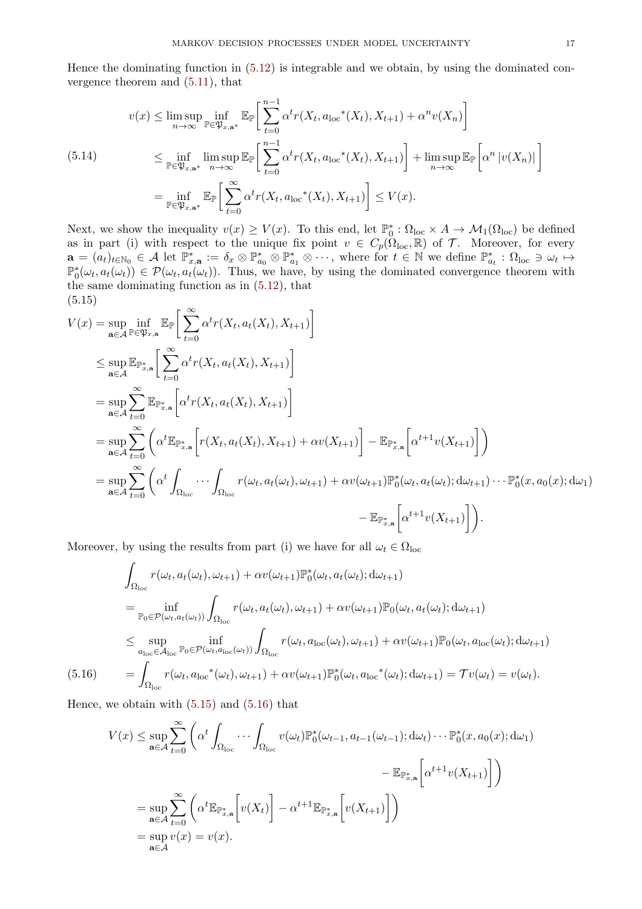Hence the dominating function in [\(5.12\)](#page-15-0) is integrable and we obtain, by using the dominated convergence theorem and [\(5.11\)](#page-15-1), that

<span id="page-16-2"></span>
$$
v(x) \leq \limsup_{n \to \infty} \inf_{\mathbb{P} \in \mathfrak{P}_{x,\mathbf{a}^*}} \mathbb{E}_{\mathbb{P}} \bigg[ \sum_{t=0}^{n-1} \alpha^t r(X_t, a_{\text{loc}}^*(X_t), X_{t+1}) + \alpha^n v(X_n) \bigg]
$$
  
\n
$$
\leq \inf_{\mathbb{P} \in \mathfrak{P}_{x,\mathbf{a}^*}} \limsup_{n \to \infty} \mathbb{E}_{\mathbb{P}} \bigg[ \sum_{t=0}^{n-1} \alpha^t r(X_t, a_{\text{loc}}^*(X_t), X_{t+1}) \bigg] + \limsup_{n \to \infty} \mathbb{E}_{\mathbb{P}} \bigg[ \alpha^n |v(X_n)| \bigg]
$$
  
\n
$$
= \inf_{\mathbb{P} \in \mathfrak{P}_{x,\mathbf{a}^*}} \mathbb{E}_{\mathbb{P}} \bigg[ \sum_{t=0}^{\infty} \alpha^t r(X_t, a_{\text{loc}}^*(X_t), X_{t+1}) \bigg] \leq V(x).
$$

Next, we show the inequality  $v(x) \ge V(x)$ . To this end, let  $\mathbb{P}_0^* : \Omega_{\text{loc}} \times A \to \mathcal{M}_1(\Omega_{\text{loc}})$  be defined as in part (i) with respect to the unique fix point  $v \in C_p(\Omega_{\text{loc}}, \mathbb{R})$  of  $\mathcal{T}$ . Moreover, for every  $\mathbf{a} = (a_t)_{t \in \mathbb{N}_0} \in \mathcal{A} \text{ let } \mathbb{P}^*_{x,\mathbf{a}} := \delta_x \otimes \mathbb{P}^*_{a_0} \otimes \mathbb{P}^*_{a_1} \otimes \cdots$ , where for  $t \in \mathbb{N}$  we define  $\mathbb{P}^*_{a_t} : \Omega_{\text{loc}} \ni \omega_t \mapsto$  $\mathbb{P}_0^*(\omega_t, a_t(\omega_t)) \in \mathcal{P}(\omega_t, a_t(\omega_t))$ . Thus, we have, by using the dominated convergence theorem with the same dominating function as in [\(5.12\)](#page-15-0), that (5.15)

<span id="page-16-0"></span>
$$
V(x) = \sup_{\mathbf{a}\in\mathcal{A}} \inf_{\mathbb{P}\in\mathfrak{P}_{x,\mathbf{a}}} \mathbb{E}_{\mathbb{P}} \bigg[ \sum_{t=0}^{\infty} \alpha^{t} r(X_{t}, a_{t}(X_{t}), X_{t+1}) \bigg]
$$
  
\n
$$
\leq \sup_{\mathbf{a}\in\mathcal{A}} \mathbb{E}_{\mathbb{P}_{x,\mathbf{a}}^{*}} \bigg[ \sum_{t=0}^{\infty} \alpha^{t} r(X_{t}, a_{t}(X_{t}), X_{t+1}) \bigg]
$$
  
\n
$$
= \sup_{\mathbf{a}\in\mathcal{A}} \sum_{t=0}^{\infty} \mathbb{E}_{\mathbb{P}_{x,\mathbf{a}}^{*}} \bigg[ \alpha^{t} r(X_{t}, a_{t}(X_{t}), X_{t+1}) \bigg]
$$
  
\n
$$
= \sup_{\mathbf{a}\in\mathcal{A}} \sum_{t=0}^{\infty} \bigg( \alpha^{t} \mathbb{E}_{\mathbb{P}_{x,\mathbf{a}}^{*}} \bigg[ r(X_{t}, a_{t}(X_{t}), X_{t+1}) + \alpha v(X_{t+1}) \bigg] - \mathbb{E}_{\mathbb{P}_{x,\mathbf{a}}^{*}} \bigg[ \alpha^{t+1} v(X_{t+1}) \bigg] \bigg)
$$
  
\n
$$
= \sup_{\mathbf{a}\in\mathcal{A}} \sum_{t=0}^{\infty} \bigg( \alpha^{t} \int_{\Omega_{\text{loc}}} \cdots \int_{\Omega_{\text{loc}}} r(\omega_{t}, a_{t}(\omega_{t}), \omega_{t+1}) + \alpha v(\omega_{t+1}) \mathbb{P}_{0}^{*}(\omega_{t}, a_{t}(\omega_{t}); d\omega_{t+1}) \cdots \mathbb{P}_{0}^{*}(x, a_{0}(x); d\omega_{1})
$$
  
\n
$$
- \mathbb{E}_{\mathbb{P}_{x,\mathbf{a}}^{*}} \bigg[ \alpha^{t+1} v(X_{t+1}) \bigg] \bigg).
$$

Moreover, by using the results from part (i) we have for all  $\omega_t \in \Omega_{\text{loc}}$ 

$$
\int_{\Omega_{\text{loc}}} r(\omega_t, a_t(\omega_t), \omega_{t+1}) + \alpha v(\omega_{t+1}) \mathbb{P}_0^*(\omega_t, a_t(\omega_t); d\omega_{t+1})
$$
\n
$$
= \inf_{\mathbb{P}_0 \in \mathcal{P}(\omega_t, a_t(\omega_t))} \int_{\Omega_{\text{loc}}} r(\omega_t, a_t(\omega_t), \omega_{t+1}) + \alpha v(\omega_{t+1}) \mathbb{P}_0(\omega_t, a_t(\omega_t); d\omega_{t+1})
$$
\n
$$
\leq \sup_{a_{\text{loc}} \in \mathcal{A}_{\text{loc}}} \inf_{\mathbb{P}_0 \in \mathcal{P}(\omega_t, a_{\text{loc}}(\omega_t))} \int_{\Omega_{\text{loc}}} r(\omega_t, a_{\text{loc}}(\omega_t), \omega_{t+1}) + \alpha v(\omega_{t+1}) \mathbb{P}_0(\omega_t, a_{\text{loc}}(\omega_t); d\omega_{t+1})
$$
\n(5.16)\n
$$
= \int_{\Omega_{\text{loc}}} r(\omega_t, a_{\text{loc}}^*(\omega_t), \omega_{t+1}) + \alpha v(\omega_{t+1}) \mathbb{P}_0^*(\omega_t, a_{\text{loc}}^*(\omega_t); d\omega_{t+1}) = \mathcal{T}v(\omega_t) = v(\omega_t).
$$

<span id="page-16-1"></span>Hence, we obtain with [\(5.15\)](#page-16-0) and [\(5.16\)](#page-16-1) that

$$
V(x) \le \sup_{\mathbf{a}\in\mathcal{A}} \sum_{t=0}^{\infty} \left( \alpha^{t} \int_{\Omega_{\text{loc}}} \cdots \int_{\Omega_{\text{loc}}} v(\omega_{t}) \mathbb{P}_{0}^{*}(\omega_{t-1}, a_{t-1}(\omega_{t-1}); d\omega_{t}) \cdots \mathbb{P}_{0}^{*}(x, a_{0}(x); d\omega_{1}) - \mathbb{E}_{\mathbb{P}_{x,\mathbf{a}}^{*}} \left[ \alpha^{t+1} v(X_{t+1}) \right] \right) - \mathbb{E}_{\mathbb{P}_{x,\mathbf{a}}^{*}} \left[ \alpha^{t+1} v(X_{t+1}) \right] \right)
$$
  
= 
$$
\sup_{\mathbf{a}\in\mathcal{A}} \sum_{t=0}^{\infty} \left( \alpha^{t} \mathbb{E}_{\mathbb{P}_{x,\mathbf{a}}^{*}} \left[ v(X_{t}) \right] - \alpha^{t+1} \mathbb{E}_{\mathbb{P}_{x,\mathbf{a}}^{*}} \left[ v(X_{t+1}) \right] \right)
$$
  
= 
$$
\sup_{\mathbf{a}\in\mathcal{A}} v(x) = v(x).
$$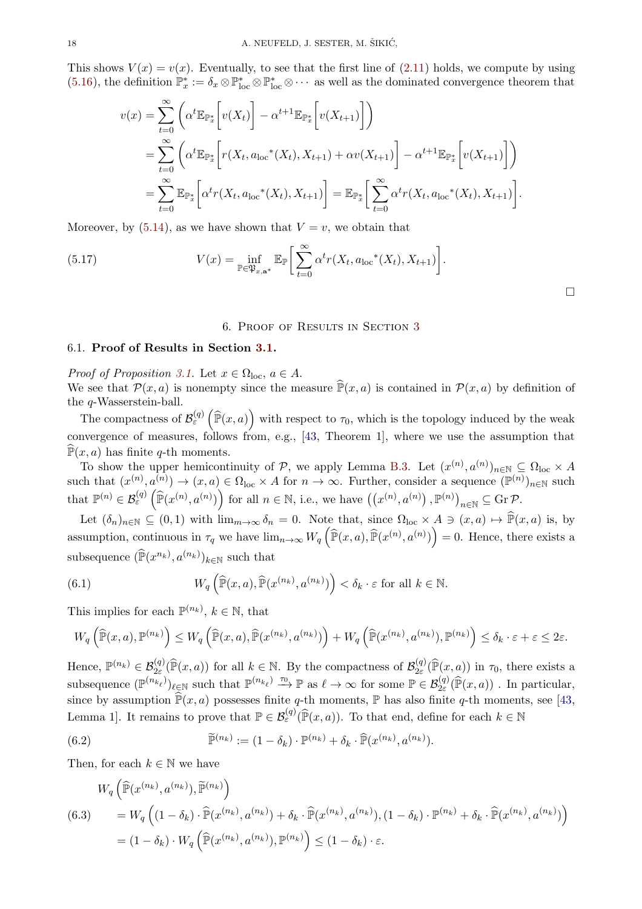This shows  $V(x) = v(x)$ . Eventually, to see that the first line of [\(2.11\)](#page-4-5) holds, we compute by using [\(5.16\)](#page-16-1), the definition  $\mathbb{P}_x^* := \delta_x \otimes \mathbb{P}_{\text{loc}}^* \otimes \cdots$  as well as the dominated convergence theorem that

$$
v(x) = \sum_{t=0}^{\infty} \left( \alpha^{t} \mathbb{E}_{\mathbb{P}_{x}^{*}} \left[ v(X_{t}) \right] - \alpha^{t+1} \mathbb{E}_{\mathbb{P}_{x}^{*}} \left[ v(X_{t+1}) \right] \right)
$$
  
= 
$$
\sum_{t=0}^{\infty} \left( \alpha^{t} \mathbb{E}_{\mathbb{P}_{x}^{*}} \left[ r(X_{t}, a_{\text{loc}}^{*}(X_{t}), X_{t+1}) + \alpha v(X_{t+1}) \right] - \alpha^{t+1} \mathbb{E}_{\mathbb{P}_{x}^{*}} \left[ v(X_{t+1}) \right] \right)
$$
  
= 
$$
\sum_{t=0}^{\infty} \mathbb{E}_{\mathbb{P}_{x}^{*}} \left[ \alpha^{t} r(X_{t}, a_{\text{loc}}^{*}(X_{t}), X_{t+1}) \right] = \mathbb{E}_{\mathbb{P}_{x}^{*}} \left[ \sum_{t=0}^{\infty} \alpha^{t} r(X_{t}, a_{\text{loc}}^{*}(X_{t}), X_{t+1}) \right].
$$

Moreover, by  $(5.14)$ , as we have shown that  $V = v$ , we obtain that

(5.17) 
$$
V(x) = \inf_{\mathbb{P} \in \mathfrak{P}_{x, \mathbf{a}^*}} \mathbb{E}_{\mathbb{P}} \bigg[ \sum_{t=0}^{\infty} \alpha^t r(X_t, a_{\text{loc}}^*(X_t), X_{t+1}) \bigg].
$$

## 6. Proof of Results in Section [3](#page-5-0)

# <span id="page-17-0"></span>6.1. Proof of Results in Section [3.1.](#page-5-5)

*Proof of Proposition [3.1.](#page-5-6)* Let  $x \in \Omega_{loc}$ ,  $a \in A$ . We see that  $\mathcal{P}(x, a)$  is nonempty since the measure  $\hat{\mathbb{P}}(x, a)$  is contained in  $\mathcal{P}(x, a)$  by definition of the q-Wasserstein-ball.

The compactness of  $\mathcal{B}_{\varepsilon}^{(q)}(\hat{\mathbb{P}}(x,a))$  with respect to  $\tau_0$ , which is the topology induced by the weak convergence of measures, follows from, e.g., [\[43,](#page-27-31) Theorem 1], where we use the assumption that  $\mathbb{P}(x, a)$  has finite q-th moments.

To show the upper hemicontinuity of P, we apply Lemma [B.3.](#page-26-6) Let  $(x^{(n)}, a^{(n)})_{n \in \mathbb{N}} \subseteq \Omega_{\text{loc}} \times A$ such that  $(x^{(n)}, a^{(n)}) \to (x, a) \in \Omega_{\text{loc}} \times A$  for  $n \to \infty$ . Further, consider a sequence  $(\mathbb{P}^{(n)})_{n \in \mathbb{N}}$  such that  $\mathbb{P}^{(n)} \in \mathcal{B}_{\varepsilon}^{(q)}\left(\widehat{\mathbb{P}}(x^{(n)}, a^{(n)})\right)$  for all  $n \in \mathbb{N}$ , i.e., we have  $((x^{(n)}, a^{(n)})$ ,  $\mathbb{P}^{(n)})$  $_{n\in\mathbb{N}}\subseteq\operatorname*{Gr}\mathcal{P}.$ 

Let  $(\delta_n)_{n\in\mathbb{N}}\subseteq (0,1)$  with  $\lim_{m\to\infty}\delta_n=0$ . Note that, since  $\Omega_{\text{loc}}\times A\ni (x, a)\mapsto \hat{\mathbb{P}}(x, a)$  is, by assumption, continuous in  $\tau_q$  we have  $\lim_{n\to\infty} W_q\left(\widehat{\mathbb{P}}(x,a),\widehat{\mathbb{P}}(x^{(n)},a^{(n)})\right)=0$ . Hence, there exists a subsequence  $(\widehat{P}(x^{n_k)}, a^{(n_k)})_{k \in \mathbb{N}}$  such that

<span id="page-17-1"></span>(6.1) 
$$
W_q\left(\widehat{\mathbb{P}}(x,a),\widehat{\mathbb{P}}(x^{(n_k)},a^{(n_k)})\right)<\delta_k\cdot\epsilon\text{ for all }k\in\mathbb{N}.
$$

This implies for each  $\mathbb{P}^{(n_k)}$ ,  $k \in \mathbb{N}$ , that

$$
W_q\left(\widehat{\mathbb{P}}(x,a),\mathbb{P}^{(n_k)}\right) \leq W_q\left(\widehat{\mathbb{P}}(x,a),\widehat{\mathbb{P}}(x^{(n_k)},a^{(n_k)})\right) + W_q\left(\widehat{\mathbb{P}}(x^{(n_k)},a^{(n_k)}),\mathbb{P}^{(n_k)}\right) \leq \delta_k \cdot \varepsilon + \varepsilon \leq 2\varepsilon.
$$

Hence,  $\mathbb{P}^{(n_k)} \in \mathcal{B}^{(q)}_{2\varepsilon}(\widehat{\mathbb{P}}(x,a))$  for all  $k \in \mathbb{N}$ . By the compactness of  $\mathcal{B}^{(q)}_{2\varepsilon}$  $\mathcal{Q}^{(q)}_{\varepsilon}(\mathbb{P}(x,a))$  in  $\tau_0$ , there exists a subsequence  $(\mathbb{P}^{(n_{k_\ell})})_{\ell \in \mathbb{N}}$  such that  $\mathbb{P}^{(n_{k_\ell})} \stackrel{\tau_0}{\longrightarrow} \mathbb{P}$  as  $\ell \to \infty$  for some  $\mathbb{P} \in \mathcal{B}_{2\varepsilon}^{(q)}(\widehat{\mathbb{P}}(x,a))$ . In particular, since by assumption  $\widehat{\mathbb{P}}(x, a)$  possesses finite q-th moments, P has also finite q-th moments, see [\[43,](#page-27-31) Lemma 1]. It remains to prove that  $\mathbb{P} \in \mathcal{B}_{\varepsilon}^{(q)}(\hat{\mathbb{P}}(x, a))$ . To that end, define for each  $k \in \mathbb{N}$ 

<span id="page-17-3"></span>(6.2) 
$$
\widetilde{\mathbb{P}}^{(n_k)} := (1 - \delta_k) \cdot \mathbb{P}^{(n_k)} + \delta_k \cdot \widehat{\mathbb{P}}(x^{(n_k)}, a^{(n_k)}).
$$

Then, for each  $k \in \mathbb{N}$  we have

<span id="page-17-2"></span>
$$
W_q\left(\widehat{\mathbb{P}}(x^{(n_k)}, a^{(n_k)}), \widetilde{\mathbb{P}}^{(n_k)}\right)
$$
  
(6.3) 
$$
= W_q\left((1 - \delta_k) \cdot \widehat{\mathbb{P}}(x^{(n_k)}, a^{(n_k)}) + \delta_k \cdot \widehat{\mathbb{P}}(x^{(n_k)}, a^{(n_k)}), (1 - \delta_k) \cdot \mathbb{P}^{(n_k)} + \delta_k \cdot \widehat{\mathbb{P}}(x^{(n_k)}, a^{(n_k)})\right)
$$

$$
= (1 - \delta_k) \cdot W_q\left(\widehat{\mathbb{P}}(x^{(n_k)}, a^{(n_k)}), \mathbb{P}^{(n_k)}\right) \le (1 - \delta_k) \cdot \varepsilon.
$$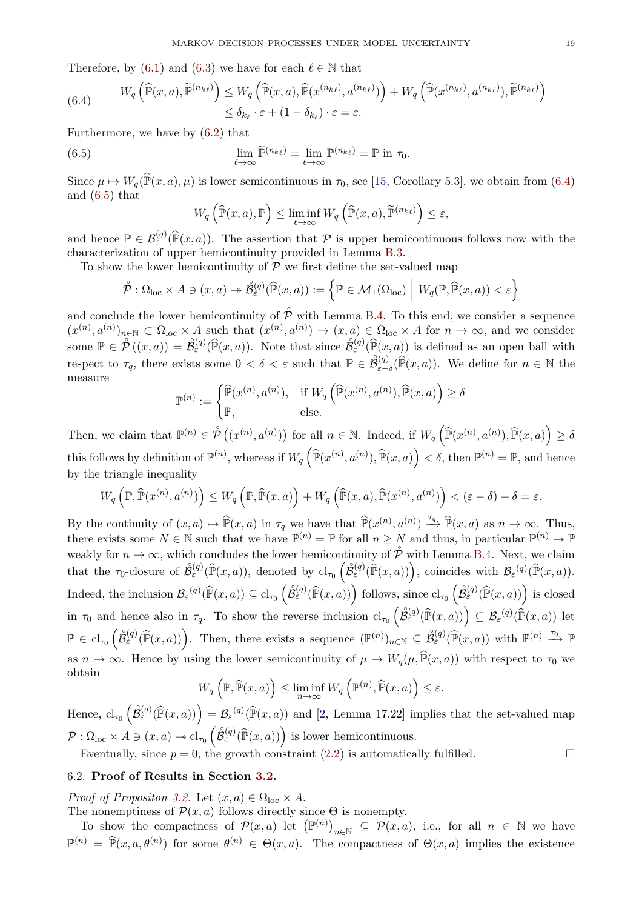Therefore, by [\(6.1\)](#page-17-1) and [\(6.3\)](#page-17-2) we have for each  $\ell \in \mathbb{N}$  that

<span id="page-18-0"></span>(6.4) 
$$
W_q\left(\widehat{\mathbb{P}}(x,a),\widetilde{\mathbb{P}}^{(n_{k_\ell})}\right) \leq W_q\left(\widehat{\mathbb{P}}(x,a),\widehat{\mathbb{P}}(x^{(n_{k_\ell})},a^{(n_{k_\ell})})\right) + W_q\left(\widehat{\mathbb{P}}(x^{(n_{k_\ell})},a^{(n_{k_\ell})}),\widetilde{\mathbb{P}}^{(n_{k_\ell})}\right) \leq \delta_{k_\ell} \cdot \varepsilon + (1-\delta_{k_\ell}) \cdot \varepsilon = \varepsilon.
$$

Furthermore, we have by [\(6.2\)](#page-17-3) that

 $(6.5)$ 

$$
\lim_{\ell \to \infty} \widetilde{\mathbb{P}}^{(n_{k\ell})} = \lim_{\ell \to \infty} \mathbb{P}^{(n_{k\ell})} = \mathbb{P} \text{ in } \tau_0.
$$

Since  $\mu \mapsto W_q(\hat{\mathbb{P}}(x, a), \mu)$  is lower semicontinuous in  $\tau_0$ , see [\[15,](#page-27-32) Corollary 5.3], we obtain from [\(6.4\)](#page-18-0) and [\(6.5\)](#page-18-1) that

<span id="page-18-1"></span>
$$
W_q\left(\widehat{\mathbb{P}}(x,a), \mathbb{P}\right) \le \liminf_{\ell \to \infty} W_q\left(\widehat{\mathbb{P}}(x,a), \widetilde{\mathbb{P}}^{(n_{k_\ell})}\right) \le \varepsilon,
$$

and hence  $\mathbb{P} \in \mathcal{B}_{\varepsilon}^{(q)}(\hat{\mathbb{P}}(x,a))$ . The assertion that  $\mathcal P$  is upper hemicontinuous follows now with the characterization of upper hemicontinuity provided in Lemma [B.3.](#page-26-6)

To show the lower hemicontinuity of  $P$  we first define the set-valued map

$$
\overset{\circ}{\mathcal{P}}: \Omega_{\text{loc}} \times A \ni (x, a) \to \overset{\circ}{\mathcal{B}}^{(q)}_{\varepsilon}(\widehat{\mathbb{P}}(x, a)) := \left\{ \mathbb{P} \in \mathcal{M}_1(\Omega_{\text{loc}}) \middle| W_q(\mathbb{P}, \widehat{\mathbb{P}}(x, a)) < \varepsilon \right\}
$$

and conclude the lower hemicontinuity of  $\overset{\circ}{\mathcal{P}}$  with Lemma [B.4.](#page-26-7) To this end, we consider a sequence  $(x^{(n)}, a^{(n)})_{n \in \mathbb{N}} \subset \Omega_{\text{loc}} \times A$  such that  $(x^{(n)}, a^{(n)}) \to (x, a) \in \Omega_{\text{loc}} \times A$  for  $n \to \infty$ , and we consider some  $\mathbb{P} \in \mathcal{\hat{P}}((x,a)) = \mathcal{\hat{B}}$  $\mathring{\mathcal{B}}_{\varepsilon}^{(q)}(\widehat{\mathbb{P}}(x,a))$ . Note that since  $\mathring{\mathcal{B}}$  $\mathring{\mathcal{B}}_{\varepsilon}^{(q)}(\widehat{\mathbb{P}}_{\varepsilon}^{(x)},a))$  is defined as an open ball with respect to  $\tau_q$ , there exists some  $0 < \delta < \varepsilon$  such that  $\mathbb{P} \in \mathring{\mathcal{B}}$  $\mathcal{\breve{B}}_{\varepsilon -}^{(q)}$  $(\mathcal{L}_{\varepsilon-\delta}(\mathbb{P}(x,a))$ . We define for  $n \in \mathbb{N}$  the measure

$$
\mathbb{P}^{(n)} := \begin{cases} \widehat{\mathbb{P}}(x^{(n)}, a^{(n)}), & \text{if } W_q\left(\widehat{\mathbb{P}}(x^{(n)}, a^{(n)}), \widehat{\mathbb{P}}(x, a)\right) \ge \delta \\ \mathbb{P}, & \text{else.} \end{cases}
$$

Then, we claim that  $\mathbb{P}^{(n)} \in \mathcal{\hat{P}}$  $\overset{\circ}{\mathcal{P}}((x^{(n)}, a^{(n)}))$  for all  $n \in \mathbb{N}$ . Indeed, if  $W_q\left(\widehat{\mathbb{P}}(x^{(n)}, a^{(n)}), \widehat{\mathbb{P}}(x, a)\right) \ge \delta$ this follows by definition of  $\mathbb{P}^{(n)}$ , whereas if  $W_q\left(\widehat{\mathbb{P}}(x^{(n)}, a^{(n)}), \widehat{\mathbb{P}}(x, a)\right) < \delta$ , then  $\mathbb{P}^{(n)} = \mathbb{P}$ , and hence by the triangle inequality

$$
W_q\left(\mathbb{P},\widehat{\mathbb{P}}(x^{(n)},a^{(n)})\right) \leq W_q\left(\mathbb{P},\widehat{\mathbb{P}}(x,a)\right) + W_q\left(\widehat{\mathbb{P}}(x,a),\widehat{\mathbb{P}}(x^{(n)},a^{(n)})\right) < (\varepsilon - \delta) + \delta = \varepsilon.
$$

By the continuity of  $(x, a) \mapsto \hat{\mathbb{P}}(x, a)$  in  $\tau_q$  we have that  $\hat{\mathbb{P}}(x^{(n)}, a^{(n)}) \stackrel{\tau_q}{\to} \hat{\mathbb{P}}(x, a)$  as  $n \to \infty$ . Thus, there exists some  $N \in \mathbb{N}$  such that we have  $\mathbb{P}^{(n)} = \mathbb{P}$  for all  $n \geq N$  and thus, in particular  $\mathbb{P}^{(n)} \to \mathbb{P}$ weakly for  $n \to \infty$ , which concludes the lower hemicontinuity of  $\overline{P}$  with Lemma [B.4.](#page-26-7) Next, we claim that the  $\tau_0$ -closure of  $\mathring{\mathcal{B}}$  $\mathring{\mathcal{B}}_{\varepsilon}^{(q)}(\widehat{\mathbb{P}}(x,a))$ , denoted by  $\text{cl}_{\tau_0}\left(\mathring{\mathcal{B}}\right)$  $\mathring{\mathcal{B}}_{\varepsilon}^{(q)}(\hat{\mathbb{P}}(x,a))$ , coincides with  $\mathcal{B}_{\varepsilon}^{(q)}(\hat{\mathbb{P}}(x,a))$ . Indeed, the inclusion  $\mathcal{B}_{\varepsilon}^{(q)}(\widehat{\mathbb{P}}(x, a)) \subseteq \mathrm{cl}_{\tau_0} \left( \overset{\circ}{\mathcal{B}} \right)$  $\mathring{\mathcal{B}}^{(q)}_{\varepsilon}(\widehat{\mathbb{P}}(x,a))$  follows, since  $\text{cl}_{\tau_0}(\mathring{\mathcal{B}})$  $\mathring{\mathcal{B}}^{(q)}_{\varepsilon}(\widehat{\mathbb{P}}(x,a))$  is closed in  $\tau_0$  and hence also in  $\tau_q$ . To show the reverse inclusion  $\text{cl}_{\tau_0}(\mathring{\mathcal{B}})$  $\mathring{\mathcal{B}}_{\varepsilon}^{(q)}(\widehat{\mathbb{P}}(x,a))\Big)\subseteq\mathcal{B}_{\varepsilon}^{(q)}(\widehat{\mathbb{P}}(x,a))$  let  $\mathbb{P} \in \operatorname{cl}_{\tau_0}\left(\mathring{\mathcal{B}}\right)$  $\mathring{\mathcal{B}}_{\varepsilon}^{(q)}(\widehat{\mathbb{P}}(x,a))$ . Then, there exists a sequence  $(\mathbb{P}^{(n)})_{n\in\mathbb{N}}\subseteq\mathring{\mathcal{B}}$  $\mathring{\mathcal{B}}_{\varepsilon}^{(q)}(\widehat{\mathbb{P}}(x,a))$  with  $\mathbb{P}^{(n)} \xrightarrow{\tau_0} \mathbb{P}$ as  $n \to \infty$ . Hence by using the lower semicontinuity of  $\mu \mapsto W_q(\mu, \hat{P}(x, a))$  with respect to  $\tau_0$  we obtain

$$
W_q\left(\mathbb{P},\widehat{\mathbb{P}}(x,a)\right) \le \liminf_{n\to\infty} W_q\left(\mathbb{P}^{(n)},\widehat{\mathbb{P}}(x,a)\right) \le \varepsilon.
$$

Hence,  $\text{cl}_{\tau_0}(\overset{\circ}{\mathcal{B}}$  $\mathring{B}_{\varepsilon}^{(q)}(\widehat{\mathbb{P}}(x,a)) = \mathcal{B}_{\varepsilon}^{(q)}(\widehat{\mathbb{P}}(x,a))$  and [\[2,](#page-26-5) Lemma 17.22] implies that the set-valued map  $\mathcal{P}: \Omega_{\mathrm{loc}} \times A \ni (x, a) \twoheadrightarrow \mathrm{cl}_{\tau_{0}} \left( \overset{\circ}{\mathcal{B}} \right)$  $\mathring{\mathcal{B}}_{\varepsilon}^{(q)}(\widehat{\mathbb{P}}(x,a))$  is lower hemicontinuous.

Eventually, since  $p = 0$ , the growth constraint [\(2.2\)](#page-2-2) is automatically fulfilled.

# 6.2. Proof of Results in Section [3.2.](#page-5-7)

*Proof of Propositon [3.2.](#page-6-6)* Let  $(x, a) \in \Omega_{loc} \times A$ .

The nonemptiness of  $\mathcal{P}(x, a)$  follows directly since  $\Theta$  is nonempty.

To show the compactness of  $\mathcal{P}(x, a)$  let  $(\mathbb{P}^{(n)})$  $n \in \mathbb{N} \subseteq \mathcal{P}(x, a)$ , i.e., for all  $n \in \mathbb{N}$  we have  $\mathbb{P}^{(n)} = \mathbb{\hat{P}}(x, a, \theta^{(n)})$  for some  $\theta^{(n)} \in \Theta(x, a)$ . The compactness of  $\Theta(x, a)$  implies the existence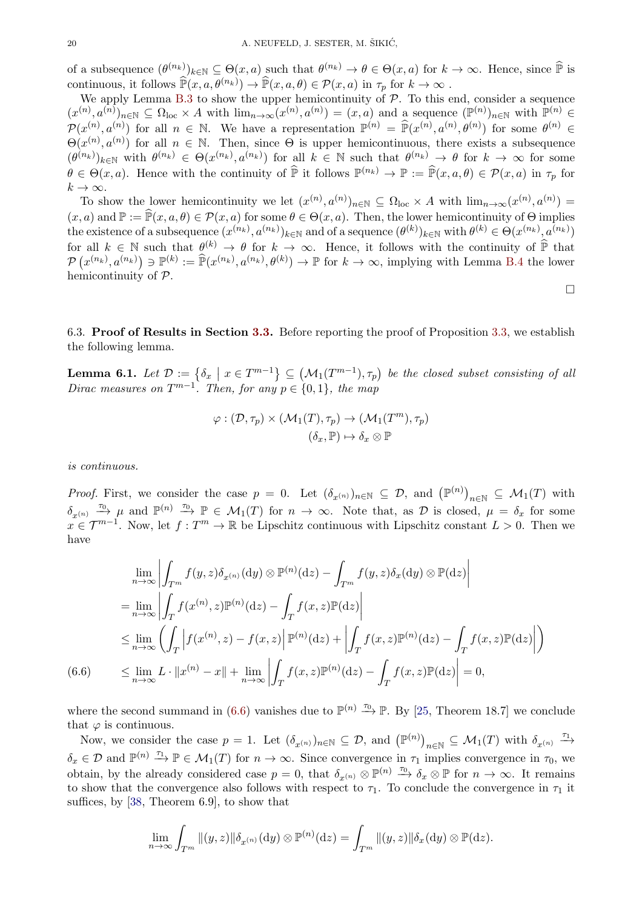of a subsequence  $(\theta^{(n_k)})_{k\in\mathbb{N}}\subseteq\Theta(x,a)$  such that  $\theta^{(n_k)}\to\theta\in\Theta(x,a)$  for  $k\to\infty$ . Hence, since  $\hat{\mathbb{P}}$  is continuous, it follows  $\mathbb{P}(x, a, \theta^{(n_k)}) \to \mathbb{P}(x, a, \theta) \in \mathcal{P}(x, a)$  in  $\tau_p$  for  $k \to \infty$ .

We apply Lemma [B.3](#page-26-6) to show the upper hemicontinuity of  $P$ . To this end, consider a sequence  $(x^{(n)}, a^{(n)})_{n \in \mathbb{N}} \subseteq \Omega_{\text{loc}} \times A$  with  $\lim_{n \to \infty} (x^{(n)}, a^{(n)}) = (x, a)$  and a sequence  $(\mathbb{P}^{(n)})_{n \in \mathbb{N}}$  with  $\mathbb{P}^{(n)} \in$  $\mathcal{P}(x^{(n)}, a^{(n)})$  for all  $n \in \mathbb{N}$ . We have a representation  $\mathbb{P}^{(n)} = \widehat{\mathbb{P}}(x^{(n)}, a^{(n)}, \theta^{(n)})$  for some  $\theta^{(n)} \in$  $\Theta(x^{(n)}, a^{(n)})$  for all  $n \in \mathbb{N}$ . Then, since  $\Theta$  is upper hemicontinuous, there exists a subsequence  $(\theta^{(n_k)})_{k\in\mathbb{N}}$  with  $\theta^{(n_k)} \in \Theta(x^{(n_k)}, a^{(n_k)})$  for all  $k \in \mathbb{N}$  such that  $\theta^{(n_k)} \to \theta$  for  $k \to \infty$  for some  $\theta \in \Theta(x, a)$ . Hence with the continuity of  $\hat{\mathbb{P}}$  it follows  $\mathbb{P}^{(n_k)} \to \mathbb{P} := \hat{\mathbb{P}}(x, a, \theta) \in \mathcal{P}(x, a)$  in  $\tau_p$  for  $k \to \infty$ .

To show the lower hemicontinuity we let  $(x^{(n)}, a^{(n)})_{n \in \mathbb{N}} \subseteq \Omega_{\text{loc}} \times A$  with  $\lim_{n \to \infty} (x^{(n)}, a^{(n)}) =$  $(x, a)$  and  $\mathbb{P} := \mathbb{P}(x, a, \theta) \in \mathcal{P}(x, a)$  for some  $\theta \in \Theta(x, a)$ . Then, the lower hemicontinuity of  $\Theta$  implies the existence of a subsequence  $(x^{(n_k)}, a^{(n_k)})_{k \in \mathbb{N}}$  and of a sequence  $(\theta^{(k)})_{k \in \mathbb{N}}$  with  $\theta^{(k)} \in \Theta(x^{(n_k)}, a^{(n_k)})$ for all  $k \in \mathbb{N}$  such that  $\theta^{(k)} \to \theta$  for  $k \to \infty$ . Hence, it follows with the continuity of  $\hat{\mathbb{P}}$  that  $\mathcal{P}(x^{(n_k)}, a^{(n_k)}) \ni \mathbb{P}^{(k)} := \widehat{\mathbb{P}}(x^{(n_k)}, a^{(n_k)}, \theta^{(k)}) \to \mathbb{P}$  for  $k \to \infty$ , implying with Lemma [B.4](#page-26-7) the lower hemicontinuity of P.

6.3. Proof of Results in Section [3.3.](#page-6-5) Before reporting the proof of Proposition [3.3,](#page-6-7) we establish the following lemma.

<span id="page-19-1"></span>**Lemma 6.1.** Let  $\mathcal{D} := \{ \delta_x \mid x \in T^{m-1} \} \subseteq (\mathcal{M}_1(T^{m-1}), \tau_p)$  be the closed subset consisting of all Dirac measures on  $T^{m-1}$ . Then, for any  $p \in \{0, 1\}$ , the map

$$
\varphi: (\mathcal{D}, \tau_p) \times (\mathcal{M}_1(T), \tau_p) \to (\mathcal{M}_1(T^m), \tau_p)
$$

$$
(\delta_x, \mathbb{P}) \mapsto \delta_x \otimes \mathbb{P}
$$

is continuous.

*Proof.* First, we consider the case  $p = 0$ . Let  $(\delta_{x^{(n)}})_{n \in \mathbb{N}} \subseteq \mathcal{D}$ , and  $(\mathbb{P}^{(n)})$  $_{n\in\mathbb{N}}\subseteq\mathcal{M}_1(T)$  with  $\delta_{x^{(n)}} \xrightarrow{\tau_0} \mu$  and  $\mathbb{P}^{(n)} \xrightarrow{\tau_0} \mathbb{P} \in \mathcal{M}_1(T)$  for  $n \to \infty$ . Note that, as  $\mathcal{D}$  is closed,  $\mu = \delta_x$  for some  $x \in \mathcal{T}^{m-1}$ . Now, let  $f: \mathcal{T}^m \to \mathbb{R}$  be Lipschitz continuous with Lipschitz constant  $L > 0$ . Then we have

$$
\lim_{n \to \infty} \left| \int_{T^m} f(y, z) \delta_{x^{(n)}}(\mathrm{d}y) \otimes \mathbb{P}^{(n)}(\mathrm{d}z) - \int_{T^m} f(y, z) \delta_x(\mathrm{d}y) \otimes \mathbb{P}(\mathrm{d}z) \right|
$$
\n
$$
= \lim_{n \to \infty} \left| \int_T f(x^{(n)}, z) \mathbb{P}^{(n)}(\mathrm{d}z) - \int_T f(x, z) \mathbb{P}(\mathrm{d}z) \right|
$$
\n
$$
\leq \lim_{n \to \infty} \left( \int_T \left| f(x^{(n)}, z) - f(x, z) \right| \mathbb{P}^{(n)}(\mathrm{d}z) + \left| \int_T f(x, z) \mathbb{P}^{(n)}(\mathrm{d}z) - \int_T f(x, z) \mathbb{P}(\mathrm{d}z) \right| \right)
$$
\n(6.6) 
$$
\leq \lim_{n \to \infty} L \cdot \|x^{(n)} - x\| + \lim_{n \to \infty} \left| \int_T f(x, z) \mathbb{P}^{(n)}(\mathrm{d}z) - \int_T f(x, z) \mathbb{P}(\mathrm{d}z) \right| = 0,
$$

<span id="page-19-0"></span>where the second summand in [\(6.6\)](#page-19-0) vanishes due to  $\mathbb{P}^{(n)} \xrightarrow{\tau_0} \mathbb{P}$ . By [\[25,](#page-27-33) Theorem 18.7] we conclude that  $\varphi$  is continuous.

Now, we consider the case  $p = 1$ . Let  $(\delta_{x^{(n)}})_{n \in \mathbb{N}} \subseteq \mathcal{D}$ , and  $(\mathbb{P}^{(n)})$  $n \in \mathbb{N} \subseteq \mathcal{M}_1(T)$  with  $\delta_{x^{(n)}} \stackrel{\tau_1}{\longrightarrow}$  $\delta_x \in \mathcal{D}$  and  $\mathbb{P}^{(n)} \stackrel{\tau_1}{\longrightarrow} \mathbb{P} \in \mathcal{M}_1(T)$  for  $n \to \infty$ . Since convergence in  $\tau_1$  implies convergence in  $\tau_0$ , we obtain, by the already considered case  $p = 0$ , that  $\delta_{x^{(n)}} \otimes \mathbb{P}^{(n)} \stackrel{\tau_0}{\longrightarrow} \delta_x \otimes \mathbb{P}$  for  $n \to \infty$ . It remains to show that the convergence also follows with respect to  $\tau_1$ . To conclude the convergence in  $\tau_1$  it suffices, by [\[38,](#page-27-23) Theorem 6.9], to show that

$$
\lim_{n\to\infty}\int_{T^m}\|(y,z)\|\delta_{x^{(n)}}(\mathrm{d} y)\otimes \mathbb{P}^{(n)}(\mathrm{d} z)=\int_{T^m}\|(y,z)\|\delta_x(\mathrm{d} y)\otimes \mathbb{P}(\mathrm{d} z).
$$

 $\Box$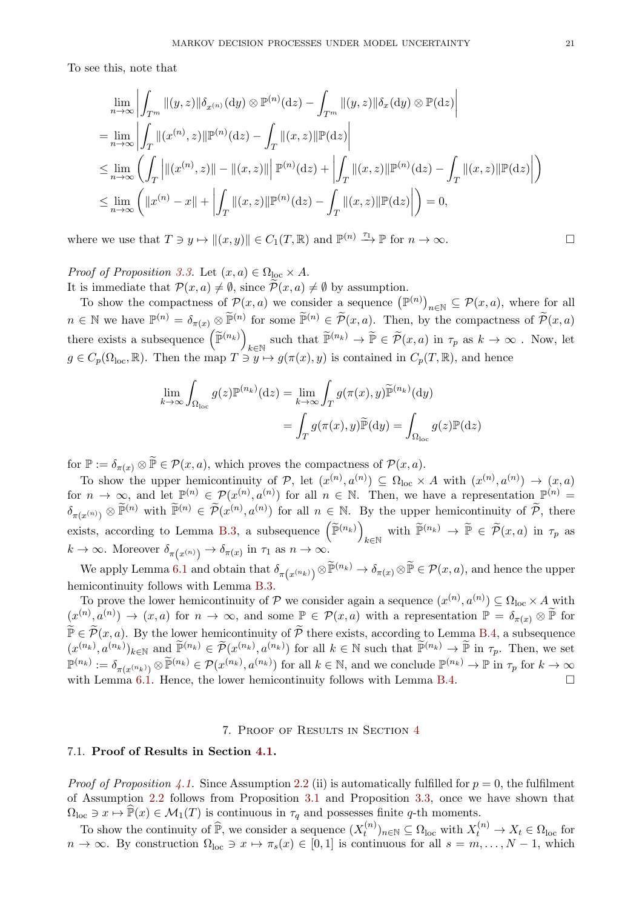To see this, note that

$$
\lim_{n \to \infty} \left| \int_{T^m} ||(y, z)|| \delta_{x^{(n)}}(\mathrm{d}y) \otimes \mathbb{P}^{(n)}(\mathrm{d}z) - \int_{T^m} ||(y, z)|| \delta_x(\mathrm{d}y) \otimes \mathbb{P}(\mathrm{d}z) \right|
$$
\n
$$
= \lim_{n \to \infty} \left| \int_T ||(x^{(n)}, z)||\mathbb{P}^{(n)}(\mathrm{d}z) - \int_T ||(x, z)||\mathbb{P}(\mathrm{d}z) \right|
$$
\n
$$
\leq \lim_{n \to \infty} \left( \int_T \left| ||(x^{(n)}, z)|| - ||(x, z)|| \right| \mathbb{P}^{(n)}(\mathrm{d}z) + \left| \int_T ||(x, z)||\mathbb{P}^{(n)}(\mathrm{d}z) - \int_T ||(x, z)||\mathbb{P}(\mathrm{d}z) \right| \right)
$$
\n
$$
\leq \lim_{n \to \infty} \left( ||x^{(n)} - x|| + \left| \int_T ||(x, z)||\mathbb{P}^{(n)}(\mathrm{d}z) - \int_T ||(x, z)||\mathbb{P}(\mathrm{d}z) \right| \right) = 0,
$$

where we use that  $T \ni y \mapsto ||(x, y)|| \in C_1(T, \mathbb{R})$  and  $\mathbb{P}^{(n)} \xrightarrow{\tau_1} \mathbb{P}$  for  $n \to \infty$ .

*Proof of Proposition [3.3.](#page-6-7)* Let  $(x, a) \in \Omega_{loc} \times A$ . It is immediate that  $\mathcal{P}(x, a) \neq \emptyset$ , since  $\mathcal{P}(x, a) \neq \emptyset$  by assumption.

To show the compactness of  $\mathcal{P}(x, a)$  we consider a sequence  $(\mathbb{P}^{(n)})_{n \in \mathbb{N}} \subseteq \mathcal{P}(x, a)$ , where for all n∈N  $n \in \mathbb{N}$  we have  $\mathbb{P}^{(n)} = \delta_{\pi(x)} \otimes \widetilde{\mathbb{P}}^{(n)}$  for some  $\widetilde{\mathbb{P}}^{(n)} \in \widetilde{\mathcal{P}}(x, a)$ . Then, by the compactness of  $\widetilde{\mathcal{P}}(x, a)$ there exists a subsequence  $(\widetilde{\mathbb{P}}^{(n_k)})$ such that  $\mathbb{P}^{(n_k)} \to \mathbb{P} \in \mathcal{P}(x, a)$  in  $\tau_p$  as  $k \to \infty$ . Now, let  $g \in C_p(\Omega_{\text{loc}}, \mathbb{R})$ . Then the map  $T \ni y \mapsto g(\pi(x), y)$  is contained in  $C_p(T, \mathbb{R})$ , and hence

$$
\lim_{k \to \infty} \int_{\Omega_{\text{loc}}} g(z) \mathbb{P}^{(n_k)}(\text{d}z) = \lim_{k \to \infty} \int_T g(\pi(x), y) \widetilde{\mathbb{P}}^{(n_k)}(\text{d}y)
$$

$$
= \int_T g(\pi(x), y) \widetilde{\mathbb{P}}(\text{d}y) = \int_{\Omega_{\text{loc}}} g(z) \mathbb{P}(\text{d}z)
$$

for  $\mathbb{P} := \delta_{\pi(x)} \otimes \tilde{\mathbb{P}} \in \mathcal{P}(x, a)$ , which proves the compactness of  $\mathcal{P}(x, a)$ .

To show the upper hemicontinuity of P, let  $(x^{(n)}, a^{(n)}) \subseteq \Omega_{\text{loc}} \times A$  with  $(x^{(n)}, a^{(n)}) \to (x, a)$ for  $n \to \infty$ , and let  $\mathbb{P}^{(n)} \in \mathcal{P}(x^{(n)}, a^{(n)})$  for all  $n \in \mathbb{N}$ . Then, we have a representation  $\mathbb{P}^{(n)}$  $\delta_{\pi(x^{(n)})} \otimes \mathbb{P}^{(n)}$  with  $\mathbb{P}^{(n)} \in \tilde{\mathcal{P}}(x^{(n)}, a^{(n)})$  for all  $n \in \mathbb{N}$ . By the upper hemicontinuity of  $\tilde{\mathcal{P}}$ , there exists, according to Lemma [B.3,](#page-26-6) a subsequence  $(\widetilde{\mathbb{P}}^{(n_k)})$ with  $\mathbb{P}^{(n_k)} \to \mathbb{P} \in \mathcal{P}(x, a)$  in  $\tau_p$  as  $k \to \infty$ . Moreover  $\delta_{\pi(x^{(n)})} \to \delta_{\pi(x)}$  in  $\tau_1$  as  $n \to \infty$ .

We apply Lemma [6.1](#page-19-1) and obtain that  $\delta_{\pi(x^{(n_k)})} \otimes \tilde{\mathbb{P}}^{(n_k)} \to \delta_{\pi(x)} \otimes \tilde{\mathbb{P}} \in \mathcal{P}(x, a)$ , and hence the upper hemicontinuity follows with Lemma [B.3.](#page-26-6)

To prove the lower hemicontinuity of  $P$  we consider again a sequence  $(x^{(n)}, a^{(n)}) \subseteq \Omega_{\text{loc}} \times A$  with  $(x^{(n)}, a^{(n)}) \to (x, a)$  for  $n \to \infty$ , and some  $\mathbb{P} \in \mathcal{P}(x, a)$  with a representation  $\mathbb{P} = \delta_{\pi(x)} \otimes \mathbb{P}$  for  $\widetilde{\mathbb{P}} \in \widetilde{\mathcal{P}}(x,a)$ . By the lower hemicontinuity of  $\widetilde{\mathcal{P}}$  there exists, according to Lemma [B.4,](#page-26-7) a subsequence  $(x^{(n_k)}, a^{(n_k)})_{k \in \mathbb{N}}$  and  $\overline{\mathbb{P}}^{(n_k)} \in \mathcal{P}(x^{(n_k)}, a^{(n_k)})$  for all  $k \in \mathbb{N}$  such that  $\overline{\mathbb{P}}^{(n_k)} \to \overline{\mathbb{P}}$  in  $\tau_p$ . Then, we set  $\mathbb{P}^{(n_k)} := \delta_{\pi(x^{(n_k)})} \otimes \widetilde{\mathbb{P}}^{(n_k)} \in \mathcal{P}(x^{(n_k)}, a^{(n_k)})$  for all  $k \in \mathbb{N}$ , and we conclude  $\mathbb{P}^{(n_k)} \to \mathbb{P}$  in  $\tau_p$  for  $k \to \infty$ with Lemma [6.1.](#page-19-1) Hence, the lower hemicontinuity follows with Lemma [B.4.](#page-26-7)  $\Box$ 

# 7. Proof of Results in Section [4](#page-6-0)

# <span id="page-20-0"></span>7.1. Proof of Results in Section [4.1.](#page-7-6)

*Proof of Proposition [4.1.](#page-7-7)* Since Assumption [2.2](#page-2-0) (ii) is automatically fulfilled for  $p = 0$ , the fulfilment of Assumption [2.2](#page-2-0) follows from Proposition [3.1](#page-5-6) and Proposition [3.3,](#page-6-7) once we have shown that  $\Omega_{\text{loc}} \ni x \mapsto \mathbb{P}(x) \in \mathcal{M}_1(T)$  is continuous in  $\tau_q$  and possesses finite q-th moments.

To show the continuity of  $\widehat{P}$ , we consider a sequence  $(X_t^{(n)}$  $(t_n^{(n)})_{n\in\mathbb{N}}\subseteq\Omega_{\text{loc}}$  with  $X_t^{(n)}\to X_t\in\Omega_{\text{loc}}$  for  $n \to \infty$ . By construction  $\Omega_{\text{loc}} \ni x \mapsto \pi_s(x) \in [0,1]$  is continuous for all  $s = m, \ldots, N-1$ , which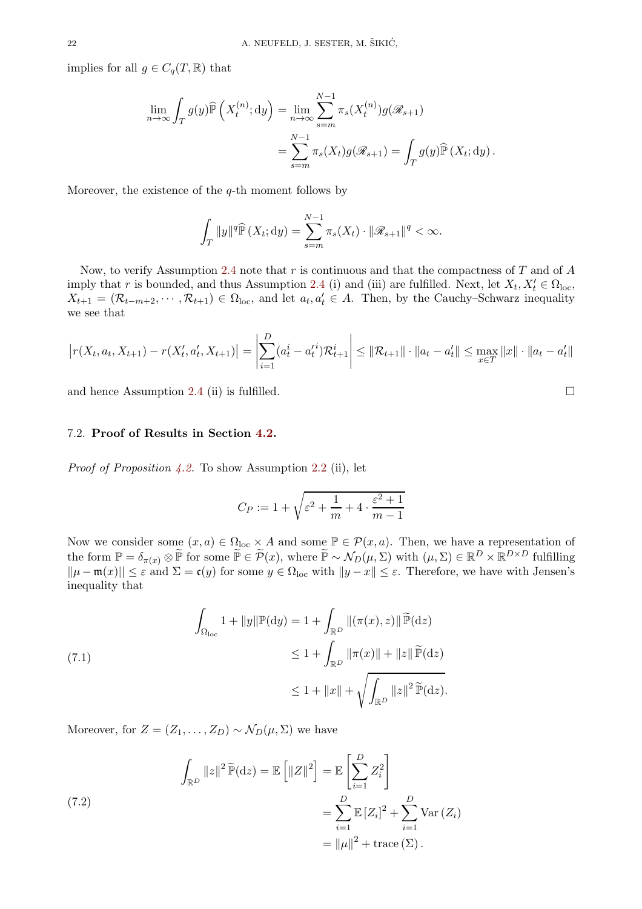implies for all  $g \in C_q(T, \mathbb{R})$  that

$$
\lim_{n \to \infty} \int_T g(y) \widehat{\mathbb{P}} \left( X_t^{(n)}; dy \right) = \lim_{n \to \infty} \sum_{s=m}^{N-1} \pi_s(X_t^{(n)}) g(\mathcal{R}_{s+1})
$$
  
= 
$$
\sum_{s=m}^{N-1} \pi_s(X_t) g(\mathcal{R}_{s+1}) = \int_T g(y) \widehat{\mathbb{P}} \left( X_t; dy \right).
$$

Moreover, the existence of the  $q$ -th moment follows by

$$
\int_{T} ||y||^{q} \widehat{\mathbb{P}}\left(X_{t}; \mathrm{d}y\right) = \sum_{s=m}^{N-1} \pi_{s}(X_{t}) \cdot ||\mathcal{R}_{s+1}||^{q} < \infty.
$$

Now, to verify Assumption [2.4](#page-3-1) note that  $r$  is continuous and that the compactness of  $T$  and of  $A$ imply that r is bounded, and thus Assumption [2.4](#page-3-1) (i) and (iii) are fulfilled. Next, let  $X_t, X'_t \in \Omega_{\text{loc}}$ ,  $X_{t+1} = (\mathcal{R}_{t-m+2}, \cdots, \mathcal{R}_{t+1}) \in \Omega_{loc}$ , and let  $a_t, a'_t \in A$ . Then, by the Cauchy–Schwarz inequality we see that

$$
\left| r(X_t, a_t, X_{t+1}) - r(X'_t, a'_t, X_{t+1}) \right| = \left| \sum_{i=1}^D (a_t^i - a_t'^i) \mathcal{R}_{t+1}^i \right| \leq ||\mathcal{R}_{t+1}|| \cdot ||a_t - a'_t|| \leq \max_{x \in T} ||x|| \cdot ||a_t - a'_t||
$$

and hence Assumption [2.4](#page-3-1) (ii) is fulfilled.  $\square$ 

## 7.2. Proof of Results in Section [4.2.](#page-8-3)

Proof of Proposition [4.2.](#page-8-4) To show Assumption [2.2](#page-2-0) (ii), let

$$
C_P := 1 + \sqrt{\varepsilon^2 + \frac{1}{m} + 4 \cdot \frac{\varepsilon^2 + 1}{m - 1}}
$$

Now we consider some  $(x, a) \in \Omega_{loc} \times A$  and some  $\mathbb{P} \in \mathcal{P}(x, a)$ . Then, we have a representation of the form  $\mathbb{P} = \delta_{\pi(x)} \otimes \mathbb{P}$  for some  $\mathbb{P} \in \tilde{\mathcal{P}}(x)$ , where  $\mathbb{P} \sim \mathcal{N}_D(\mu, \Sigma)$  with  $(\mu, \Sigma) \in \mathbb{R}^D \times \mathbb{R}^{D \times D}$  fulfilling  $\|\mu - \mathfrak{m}(x)\| \leq \varepsilon$  and  $\Sigma = \mathfrak{c}(y)$  for some  $y \in \Omega_{\text{loc}}$  with  $\|y - x\| \leq \varepsilon$ . Therefore, we have with Jensen's inequality that

<span id="page-21-0"></span>(7.1)  
\n
$$
\int_{\Omega_{\text{loc}}} 1 + ||y|| \mathbb{P}(\text{d}y) = 1 + \int_{\mathbb{R}^D} ||(\pi(x), z)|| \widetilde{\mathbb{P}}(\text{d}z)
$$
\n
$$
\leq 1 + \int_{\mathbb{R}^D} ||\pi(x)|| + ||z|| \widetilde{\mathbb{P}}(\text{d}z)
$$
\n
$$
\leq 1 + ||x|| + \sqrt{\int_{\mathbb{R}^D} ||z||^2 \widetilde{\mathbb{P}}(\text{d}z)}.
$$

Moreover, for  $Z = (Z_1, \ldots, Z_D) \sim \mathcal{N}_D(\mu, \Sigma)$  we have

<span id="page-21-1"></span>(7.2)  
\n
$$
\int_{\mathbb{R}^D} ||z||^2 \widetilde{\mathbb{P}}(\mathrm{d}z) = \mathbb{E} \left[ ||Z||^2 \right] = \mathbb{E} \left[ \sum_{i=1}^D Z_i^2 \right]
$$
\n
$$
= \sum_{i=1}^D \mathbb{E} \left[ Z_i \right]^2 + \sum_{i=1}^D \mathrm{Var} \left( Z_i \right)
$$
\n
$$
= ||\mu||^2 + \mathrm{trace} \left( \Sigma \right).
$$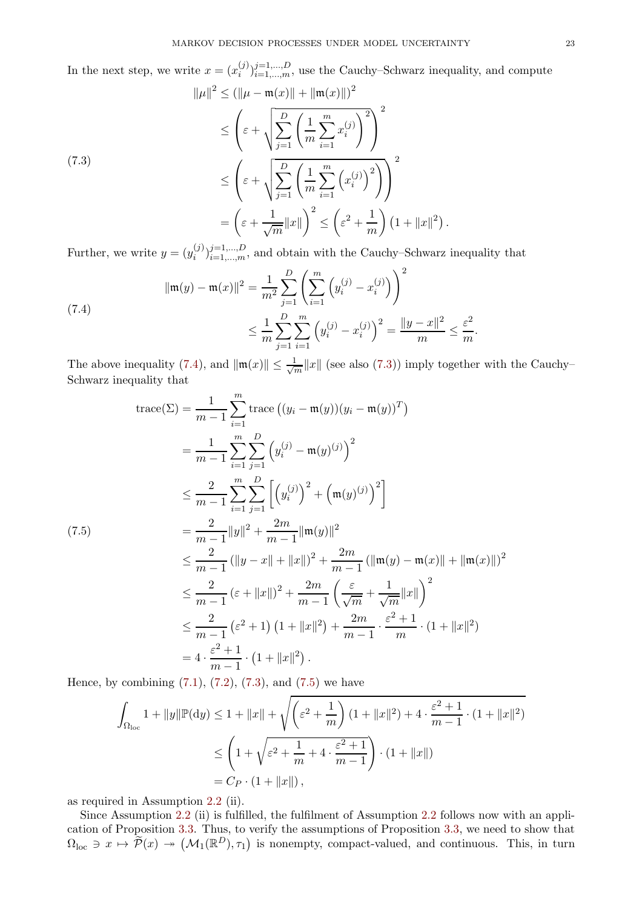In the next step, we write  $x = (x_i^{(j)})$  $\binom{j}{i}$   $\sum_{i=1,...,m}^{j=1,...,D}$ , use the Cauchy–Schwarz inequality, and compute

<span id="page-22-1"></span>
$$
\|\mu\|^2 \le (\|\mu - \mathfrak{m}(x)\| + \|\mathfrak{m}(x)\|)^2
$$
  
\n
$$
\le \left(\varepsilon + \sqrt{\sum_{j=1}^D \left(\frac{1}{m} \sum_{i=1}^m x_i^{(j)}\right)^2}\right)^2
$$
  
\n(7.3)  
\n
$$
\le \left(\varepsilon + \sqrt{\sum_{j=1}^D \left(\frac{1}{m} \sum_{i=1}^m \left(x_i^{(j)}\right)^2\right)}\right)^2
$$
  
\n
$$
= \left(\varepsilon + \frac{1}{\sqrt{m}} \|x\|\right)^2 \le \left(\varepsilon^2 + \frac{1}{m}\right) \left(1 + \|x\|^2\right).
$$

Further, we write  $y=(y_i^{(j)})$  $(i)$ ) $i=1,...,D$ , and obtain with the Cauchy–Schwarz inequality that

<span id="page-22-0"></span>(7.4)  

$$
\|\mathfrak{m}(y) - \mathfrak{m}(x)\|^2 = \frac{1}{m^2} \sum_{j=1}^D \left( \sum_{i=1}^m \left( y_i^{(j)} - x_i^{(j)} \right) \right)^2
$$

$$
\leq \frac{1}{m} \sum_{j=1}^D \sum_{i=1}^m \left( y_i^{(j)} - x_i^{(j)} \right)^2 = \frac{\|y - x\|^2}{m} \leq \frac{\varepsilon^2}{m}.
$$

The above inequality [\(7.4\)](#page-22-0), and  $\|\mathfrak{m}(x)\| \leq \frac{1}{\sqrt{2}}$  $\frac{\mathbb{L}}{m}||x||$  (see also [\(7.3\)](#page-22-1)) imply together with the Cauchy– Schwarz inequality that

<span id="page-22-2"></span>
$$
\begin{split}\n\text{trace}(\Sigma) &= \frac{1}{m-1} \sum_{i=1}^{m} \text{trace} \left( (y_i - \mathfrak{m}(y))(y_i - \mathfrak{m}(y))^T \right) \\
&= \frac{1}{m-1} \sum_{i=1}^{m} \sum_{j=1}^{D} \left( y_i^{(j)} - \mathfrak{m}(y)^{(j)} \right)^2 \\
&\le \frac{2}{m-1} \sum_{i=1}^{m} \sum_{j=1}^{D} \left[ \left( y_i^{(j)} \right)^2 + \left( \mathfrak{m}(y)^{(j)} \right)^2 \right] \\
&= \frac{2}{m-1} ||y||^2 + \frac{2m}{m-1} ||\mathfrak{m}(y)||^2 \\
&\le \frac{2}{m-1} \left( ||y-x|| + ||x|| \right)^2 + \frac{2m}{m-1} \left( ||\mathfrak{m}(y) - \mathfrak{m}(x)|| + ||\mathfrak{m}(x)|| \right)^2 \\
&\le \frac{2}{m-1} \left( \varepsilon + ||x|| \right)^2 + \frac{2m}{m-1} \left( \frac{\varepsilon}{\sqrt{m}} + \frac{1}{\sqrt{m}} ||x|| \right)^2 \\
&\le \frac{2}{m-1} \left( \varepsilon^2 + 1 \right) \left( 1 + ||x||^2 \right) + \frac{2m}{m-1} \cdot \frac{\varepsilon^2 + 1}{m} \cdot \left( 1 + ||x||^2 \right) \\
&= 4 \cdot \frac{\varepsilon^2 + 1}{m-1} \cdot \left( 1 + ||x||^2 \right).\n\end{split}
$$

Hence, by combining  $(7.1)$ ,  $(7.2)$ ,  $(7.3)$ , and  $(7.5)$  we have

$$
\int_{\Omega_{\text{loc}}} 1 + ||y|| \mathbb{P}(\text{d}y) \le 1 + ||x|| + \sqrt{\left(\varepsilon^2 + \frac{1}{m}\right)(1 + ||x||^2) + 4 \cdot \frac{\varepsilon^2 + 1}{m - 1} \cdot (1 + ||x||^2)} \le \left(1 + \sqrt{\varepsilon^2 + \frac{1}{m} + 4 \cdot \frac{\varepsilon^2 + 1}{m - 1}}\right) \cdot (1 + ||x||) \n= C_P \cdot (1 + ||x||),
$$

as required in Assumption [2.2](#page-2-0) (ii).

Since Assumption [2.2](#page-2-0) (ii) is fulfilled, the fulfilment of Assumption 2.2 follows now with an application of Proposition [3.3.](#page-6-7) Thus, to verify the assumptions of Proposition [3.3,](#page-6-7) we need to show that  $\Omega_{\text{loc}} \ni x \mapsto \widetilde{\mathcal{P}}(x) \twoheadrightarrow (\mathcal{M}_1(\mathbb{R}^D), \tau_1)$  is nonempty, compact-valued, and continuous. This, in turn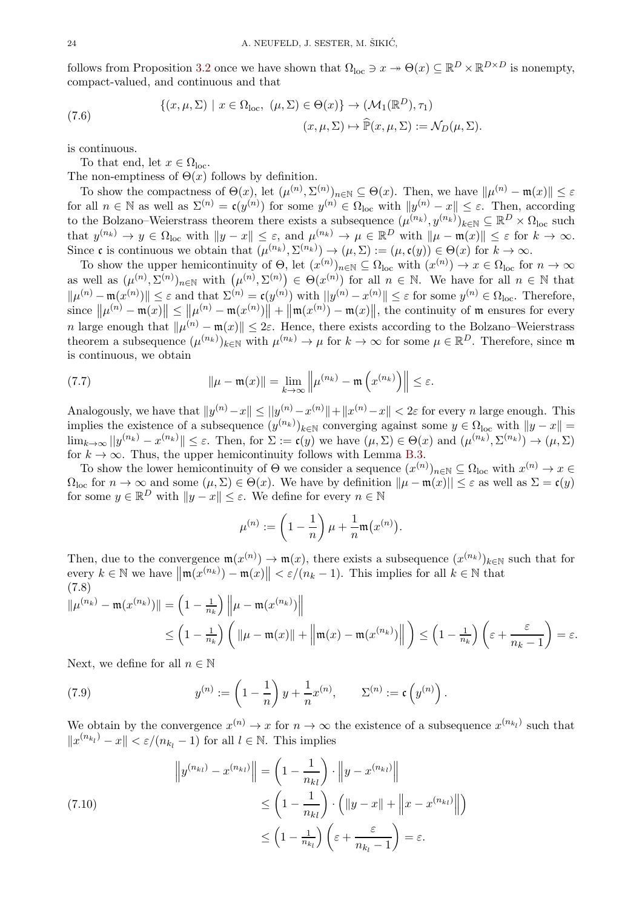follows from Proposition [3.2](#page-6-6) once we have shown that  $\Omega_{\text{loc}} \ni x \to \Theta(x) \subseteq \mathbb{R}^D \times \mathbb{R}^{D \times D}$  is nonempty, compact-valued, and continuous and that

<span id="page-23-3"></span>(7.6) 
$$
\{(x,\mu,\Sigma) \mid x \in \Omega_{\text{loc}}, \ (\mu,\Sigma) \in \Theta(x)\} \to (\mathcal{M}_1(\mathbb{R}^D),\tau_1) (x,\mu,\Sigma) \mapsto \widehat{\mathbb{P}}(x,\mu,\Sigma) := \mathcal{N}_D(\mu,\Sigma).
$$

is continuous.

To that end, let  $x \in \Omega_{loc}$ .

The non-emptiness of  $\Theta(x)$  follows by definition.

To show the compactness of  $\Theta(x)$ , let  $(\mu^{(n)}, \Sigma^{(n)})_{n\in\mathbb{N}} \subseteq \Theta(x)$ . Then, we have  $\|\mu^{(n)} - \mathfrak{m}(x)\| \leq \varepsilon$ for all  $n \in \mathbb{N}$  as well as  $\Sigma^{(n)} = \mathfrak{c}(y^{(n)})$  for some  $y^{(n)} \in \Omega_{\text{loc}}$  with  $||y^{(n)} - x|| \leq \varepsilon$ . Then, according to the Bolzano–Weierstrass theorem there exists a subsequence  $(\mu^{(n_k)}, y^{(n_k)})_{k \in \mathbb{N}} \subseteq \mathbb{R}^D \times \Omega_{\text{loc}}$  such that  $y^{(n_k)} \to y \in \Omega_{\text{loc}}$  with  $||y - x|| \leq \varepsilon$ , and  $\mu^{(n_k)} \to \mu \in \mathbb{R}^D$  with  $||\mu - \mathfrak{m}(x)|| \leq \varepsilon$  for  $k \to \infty$ . Since c is continuous we obtain that  $(\mu^{(n_k)}, \Sigma^{(n_k)}) \to (\mu, \Sigma) := (\mu, \mathfrak{c}(y)) \in \Theta(x)$  for  $k \to \infty$ .

To show the upper hemicontinuity of  $\Theta$ , let  $(x^{(n)})_{n\in\mathbb{N}}\subseteq\Omega_{\text{loc}}$  with  $(x^{(n)})\to x\in\Omega_{\text{loc}}$  for  $n\to\infty$ as well as  $(\mu^{(n)}, \Sigma^{(n)})_{n \in \mathbb{N}}$  with  $(\mu^{(n)}, \Sigma^{(n)}) \in \Theta(x^{(n)})$  for all  $n \in \mathbb{N}$ . We have for all  $n \in \mathbb{N}$  that  $\|\mu^{(n)} - \mathfrak{m}(x^{(n)})\| \leq \varepsilon$  and that  $\Sigma^{(n)} = \mathfrak{c}(y^{(n)})$  with  $\|y^{(n)} - x^{(n)}\| \leq \varepsilon$  for some  $y^{(n)} \in \Omega_{\text{loc}}$ . Therefore, since  $\|\mu^{(n)} - \mathfrak{m}(x)\| \le \|\mu^{(n)} - \mathfrak{m}(x^{(n)})\| + \|\mathfrak{m}(x^{(n)}) - \mathfrak{m}(x)\|$ , the continuity of  $\mathfrak{m}$  ensures for every n large enough that  $\|\mu^{(n)} - \mathfrak{m}(x)\| \leq 2\varepsilon$ . Hence, there exists according to the Bolzano–Weierstrass theorem a subsequence  $(\mu^{(n_k)})_{k \in \mathbb{N}}$  with  $\mu^{(n_k)} \to \mu$  for  $k \to \infty$  for some  $\mu \in \mathbb{R}^D$ . Therefore, since m is continuous, we obtain

(7.7) 
$$
\|\mu - \mathfrak{m}(x)\| = \lim_{k \to \infty} \left\|\mu^{(n_k)} - \mathfrak{m}\left(x^{(n_k)}\right)\right\| \leq \varepsilon.
$$

Analogously, we have that  $||y^{(n)} - x|| \le ||y^{(n)} - x^{(n)}|| + ||x^{(n)} - x|| < 2\varepsilon$  for every n large enough. This implies the existence of a subsequence  $(y^{(n_k)})_{k \in \mathbb{N}}$  converging against some  $y \in \Omega_{\text{loc}}$  with  $||y - x|| =$  $\lim_{k\to\infty} ||y^{(n_k)} - x^{(n_k)}|| \leq \varepsilon$ . Then, for  $\Sigma := \mathfrak{c}(y)$  we have  $(\mu, \Sigma) \in \Theta(x)$  and  $(\mu^{(n_k)}, \Sigma^{(n_k)}) \to (\mu, \Sigma)$ for  $k \to \infty$ . Thus, the upper hemicontinuity follows with Lemma [B.3.](#page-26-6)

To show the lower hemicontinuity of  $\Theta$  we consider a sequence  $(x^{(n)})_{n\in\mathbb{N}}\subseteq\Omega_{\text{loc}}$  with  $x^{(n)}\to x\in\mathbb{N}$  $\Omega_{\text{loc}}$  for  $n \to \infty$  and some  $(\mu, \Sigma) \in \Theta(x)$ . We have by definition  $\|\mu - \mathfrak{m}(x)\| \leq \varepsilon$  as well as  $\Sigma = \mathfrak{c}(y)$ for some  $y \in \mathbb{R}^D$  with  $||y - x|| \leq \varepsilon$ . We define for every  $n \in \mathbb{N}$ 

$$
\mu^{(n)} := \left(1 - \frac{1}{n}\right)\mu + \frac{1}{n}\mathfrak{m}(x^{(n)}).
$$

Then, due to the convergence  $\mathfrak{m}(x^{(n)}) \to \mathfrak{m}(x)$ , there exists a subsequence  $(x^{(n_k)})_{k \in \mathbb{N}}$  such that for every  $k \in \mathbb{N}$  we have  $\|\mathfrak{m}(x^{(n_k)}) - \mathfrak{m}(x)\| < \varepsilon/(n_k - 1)$ . This implies for all  $k \in \mathbb{N}$  that (7.8)

<span id="page-23-0"></span>
$$
\|\mu^{(n_k)} - \mathfrak{m}(x^{(n_k)})\| = \left(1 - \frac{1}{n_k}\right) \left\|\mu - \mathfrak{m}(x^{(n_k)})\right\|
$$
  

$$
\leq \left(1 - \frac{1}{n_k}\right) \left(\|\mu - \mathfrak{m}(x)\| + \left\|\mathfrak{m}(x) - \mathfrak{m}(x^{(n_k)})\right\|\right) \leq \left(1 - \frac{1}{n_k}\right) \left(\varepsilon + \frac{\varepsilon}{n_k - 1}\right) = \varepsilon.
$$

Next, we define for all  $n \in \mathbb{N}$ 

<span id="page-23-1"></span>(7.9) 
$$
y^{(n)} := \left(1 - \frac{1}{n}\right)y + \frac{1}{n}x^{(n)}, \qquad \Sigma^{(n)} := \mathfrak{c}\left(y^{(n)}\right).
$$

We obtain by the convergence  $x^{(n)} \to x$  for  $n \to \infty$  the existence of a subsequence  $x^{(n_{k_l})}$  such that  $||x^{(n_{k_l})} - x|| < \varepsilon/(n_{k_l} - 1)$  for all  $l \in \mathbb{N}$ . This implies

<span id="page-23-2"></span>(7.10)  
\n
$$
\left\|y^{(n_{kl})} - x^{(n_{kl})}\right\| = \left(1 - \frac{1}{n_{kl}}\right) \cdot \left\|y - x^{(n_{kl})}\right\|
$$
\n
$$
\leq \left(1 - \frac{1}{n_{kl}}\right) \cdot \left(\left\|y - x\right\| + \left\|x - x^{(n_{kl})}\right\|\right)
$$
\n
$$
\leq \left(1 - \frac{1}{n_{kl}}\right) \left(\varepsilon + \frac{\varepsilon}{n_{kl} - 1}\right) = \varepsilon.
$$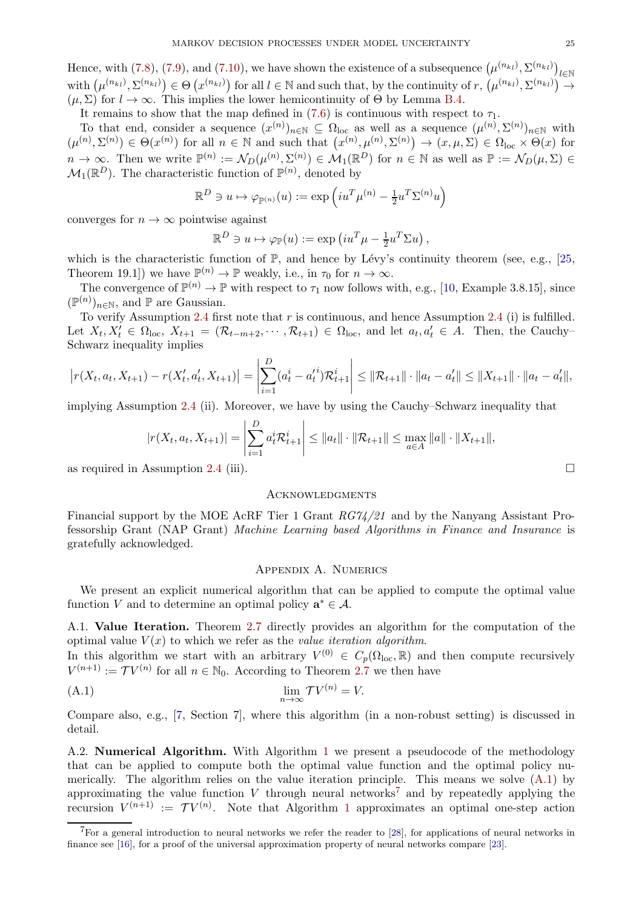Hence, with [\(7.8\)](#page-23-0), [\(7.9\)](#page-23-1), and [\(7.10\)](#page-23-2), we have shown the existence of a subsequence  $(\mu^{(n_{kl})}, \Sigma^{(n_{kl})})$ l∈N with  $(\mu^{(n_{kl})}, \Sigma^{(n_{kl})}) \in \Theta(x^{(n_{kl})})$  for all  $l \in \mathbb{N}$  and such that, by the continuity of  $r, (\mu^{(n_{kl})}, \Sigma^{(n_{kl})}) \rightarrow$  $(\mu, \Sigma)$  for  $l \to \infty$ . This implies the lower hemicontinuity of  $\Theta$  by Lemma [B.4.](#page-26-7)

It remains to show that the map defined in [\(7.6\)](#page-23-3) is continuous with respect to  $\tau_1$ .

To that end, consider a sequence  $(x^{(n)})_{n\in\mathbb{N}}\subseteq\Omega_{\text{loc}}$  as well as a sequence  $(\mu^{(n)},\Sigma^{(n)})_{n\in\mathbb{N}}$  with  $(\mu^{(n)}, \Sigma^{(n)}) \in \Theta(x^{(n)})$  for all  $n \in \mathbb{N}$  and such that  $(x^{(n)}, \mu^{(n)}, \Sigma^{(n)}) \to (x, \mu, \Sigma) \in \Omega_{loc} \times \Theta(x)$  for  $n \to \infty$ . Then we write  $\mathbb{P}^{(n)} := \mathcal{N}_D(\mu^{(n)}, \Sigma^{(n)}) \in \mathcal{M}_1(\mathbb{R}^D)$  for  $n \in \mathbb{N}$  as well as  $\mathbb{P} := \mathcal{N}_D(\mu, \Sigma) \in$  $\mathcal{M}_1(\mathbb{R}^D)$ . The characteristic function of  $\mathbb{P}^{(n)}$ , denoted by

$$
\mathbb{R}^D \ni u \mapsto \varphi_{\mathbb{P}^{(n)}}(u) := \exp\left(iu^T\mu^{(n)} - \frac{1}{2}u^T\Sigma^{(n)}u\right)
$$

converges for  $n \to \infty$  pointwise against

$$
\mathbb{R}^D \ni u \mapsto \varphi_{\mathbb{P}}(u) := \exp\left(iu^T\mu - \frac{1}{2}u^T\Sigma u\right),
$$

which is the characteristic function of  $\mathbb{P}$ , and hence by Lévy's continuity theorem (see, e.g., [\[25,](#page-27-33) Theorem 19.1]) we have  $\mathbb{P}^{(n)} \to \mathbb{P}$  weakly, i.e., in  $\tau_0$  for  $n \to \infty$ .

The convergence of  $\mathbb{P}^{(n)} \to \mathbb{P}$  with respect to  $\tau_1$  now follows with, e.g., [\[10,](#page-27-34) Example 3.8.15], since  $(\mathbb{P}^{(n)})_{n\in\mathbb{N}}$ , and  $\mathbb P$  are Gaussian.

To verify Assumption [2.4](#page-3-1) first note that  $r$  is continuous, and hence Assumption 2.4 (i) is fulfilled. Let  $X_t, X_t' \in \Omega_{\text{loc}}, X_{t+1} = (\mathcal{R}_{t-m+2}, \cdots, \mathcal{R}_{t+1}) \in \Omega_{\text{loc}}, \text{ and let } a_t, a_t' \in A.$  Then, the Cauchy-Schwarz inequality implies

$$
\left| r(X_t, a_t, X_{t+1}) - r(X'_t, a'_t, X_{t+1}) \right| = \left| \sum_{i=1}^D (a_t^i - a_t'^i) \mathcal{R}_{t+1}^i \right| \leq ||\mathcal{R}_{t+1}|| \cdot ||a_t - a_t'|| \leq ||X_{t+1}|| \cdot ||a_t - a_t'||,
$$

implying Assumption [2.4](#page-3-1) (ii). Moreover, we have by using the Cauchy–Schwarz inequality that

$$
|r(X_t, a_t, X_{t+1})| = \left| \sum_{i=1}^D a_t^i \mathcal{R}_{t+1}^i \right| \le ||a_t|| \cdot ||\mathcal{R}_{t+1}|| \le \max_{a \in A} ||a|| \cdot ||X_{t+1}||,
$$

as required in Assumption [2.4](#page-3-1) (iii).

## **ACKNOWLEDGMENTS**

Financial support by the MOE AcRF Tier 1 Grant RG74/21 and by the Nanyang Assistant Professorship Grant (NAP Grant) Machine Learning based Algorithms in Finance and Insurance is gratefully acknowledged.

#### <span id="page-24-1"></span>Appendix A. Numerics

<span id="page-24-0"></span>We present an explicit numerical algorithm that can be applied to compute the optimal value function V and to determine an optimal policy  $\mathbf{a}^* \in \mathcal{A}$ .

A.1. Value Iteration. Theorem [2.7](#page-4-0) directly provides an algorithm for the computation of the optimal value  $V(x)$  to which we refer as the *value iteration algorithm*.

In this algorithm we start with an arbitrary  $V^{(0)} \in C_p(\Omega_{\text{loc}}, \mathbb{R})$  and then compute recursively  $V^{(n+1)} := \mathcal{T}V^{(n)}$  for all  $n \in \mathbb{N}_0$ . According to Theorem [2.7](#page-4-0) we then have

$$
\lim_{n \to \infty} \mathcal{T}V^{(n)} = V.
$$

Compare also, e.g., [\[7,](#page-27-0) Section 7], where this algorithm (in a non-robust setting) is discussed in detail.

A.2. Numerical Algorithm. With Algorithm [1](#page-25-0) we present a pseudocode of the methodology that can be applied to compute both the optimal value function and the optimal policy numerically. The algorithm relies on the value iteration principle. This means we solve [\(A.1\)](#page-24-1) by approximating the value function  $V$  through neural networks<sup>[7](#page-24-2)</sup> and by repeatedly applying the recursion  $V^{(n+1)} := \mathcal{T}V^{(n)}$  $V^{(n+1)} := \mathcal{T}V^{(n)}$  $V^{(n+1)} := \mathcal{T}V^{(n)}$ . Note that Algorithm 1 approximates an optimal one-step action

<span id="page-24-2"></span> $7$ For a general introduction to neural networks we refer the reader to [\[28\]](#page-27-35), for applications of neural networks in finance see [\[16\]](#page-27-9), for a proof of the universal approximation property of neural networks compare [\[23\]](#page-27-36).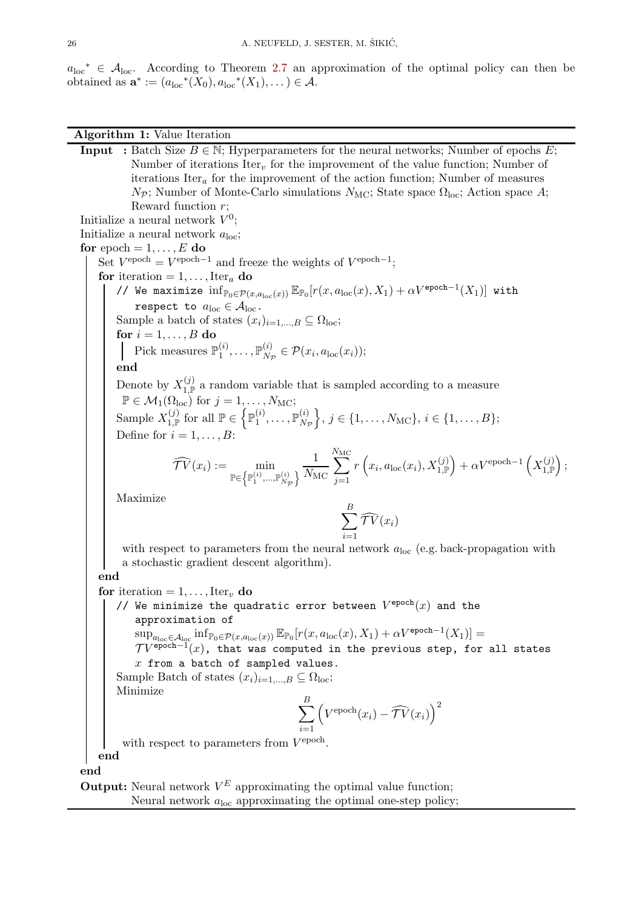$a_{\text{loc}}^* \in A_{\text{loc}}$ . According to Theorem [2.7](#page-4-0) an approximation of the optimal policy can then be obtained as  $\mathbf{a}^* := (a_{\text{loc}}^*(X_0), a_{\text{loc}}^*(X_1), \dots) \in \mathcal{A}.$ 

# Algorithm 1: Value Iteration

<span id="page-25-0"></span>**Input**: Batch Size  $B \in \mathbb{N}$ ; Hyperparameters for the neural networks; Number of epochs E; Number of iterations Iter<sub>v</sub> for the improvement of the value function; Number of iterations Iter<sub>a</sub> for the improvement of the action function; Number of measures  $N_{\mathcal{P}}$ ; Number of Monte-Carlo simulations  $N_{\text{MC}}$ ; State space  $\Omega_{\text{loc}}$ ; Action space A; Reward function r; Initialize a neural network  $V^0$ ; Initialize a neural network  $a_{\text{loc}}$ ; for epoch  $= 1, \ldots, E$  do Set  $V^{\text{epoch}} = V^{\text{epoch}-1}$  and freeze the weights of  $V^{\text{epoch}-1}$ ; for iteration =  $1, \ldots, \text{Iter}_a$  do // We maximize  $\inf_{\mathbb{P}_0 \in \mathcal{P}(x,a_{\text{loc}}(x))} \mathbb{E}_{\mathbb{P}_0}[r(x,a_{\text{loc}}(x),X_1) + \alpha V^{\text{epoch}-1}(X_1)]$  with respect to  $a_{\text{loc}} \in \mathcal{A}_{\text{loc}}$ . Sample a batch of states  $(x_i)_{i=1,\dots,B} \subseteq \Omega_{loc};$ for  $i = 1, \ldots, B$  do Pick measures  $\mathbb{P}_1^{(i)}$  $\mathbb{P}_1^{(i)},\ldots,\mathbb{P}_{N_1}^{(i)}$  $\mathcal{P}_{N_{\mathcal{P}}}^{(i)} \in \mathcal{P}(x_i, a_{\text{loc}}(x_i));$ end Denote by  $X_{1,\mathbb{P}}^{(j)}$  $1, P_{1,P}^{(1)}$  a random variable that is sampled according to a measure  $\mathbb{P} \in \mathcal{M}_1(\Omega_{\text{loc}})$  for  $j = 1, \ldots, N_{\text{MC}};$ Sample  $X_{1}^{(j)}$  $\mathbf{f}_{1,\mathbb{P}}^{(j)}$  for all  $\mathbb{P}\in\Big\{\mathbb{P}_1^{(i)}$  $\mathbb{P}_1^{(i)},\ldots,\mathbb{P}_{N_\mathcal{T}}^{(i)}$  $N_{\mathcal{P}}$  $\Big\}, j \in \{1, \ldots, N_{\rm MC}\}, i \in \{1, \ldots, B\};$ Define for  $i = 1, \ldots, B$ :  $\mathcal{T}V(x_i) := \min_{\mathbf{f}(\mathbf{x})}$  $\mathbb{P} {\in} \left\{ \mathbb{P}_{1}^{(i)},...,\mathbb{P}_{N_{\mathcal{P}}}^{(i)} \right\}$ 1  $N_{\rm MC}$  $\sum^{\text{N}_{\text{MC}}}$  $j=1$  $r\left(x_i, a_{\mathrm{loc}}(x_i), X_{1,\mathbb{P}}^{(j)}\right)$  $+ \alpha V^{\text{epoch}-1} \left( X_{1}^{(j)} \right)$ 1,P  $\bigg)$  ; Maximize  $\sum^B$  $i=1$  $\mathcal{T}V(x_i)$ with respect to parameters from the neural network  $a_{\text{loc}}$  (e.g. back-propagation with a stochastic gradient descent algorithm). end for iteration  $= 1, \ldots, \text{Iter}_v$  do // We minimize the quadratic error between  $V^{\text{epoch}}(x)$  and the approximation of  $\sup_{a_{\text{loc}} \in \mathcal{A}_{\text{loc}}} \inf_{\mathbb{P}_0 \in \mathcal{P}(x, a_{\text{loc}}(x))} \mathbb{E}_{\mathbb{P}_0}[r(x, a_{\text{loc}}(x), X_1) + \alpha V^{\text{epoch}-1}(X_1)] =$  $\mathcal{T} V^{\mathsf{epoch}-1}(x)$ , that was computed in the previous step, for all states  $x$  from a batch of sampled values. Sample Batch of states  $(x_i)_{i=1,\dots,B} \subseteq \Omega_{loc};$ Minimize  $\sum$  $i=1$  $(V^{\text{epoch}}(x_i) - \widehat{\mathcal{TV}}(x_i))^{2}$ with respect to parameters from  $V^{\text{epoch}}$ . end end **Output:** Neural network  $V^E$  approximating the optimal value function; Neural network  $a_{\text{loc}}$  approximating the optimal one-step policy;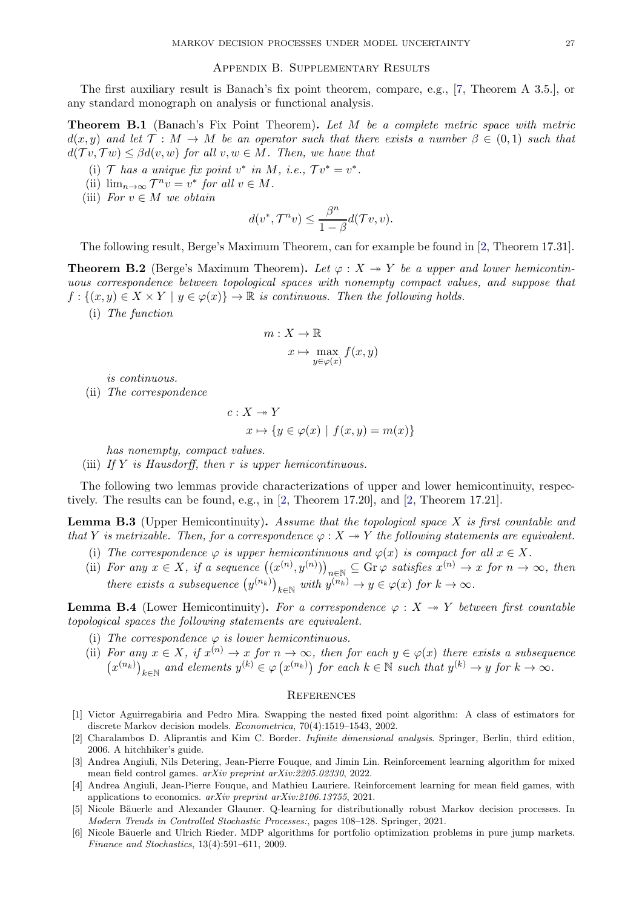#### Appendix B. Supplementary Results

The first auxiliary result is Banach's fix point theorem, compare, e.g., [\[7,](#page-27-0) Theorem A 3.5.], or any standard monograph on analysis or functional analysis.

<span id="page-26-9"></span>**Theorem B.1** (Banach's Fix Point Theorem). Let M be a complete metric space with metric  $d(x, y)$  and let  $\mathcal{T}: M \to M$  be an operator such that there exists a number  $\beta \in (0, 1)$  such that  $d(\mathcal{T} v, \mathcal{T} w) \leq \beta d(v, w)$  for all  $v, w \in M$ . Then, we have that

- (i)  $\mathcal{T}$  has a unique fix point  $v^*$  in  $M$ , i.e.,  $\mathcal{T}v^* = v^*$ .
- (ii)  $\lim_{n\to\infty} \mathcal{T}^n v = v^*$  for all  $v \in M$ .
- (iii) For  $v \in M$  we obtain

$$
d(v^*, \mathcal{T}^n v) \leq \frac{\beta^n}{1-\beta} d(\mathcal{T}v, v).
$$

The following result, Berge's Maximum Theorem, can for example be found in [\[2,](#page-26-5) Theorem 17.31].

<span id="page-26-8"></span>**Theorem B.2** (Berge's Maximum Theorem). Let  $\varphi: X \to Y$  be a upper and lower hemicontinuous correspondence between topological spaces with nonempty compact values, and suppose that  $f: \{(x, y) \in X \times Y \mid y \in \varphi(x)\} \to \mathbb{R}$  is continuous. Then the following holds.

(i) The function

$$
m: X \to \mathbb{R}
$$

$$
x \mapsto \max_{y \in \varphi(x)} f(x, y)
$$

is continuous.

(ii) The correspondence

$$
c: X \to Y
$$
  

$$
x \mapsto \{ y \in \varphi(x) \mid f(x, y) = m(x) \}
$$

has nonempty, compact values.

(iii) If  $Y$  is Hausdorff, then  $r$  is upper hemicontinuous.

The following two lemmas provide characterizations of upper and lower hemicontinuity, respectively. The results can be found, e.g., in [\[2,](#page-26-5) Theorem 17.20], and [\[2,](#page-26-5) Theorem 17.21].

<span id="page-26-6"></span>**Lemma B.3** (Upper Hemicontinuity). Assume that the topological space  $X$  is first countable and that Y is metrizable. Then, for a correspondence  $\varphi: X \to Y$  the following statements are equivalent.

- (i) The correspondence  $\varphi$  is upper hemicontinuous and  $\varphi(x)$  is compact for all  $x \in X$ .
- (ii) For any  $x \in X$ , if a sequence  $((x^{(n)}, y^{(n)}))$  $\lim_{n \in \mathbb{N}} \subseteq$  Gr $\varphi$  satisfies  $x^{(n)} \to x$  for  $n \to \infty$ , then there exists a subsequence  $(y^{(n_k)})$  $k \in \mathbb{N}$  with  $y^{(n_k)} \to y \in \varphi(x)$  for  $k \to \infty$ .

<span id="page-26-7"></span>**Lemma B.4** (Lower Hemicontinuity). For a correspondence  $\varphi : X \rightarrow Y$  between first countable topological spaces the following statements are equivalent.

- (i) The correspondence  $\varphi$  is lower hemicontinuous.
- (ii) For any  $x \in X$ , if  $x^{(n)} \to x$  for  $n \to \infty$ , then for each  $y \in \varphi(x)$  there exists a subsequence  $(x^{(n_k)})_{k \in \mathbb{N}}$  and elements  $y^{(k)} \in \varphi(x^{(n_k)})$  for each  $k \in \mathbb{N}$  such that  $y^{(k)} \to y$  for  $k \to \infty$ .  $k \in \mathbb{N}$  and elements  $y^{(k)} \in \varphi(x^{(n_k)})$  for each  $k \in \mathbb{N}$  such that  $y^{(k)} \to y$  for  $k \to \infty$ .

### **REFERENCES**

- <span id="page-26-2"></span>[1] Victor Aguirregabiria and Pedro Mira. Swapping the nested fixed point algorithm: A class of estimators for discrete Markov decision models. *Econometrica*, 70(4):1519–1543, 2002.
- <span id="page-26-5"></span>[2] Charalambos D. Aliprantis and Kim C. Border. *Infinite dimensional analysis*. Springer, Berlin, third edition, 2006. A hitchhiker's guide.
- <span id="page-26-0"></span>[3] Andrea Angiuli, Nils Detering, Jean-Pierre Fouque, and Jimin Lin. Reinforcement learning algorithm for mixed mean field control games. *arXiv preprint arXiv:2205.02330*, 2022.
- <span id="page-26-1"></span>[4] Andrea Angiuli, Jean-Pierre Fouque, and Mathieu Lauriere. Reinforcement learning for mean field games, with applications to economics. *arXiv preprint arXiv:2106.13755*, 2021.
- <span id="page-26-3"></span>[5] Nicole Bäuerle and Alexander Glauner. Q-learning for distributionally robust Markov decision processes. In *Modern Trends in Controlled Stochastic Processes:*, pages 108–128. Springer, 2021.
- <span id="page-26-4"></span>[6] Nicole Bäuerle and Ulrich Rieder. MDP algorithms for portfolio optimization problems in pure jump markets. *Finance and Stochastics*, 13(4):591–611, 2009.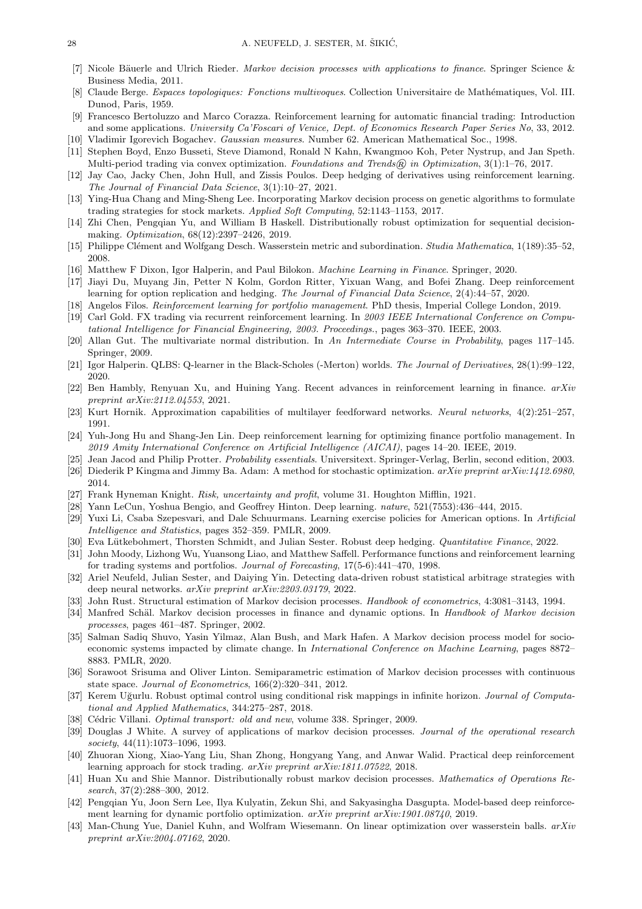- <span id="page-27-0"></span>[7] Nicole Bäuerle and Ulrich Rieder. *Markov decision processes with applications to finance*. Springer Science & Business Media, 2011.
- <span id="page-27-20"></span><span id="page-27-3"></span>[8] Claude Berge. *Espaces topologiques: Fonctions multivoques*. Collection Universitaire de Math´ematiques, Vol. III. Dunod, Paris, 1959.
- <span id="page-27-34"></span>[9] Francesco Bertoluzzo and Marco Corazza. Reinforcement learning for automatic financial trading: Introduction and some applications. *University Ca'Foscari of Venice, Dept. of Economics Research Paper Series No*, 33, 2012.
- <span id="page-27-25"></span>[10] Vladimir Igorevich Bogachev. *Gaussian measures*. Number 62. American Mathematical Soc., 1998. [11] Stephen Boyd, Enzo Busseti, Steve Diamond, Ronald N Kahn, Kwangmoo Koh, Peter Nystrup, and Jan Speth. Multi-period trading via convex optimization. *Foundations and Trends*® *in Optimization*, 3(1):1–76, 2017.
- <span id="page-27-8"></span>[12] Jay Cao, Jacky Chen, John Hull, and Zissis Poulos. Deep hedging of derivatives using reinforcement learning. *The Journal of Financial Data Science*, 3(1):10–27, 2021.
- <span id="page-27-4"></span>[13] Ying-Hua Chang and Ming-Sheng Lee. Incorporating Markov decision process on genetic algorithms to formulate trading strategies for stock markets. *Applied Soft Computing*, 52:1143–1153, 2017.
- <span id="page-27-17"></span>[14] Zhi Chen, Pengqian Yu, and William B Haskell. Distributionally robust optimization for sequential decisionmaking. *Optimization*, 68(12):2397–2426, 2019.
- <span id="page-27-32"></span><span id="page-27-9"></span>[15] Philippe Cl´ement and Wolfgang Desch. Wasserstein metric and subordination. *Studia Mathematica*, 1(189):35–52, 2008.
- <span id="page-27-10"></span>[16] Matthew F Dixon, Igor Halperin, and Paul Bilokon. *Machine Learning in Finance*. Springer, 2020.
- [17] Jiayi Du, Muyang Jin, Petter N Kolm, Gordon Ritter, Yixuan Wang, and Bofei Zhang. Deep reinforcement learning for option replication and hedging. *The Journal of Financial Data Science*, 2(4):44–57, 2020.
- <span id="page-27-26"></span><span id="page-27-5"></span>[18] Angelos Filos. *Reinforcement learning for portfolio management*. PhD thesis, Imperial College London, 2019.
- [19] Carl Gold. FX trading via recurrent reinforcement learning. In *2003 IEEE International Conference on Computational Intelligence for Financial Engineering, 2003. Proceedings.*, pages 363–370. IEEE, 2003.
- <span id="page-27-28"></span><span id="page-27-11"></span>[20] Allan Gut. The multivariate normal distribution. In *An Intermediate Course in Probability*, pages 117–145. Springer, 2009.
- <span id="page-27-1"></span>[21] Igor Halperin. QLBS: Q-learner in the Black-Scholes (-Merton) worlds. *The Journal of Derivatives*, 28(1):99–122, 2020.
- [22] Ben Hambly, Renyuan Xu, and Huining Yang. Recent advances in reinforcement learning in finance. *arXiv preprint arXiv:2112.04553*, 2021.
- <span id="page-27-36"></span><span id="page-27-6"></span>[23] Kurt Hornik. Approximation capabilities of multilayer feedforward networks. *Neural networks*, 4(2):251–257, 1991.
- [24] Yuh-Jong Hu and Shang-Jen Lin. Deep reinforcement learning for optimizing finance portfolio management. In *2019 Amity International Conference on Artificial Intelligence (AICAI)*, pages 14–20. IEEE, 2019.
- <span id="page-27-33"></span><span id="page-27-27"></span>[25] Jean Jacod and Philip Protter. *Probability essentials*. Universitext. Springer-Verlag, Berlin, second edition, 2003.
- <span id="page-27-24"></span>[26] Diederik P Kingma and Jimmy Ba. Adam: A method for stochastic optimization. *arXiv preprint arXiv:1412.6980*, 2014.
- <span id="page-27-35"></span>[27] Frank Hyneman Knight. *Risk, uncertainty and profit*, volume 31. Houghton Mifflin, 1921.
- <span id="page-27-12"></span>[28] Yann LeCun, Yoshua Bengio, and Geoffrey Hinton. Deep learning. *nature*, 521(7553):436–444, 2015.
- [29] Yuxi Li, Csaba Szepesvari, and Dale Schuurmans. Learning exercise policies for American options. In *Artificial Intelligence and Statistics*, pages 352–359. PMLR, 2009.
- <span id="page-27-29"></span><span id="page-27-21"></span>[30] Eva L¨utkebohmert, Thorsten Schmidt, and Julian Sester. Robust deep hedging. *Quantitative Finance*, 2022.
- [31] John Moody, Lizhong Wu, Yuansong Liao, and Matthew Saffell. Performance functions and reinforcement learning for trading systems and portfolios. *Journal of Forecasting*, 17(5-6):441–470, 1998.
- <span id="page-27-30"></span>[32] Ariel Neufeld, Julian Sester, and Daiying Yin. Detecting data-driven robust statistical arbitrage strategies with deep neural networks. *arXiv preprint arXiv:2203.03179*, 2022.
- <span id="page-27-15"></span><span id="page-27-13"></span>[33] John Rust. Structural estimation of Markov decision processes. *Handbook of econometrics*, 4:3081–3143, 1994.
- [34] Manfred Schäl. Markov decision processes in finance and dynamic options. In *Handbook of Markov decision processes*, pages 461–487. Springer, 2002.
- <span id="page-27-14"></span>[35] Salman Sadiq Shuvo, Yasin Yilmaz, Alan Bush, and Mark Hafen. A Markov decision process model for socioeconomic systems impacted by climate change. In *International Conference on Machine Learning*, pages 8872– 8883. PMLR, 2020.
- <span id="page-27-16"></span>[36] Sorawoot Srisuma and Oliver Linton. Semiparametric estimation of Markov decision processes with continuous state space. *Journal of Econometrics*, 166(2):320–341, 2012.
- <span id="page-27-18"></span>[37] Kerem Uğurlu. Robust optimal control using conditional risk mappings in infinite horizon. *Journal of Computational and Applied Mathematics*, 344:275–287, 2018.
- <span id="page-27-23"></span><span id="page-27-2"></span>[38] C´edric Villani. *Optimal transport: old and new*, volume 338. Springer, 2009.
- [39] Douglas J White. A survey of applications of markov decision processes. *Journal of the operational research society*, 44(11):1073–1096, 1993.
- <span id="page-27-7"></span>[40] Zhuoran Xiong, Xiao-Yang Liu, Shan Zhong, Hongyang Yang, and Anwar Walid. Practical deep reinforcement learning approach for stock trading. *arXiv preprint arXiv:1811.07522*, 2018.
- <span id="page-27-19"></span>[41] Huan Xu and Shie Mannor. Distributionally robust markov decision processes. *Mathematics of Operations Research*, 37(2):288–300, 2012.
- <span id="page-27-22"></span>[42] Pengqian Yu, Joon Sern Lee, Ilya Kulyatin, Zekun Shi, and Sakyasingha Dasgupta. Model-based deep reinforcement learning for dynamic portfolio optimization. *arXiv preprint arXiv:1901.08740*, 2019.
- <span id="page-27-31"></span>[43] Man-Chung Yue, Daniel Kuhn, and Wolfram Wiesemann. On linear optimization over wasserstein balls. *arXiv preprint arXiv:2004.07162*, 2020.